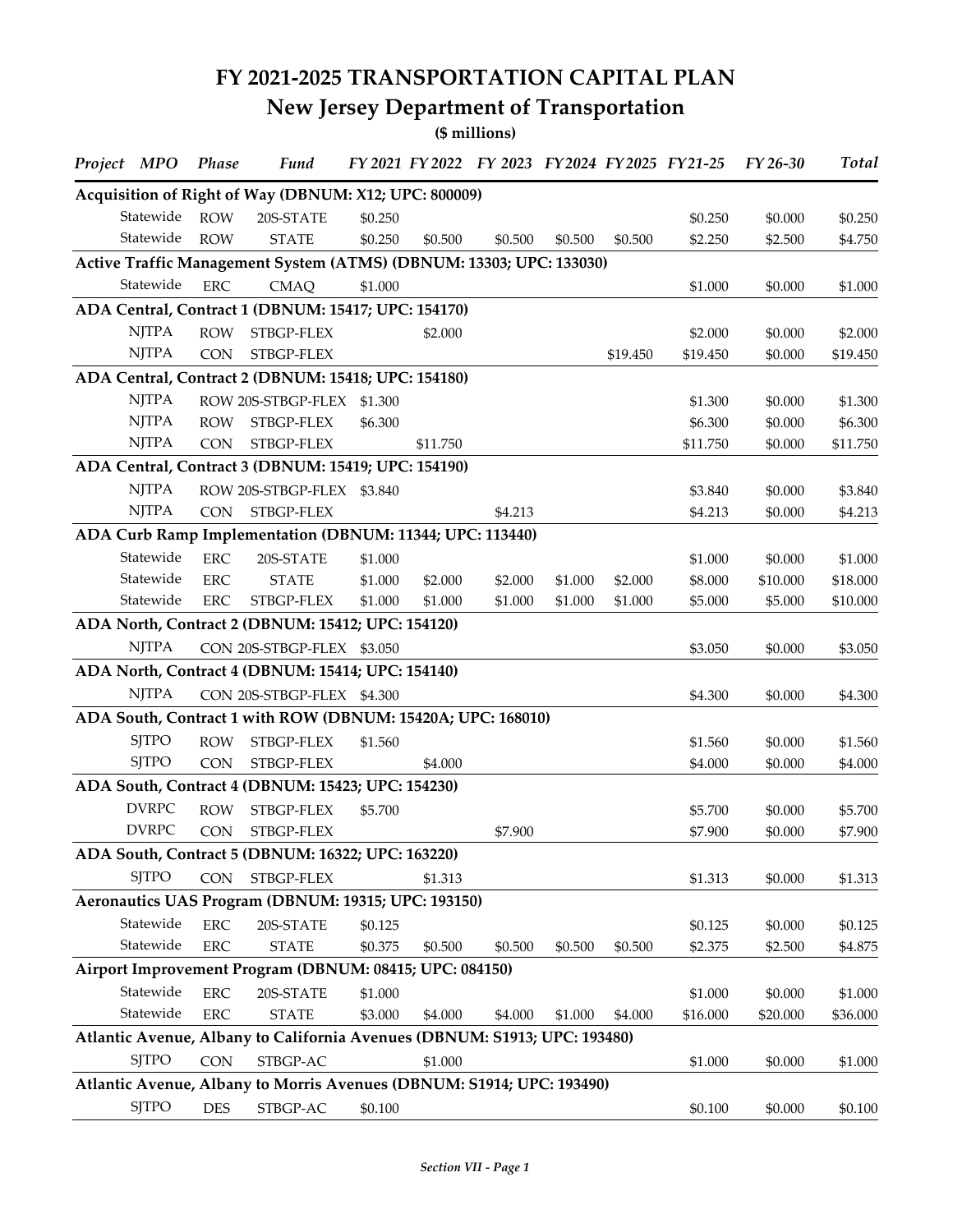## **FY 2021-2025 TRANSPORTATION CAPITAL PLAN**

## **New Jersey Department of Transportation**

**(\$ millions)**

| Project MPO  | Phase       | <b>Fund</b>                                                               |         |          |         |         |          | FY 2021 FY 2022 FY 2023 FY 2024 FY 2025 FY 21-25 | FY 26-30 | <b>Total</b> |
|--------------|-------------|---------------------------------------------------------------------------|---------|----------|---------|---------|----------|--------------------------------------------------|----------|--------------|
|              |             | Acquisition of Right of Way (DBNUM: X12; UPC: 800009)                     |         |          |         |         |          |                                                  |          |              |
| Statewide    | <b>ROW</b>  | 20S-STATE                                                                 | \$0.250 |          |         |         |          | \$0.250                                          | \$0.000  | \$0.250      |
| Statewide    | <b>ROW</b>  | <b>STATE</b>                                                              | \$0.250 | \$0.500  | \$0.500 | \$0.500 | \$0.500  | \$2.250                                          | \$2.500  | \$4.750      |
|              |             | Active Traffic Management System (ATMS) (DBNUM: 13303; UPC: 133030)       |         |          |         |         |          |                                                  |          |              |
| Statewide    | ${\rm ERC}$ | <b>CMAQ</b>                                                               | \$1.000 |          |         |         |          | \$1.000                                          | \$0.000  | \$1.000      |
|              |             | ADA Central, Contract 1 (DBNUM: 15417; UPC: 154170)                       |         |          |         |         |          |                                                  |          |              |
| <b>NJTPA</b> | <b>ROW</b>  | STBGP-FLEX                                                                |         | \$2.000  |         |         |          | \$2.000                                          | \$0.000  | \$2.000      |
| <b>NJTPA</b> | <b>CON</b>  | STBGP-FLEX                                                                |         |          |         |         | \$19.450 | \$19.450                                         | \$0.000  | \$19.450     |
|              |             | ADA Central, Contract 2 (DBNUM: 15418; UPC: 154180)                       |         |          |         |         |          |                                                  |          |              |
| <b>NJTPA</b> |             | ROW 20S-STBGP-FLEX                                                        | \$1.300 |          |         |         |          | \$1.300                                          | \$0.000  | \$1.300      |
| <b>NJTPA</b> | <b>ROW</b>  | STBGP-FLEX                                                                | \$6.300 |          |         |         |          | \$6.300                                          | \$0.000  | \$6.300      |
| <b>NJTPA</b> | <b>CON</b>  | STBGP-FLEX                                                                |         | \$11.750 |         |         |          | \$11.750                                         | \$0.000  | \$11.750     |
|              |             | ADA Central, Contract 3 (DBNUM: 15419; UPC: 154190)                       |         |          |         |         |          |                                                  |          |              |
| <b>NJTPA</b> |             | ROW 20S-STBGP-FLEX \$3.840                                                |         |          |         |         |          | \$3.840                                          | \$0.000  | \$3.840      |
| <b>NJTPA</b> | <b>CON</b>  | STBGP-FLEX                                                                |         |          | \$4.213 |         |          | \$4.213                                          | \$0.000  | \$4.213      |
|              |             | ADA Curb Ramp Implementation (DBNUM: 11344; UPC: 113440)                  |         |          |         |         |          |                                                  |          |              |
| Statewide    | <b>ERC</b>  | 20S-STATE                                                                 | \$1.000 |          |         |         |          | \$1.000                                          | \$0.000  | \$1.000      |
| Statewide    | <b>ERC</b>  | <b>STATE</b>                                                              | \$1.000 | \$2.000  | \$2.000 | \$1.000 | \$2.000  | \$8.000                                          | \$10.000 | \$18.000     |
| Statewide    | <b>ERC</b>  | STBGP-FLEX                                                                | \$1.000 | \$1.000  | \$1.000 | \$1.000 | \$1.000  | \$5.000                                          | \$5.000  | \$10.000     |
|              |             | ADA North, Contract 2 (DBNUM: 15412; UPC: 154120)                         |         |          |         |         |          |                                                  |          |              |
| <b>NJTPA</b> |             | CON 20S-STBGP-FLEX \$3.050                                                |         |          |         |         |          | \$3.050                                          | \$0.000  | \$3.050      |
|              |             | ADA North, Contract 4 (DBNUM: 15414; UPC: 154140)                         |         |          |         |         |          |                                                  |          |              |
| <b>NJTPA</b> |             | CON 20S-STBGP-FLEX \$4.300                                                |         |          |         |         |          | \$4.300                                          | \$0.000  | \$4.300      |
|              |             | ADA South, Contract 1 with ROW (DBNUM: 15420A; UPC: 168010)               |         |          |         |         |          |                                                  |          |              |
| <b>SJTPO</b> | <b>ROW</b>  | STBGP-FLEX                                                                | \$1.560 |          |         |         |          | \$1.560                                          | \$0.000  | \$1.560      |
| <b>SJTPO</b> | <b>CON</b>  | STBGP-FLEX                                                                |         | \$4.000  |         |         |          | \$4.000                                          | \$0.000  | \$4.000      |
|              |             | ADA South, Contract 4 (DBNUM: 15423; UPC: 154230)                         |         |          |         |         |          |                                                  |          |              |
| <b>DVRPC</b> | <b>ROW</b>  | STBGP-FLEX                                                                | \$5.700 |          |         |         |          | \$5.700                                          | \$0.000  | \$5.700      |
| <b>DVRPC</b> | CON         | STBGP-FLEX                                                                |         |          | \$7.900 |         |          | \$7.900                                          | \$0.000  | \$7.900      |
|              |             | ADA South, Contract 5 (DBNUM: 16322; UPC: 163220)                         |         |          |         |         |          |                                                  |          |              |
| <b>SJTPO</b> | <b>CON</b>  | STBGP-FLEX                                                                |         | \$1.313  |         |         |          | \$1.313                                          | \$0.000  | \$1.313      |
|              |             | Aeronautics UAS Program (DBNUM: 19315; UPC: 193150)                       |         |          |         |         |          |                                                  |          |              |
| Statewide    | ${\rm ERC}$ | 20S-STATE                                                                 | \$0.125 |          |         |         |          | \$0.125                                          | \$0.000  | \$0.125      |
| Statewide    | ${\rm ERC}$ | <b>STATE</b>                                                              | \$0.375 | \$0.500  | \$0.500 | \$0.500 | \$0.500  | \$2.375                                          | \$2.500  | \$4.875      |
|              |             | Airport Improvement Program (DBNUM: 08415; UPC: 084150)                   |         |          |         |         |          |                                                  |          |              |
| Statewide    | <b>ERC</b>  | 20S-STATE                                                                 | \$1.000 |          |         |         |          | \$1.000                                          | \$0.000  | \$1.000      |
| Statewide    | ${\rm ERC}$ | <b>STATE</b>                                                              | \$3.000 | \$4.000  | \$4.000 | \$1.000 | \$4.000  | \$16.000                                         | \$20.000 | \$36.000     |
|              |             | Atlantic Avenue, Albany to California Avenues (DBNUM: S1913; UPC: 193480) |         |          |         |         |          |                                                  |          |              |
| <b>SJTPO</b> | <b>CON</b>  | STBGP-AC                                                                  |         | \$1.000  |         |         |          | \$1.000                                          | \$0.000  | \$1.000      |
|              |             | Atlantic Avenue, Albany to Morris Avenues (DBNUM: S1914; UPC: 193490)     |         |          |         |         |          |                                                  |          |              |
| <b>SJTPO</b> | <b>DES</b>  | STBGP-AC                                                                  | \$0.100 |          |         |         |          | \$0.100                                          | \$0.000  | \$0.100      |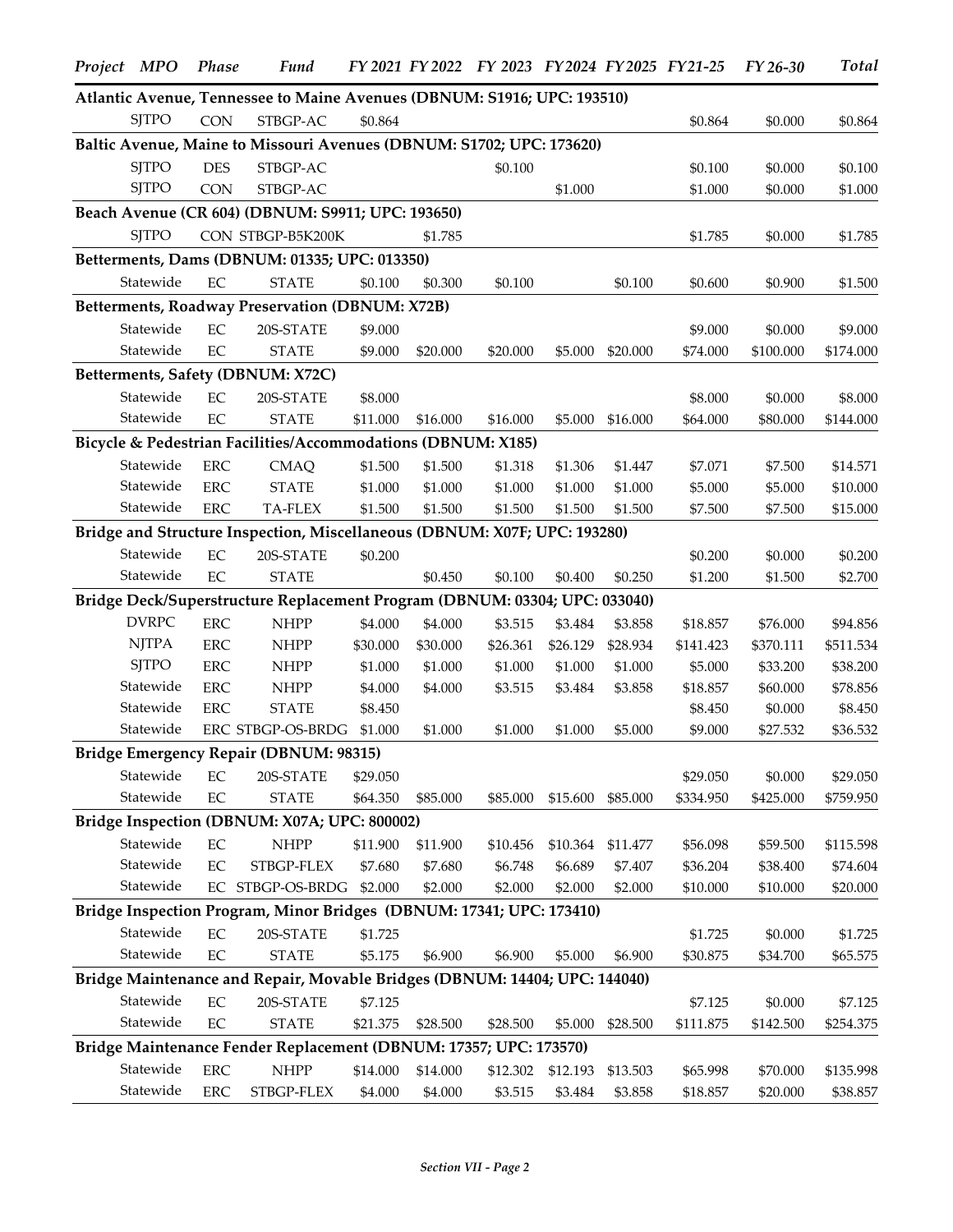| Project MPO  | Phase      | <b>Fund</b>                                                                |          | FY 2021 FY 2022 |          |                   |          | FY 2023 FY 2024 FY 2025 FY 21-25 | $FY26-30$            | <b>Total</b> |
|--------------|------------|----------------------------------------------------------------------------|----------|-----------------|----------|-------------------|----------|----------------------------------|----------------------|--------------|
|              |            | Atlantic Avenue, Tennessee to Maine Avenues (DBNUM: S1916; UPC: 193510)    |          |                 |          |                   |          |                                  |                      |              |
| <b>SJTPO</b> | <b>CON</b> | STBGP-AC                                                                   | \$0.864  |                 |          |                   |          | \$0.864                          | \$0.000              | \$0.864      |
|              |            | Baltic Avenue, Maine to Missouri Avenues (DBNUM: S1702; UPC: 173620)       |          |                 |          |                   |          |                                  |                      |              |
| <b>SITPO</b> | <b>DES</b> | STBGP-AC                                                                   |          |                 | \$0.100  |                   |          | \$0.100                          | \$0.000              | \$0.100      |
| <b>SJTPO</b> | <b>CON</b> | STBGP-AC                                                                   |          |                 |          | \$1.000           |          | \$1.000                          | \$0.000              | \$1.000      |
|              |            | Beach Avenue (CR 604) (DBNUM: S9911; UPC: 193650)                          |          |                 |          |                   |          |                                  |                      |              |
| <b>SJTPO</b> |            | CON STBGP-B5K200K                                                          |          | \$1.785         |          |                   |          | \$1.785                          | \$0.000              | \$1.785      |
|              |            | Betterments, Dams (DBNUM: 01335; UPC: 013350)                              |          |                 |          |                   |          |                                  |                      |              |
| Statewide    | $\rm EC$   | <b>STATE</b>                                                               | \$0.100  | \$0.300         | \$0.100  |                   | \$0.100  | \$0.600                          | \$0.900              | \$1.500      |
|              |            | Betterments, Roadway Preservation (DBNUM: X72B)                            |          |                 |          |                   |          |                                  |                      |              |
| Statewide    | EC         | 20S-STATE                                                                  | \$9.000  |                 |          |                   |          |                                  |                      |              |
| Statewide    | EC         | <b>STATE</b>                                                               | \$9.000  |                 |          |                   |          | \$9.000                          | \$0.000<br>\$100.000 | \$9.000      |
|              |            |                                                                            |          | \$20.000        | \$20.000 | \$5.000           | \$20.000 | \$74.000                         |                      | \$174.000    |
|              |            | Betterments, Safety (DBNUM: X72C)                                          |          |                 |          |                   |          |                                  |                      |              |
| Statewide    | $\rm EC$   | 20S-STATE                                                                  | \$8.000  |                 |          |                   |          | \$8.000                          | \$0.000              | \$8.000      |
| Statewide    | EC         | <b>STATE</b>                                                               | \$11.000 | \$16.000        | \$16.000 | \$5.000           | \$16.000 | \$64.000                         | \$80.000             | \$144.000    |
|              |            | Bicycle & Pedestrian Facilities/Accommodations (DBNUM: X185)               |          |                 |          |                   |          |                                  |                      |              |
| Statewide    | <b>ERC</b> | <b>CMAQ</b>                                                                | \$1.500  | \$1.500         | \$1.318  | \$1.306           | \$1.447  | \$7.071                          | \$7.500              | \$14.571     |
| Statewide    | <b>ERC</b> | <b>STATE</b>                                                               | \$1.000  | \$1.000         | \$1.000  | \$1.000           | \$1.000  | \$5.000                          | \$5.000              | \$10.000     |
| Statewide    | <b>ERC</b> | TA-FLEX                                                                    | \$1.500  | \$1.500         | \$1.500  | \$1.500           | \$1.500  | \$7.500                          | \$7.500              | \$15.000     |
|              |            | Bridge and Structure Inspection, Miscellaneous (DBNUM: X07F; UPC: 193280)  |          |                 |          |                   |          |                                  |                      |              |
| Statewide    | EC         | 20S-STATE                                                                  | \$0.200  |                 |          |                   |          | \$0.200                          | \$0.000              | \$0.200      |
| Statewide    | EC         | <b>STATE</b>                                                               |          | \$0.450         | \$0.100  | \$0.400           | \$0.250  | \$1.200                          | \$1.500              | \$2.700      |
|              |            | Bridge Deck/Superstructure Replacement Program (DBNUM: 03304; UPC: 033040) |          |                 |          |                   |          |                                  |                      |              |
| <b>DVRPC</b> | <b>ERC</b> | <b>NHPP</b>                                                                | \$4.000  | \$4.000         | \$3.515  | \$3.484           | \$3.858  | \$18.857                         | \$76.000             | \$94.856     |
| <b>NJTPA</b> | <b>ERC</b> | <b>NHPP</b>                                                                | \$30.000 | \$30.000        | \$26.361 | \$26.129          | \$28.934 | \$141.423                        | \$370.111            | \$511.534    |
| <b>SJTPO</b> | <b>ERC</b> | <b>NHPP</b>                                                                | \$1.000  | \$1.000         | \$1.000  | \$1.000           | \$1.000  | \$5.000                          | \$33.200             | \$38.200     |
| Statewide    | <b>ERC</b> | <b>NHPP</b>                                                                | \$4.000  | \$4.000         | \$3.515  | \$3.484           | \$3.858  | \$18.857                         | \$60.000             | \$78.856     |
| Statewide    | <b>ERC</b> | <b>STATE</b>                                                               | \$8.450  |                 |          |                   |          | \$8.450                          | \$0.000              | \$8.450      |
| Statewide    |            | ERC STBGP-OS-BRDG                                                          | \$1.000  | \$1.000         | \$1.000  | \$1.000           | \$5.000  | \$9.000                          | \$27.532             | \$36.532     |
|              |            | Bridge Emergency Repair (DBNUM: 98315)                                     |          |                 |          |                   |          |                                  |                      |              |
| Statewide    | $\rm EC$   | 20S-STATE                                                                  | \$29.050 |                 |          |                   |          | \$29.050                         | \$0.000              | \$29.050     |
| Statewide    | EC         | <b>STATE</b>                                                               | \$64.350 | \$85.000        | \$85.000 | \$15.600          | \$85.000 | \$334.950                        | \$425.000            | \$759.950    |
|              |            | Bridge Inspection (DBNUM: X07A; UPC: 800002)                               |          |                 |          |                   |          |                                  |                      |              |
| Statewide    | $\rm EC$   | <b>NHPP</b>                                                                | \$11.900 | \$11.900        | \$10.456 | \$10.364          | \$11.477 | \$56.098                         | \$59.500             | \$115.598    |
| Statewide    | EC         | STBGP-FLEX                                                                 | \$7.680  | \$7.680         | \$6.748  | \$6.689           | \$7.407  | \$36.204                         | \$38.400             | \$74.604     |
| Statewide    |            | EC STBGP-OS-BRDG                                                           | \$2.000  | \$2.000         | \$2.000  | \$2.000           | \$2.000  | \$10.000                         | \$10.000             | \$20.000     |
|              |            | Bridge Inspection Program, Minor Bridges (DBNUM: 17341; UPC: 173410)       |          |                 |          |                   |          |                                  |                      |              |
| Statewide    | $\rm EC$   | 20S-STATE                                                                  | \$1.725  |                 |          |                   |          | \$1.725                          | \$0.000              | \$1.725      |
| Statewide    | $\rm EC$   | <b>STATE</b>                                                               | \$5.175  | \$6.900         | \$6.900  | \$5.000           | \$6.900  | \$30.875                         | \$34.700             | \$65.575     |
|              |            | Bridge Maintenance and Repair, Movable Bridges (DBNUM: 14404; UPC: 144040) |          |                 |          |                   |          |                                  |                      |              |
| Statewide    | EC         | 20S-STATE                                                                  | \$7.125  |                 |          |                   |          |                                  |                      |              |
| Statewide    | $\rm EC$   |                                                                            |          |                 |          |                   |          | \$7.125                          | \$0.000              | \$7.125      |
|              |            | <b>STATE</b>                                                               | \$21.375 | \$28.500        | \$28.500 | \$5.000           | \$28.500 | \$111.875                        | \$142.500            | \$254.375    |
|              |            | Bridge Maintenance Fender Replacement (DBNUM: 17357; UPC: 173570)          |          |                 |          |                   |          |                                  |                      |              |
| Statewide    | <b>ERC</b> | <b>NHPP</b>                                                                | \$14.000 | \$14.000        |          | \$12.302 \$12.193 | \$13.503 | \$65.998                         | \$70.000             | \$135.998    |
| Statewide    | <b>ERC</b> | STBGP-FLEX                                                                 | \$4.000  | \$4.000         | \$3.515  | \$3.484           | \$3.858  | \$18.857                         | \$20.000             | \$38.857     |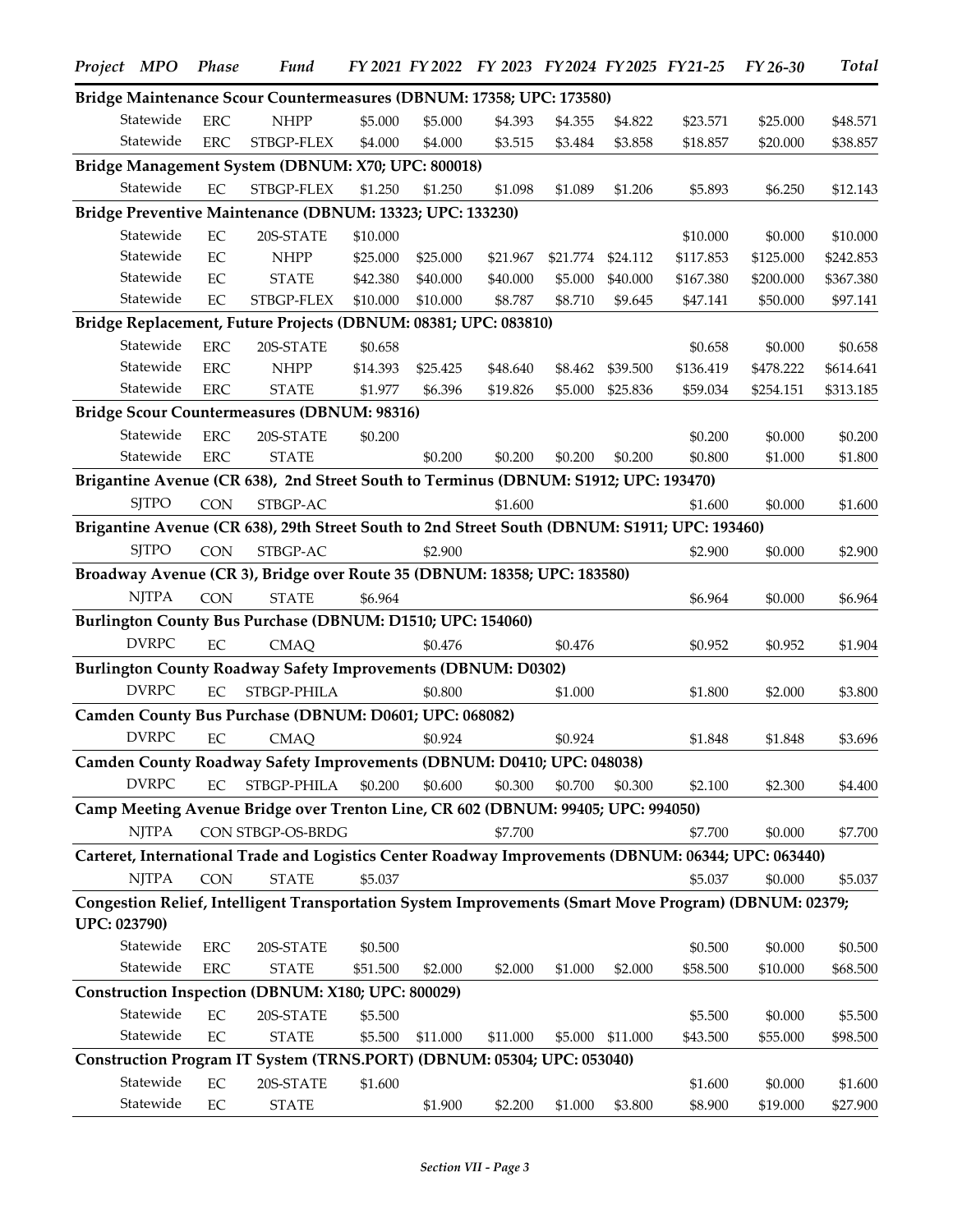|                     | Project MPO  | <b>Phase</b> | <b>Fund</b>                                                                                           |          |          | FY 2021 FY 2022 FY 2023 FY 2024 FY 2025 FY 21-25 |          |          |           | FY 26-30  | <b>Total</b> |
|---------------------|--------------|--------------|-------------------------------------------------------------------------------------------------------|----------|----------|--------------------------------------------------|----------|----------|-----------|-----------|--------------|
|                     |              |              | Bridge Maintenance Scour Countermeasures (DBNUM: 17358; UPC: 173580)                                  |          |          |                                                  |          |          |           |           |              |
|                     | Statewide    | <b>ERC</b>   | <b>NHPP</b>                                                                                           | \$5.000  | \$5.000  | \$4.393                                          | \$4.355  | \$4.822  | \$23.571  | \$25.000  | \$48.571     |
|                     | Statewide    | <b>ERC</b>   | STBGP-FLEX                                                                                            | \$4.000  | \$4.000  | \$3.515                                          | \$3.484  | \$3.858  | \$18.857  | \$20.000  | \$38.857     |
|                     |              |              | Bridge Management System (DBNUM: X70; UPC: 800018)                                                    |          |          |                                                  |          |          |           |           |              |
|                     | Statewide    | EC           | STBGP-FLEX                                                                                            | \$1.250  | \$1.250  | \$1.098                                          | \$1.089  | \$1.206  | \$5.893   | \$6.250   | \$12.143     |
|                     |              |              | Bridge Preventive Maintenance (DBNUM: 13323; UPC: 133230)                                             |          |          |                                                  |          |          |           |           |              |
|                     | Statewide    | EC           | 20S-STATE                                                                                             | \$10.000 |          |                                                  |          |          | \$10.000  | \$0.000   | \$10.000     |
|                     | Statewide    | $\rm EC$     | <b>NHPP</b>                                                                                           | \$25.000 | \$25.000 | \$21.967                                         | \$21.774 | \$24.112 | \$117.853 | \$125.000 | \$242.853    |
|                     | Statewide    | EC           | <b>STATE</b>                                                                                          | \$42.380 | \$40.000 | \$40.000                                         | \$5.000  | \$40.000 | \$167.380 | \$200.000 | \$367.380    |
|                     | Statewide    | EC           | STBGP-FLEX                                                                                            | \$10.000 | \$10.000 | \$8.787                                          | \$8.710  | \$9.645  | \$47.141  | \$50.000  | \$97.141     |
|                     |              |              | Bridge Replacement, Future Projects (DBNUM: 08381; UPC: 083810)                                       |          |          |                                                  |          |          |           |           |              |
|                     | Statewide    | <b>ERC</b>   | 20S-STATE                                                                                             | \$0.658  |          |                                                  |          |          | \$0.658   | \$0.000   | \$0.658      |
|                     | Statewide    | <b>ERC</b>   | <b>NHPP</b>                                                                                           | \$14.393 | \$25.425 | \$48.640                                         | \$8.462  | \$39.500 | \$136.419 | \$478.222 | \$614.641    |
|                     | Statewide    | ERC          | <b>STATE</b>                                                                                          | \$1.977  | \$6.396  | \$19.826                                         | \$5.000  | \$25.836 | \$59.034  | \$254.151 | \$313.185    |
|                     |              |              | Bridge Scour Countermeasures (DBNUM: 98316)                                                           |          |          |                                                  |          |          |           |           |              |
|                     | Statewide    | ${\rm ERC}$  | 20S-STATE                                                                                             | \$0.200  |          |                                                  |          |          | \$0.200   | \$0.000   | \$0.200      |
|                     | Statewide    | ${\rm ERC}$  | <b>STATE</b>                                                                                          |          | \$0.200  | \$0.200                                          | \$0.200  | \$0.200  | \$0.800   | \$1.000   | \$1.800      |
|                     |              |              | Brigantine Avenue (CR 638), 2nd Street South to Terminus (DBNUM: S1912; UPC: 193470)                  |          |          |                                                  |          |          |           |           |              |
|                     | <b>SITPO</b> | <b>CON</b>   | STBGP-AC                                                                                              |          |          | \$1.600                                          |          |          | \$1.600   | \$0.000   | \$1.600      |
|                     |              |              | Brigantine Avenue (CR 638), 29th Street South to 2nd Street South (DBNUM: S1911; UPC: 193460)         |          |          |                                                  |          |          |           |           |              |
|                     | <b>SITPO</b> | <b>CON</b>   | STBGP-AC                                                                                              |          | \$2.900  |                                                  |          |          | \$2.900   | \$0.000   | \$2.900      |
|                     |              |              | Broadway Avenue (CR 3), Bridge over Route 35 (DBNUM: 18358; UPC: 183580)                              |          |          |                                                  |          |          |           |           |              |
|                     | <b>NJTPA</b> | <b>CON</b>   | <b>STATE</b>                                                                                          | \$6.964  |          |                                                  |          |          | \$6.964   | \$0.000   | \$6.964      |
|                     |              |              | Burlington County Bus Purchase (DBNUM: D1510; UPC: 154060)                                            |          |          |                                                  |          |          |           |           |              |
|                     | <b>DVRPC</b> | EC           | <b>CMAO</b>                                                                                           |          | \$0.476  |                                                  | \$0.476  |          | \$0.952   | \$0.952   | \$1.904      |
|                     |              |              | <b>Burlington County Roadway Safety Improvements (DBNUM: D0302)</b>                                   |          |          |                                                  |          |          |           |           |              |
|                     | <b>DVRPC</b> | EC           | STBGP-PHILA                                                                                           |          | \$0.800  |                                                  | \$1.000  |          | \$1.800   | \$2.000   | \$3.800      |
|                     |              |              | Camden County Bus Purchase (DBNUM: D0601; UPC: 068082)                                                |          |          |                                                  |          |          |           |           |              |
|                     | <b>DVRPC</b> | EC           | <b>CMAQ</b>                                                                                           |          | \$0.924  |                                                  | \$0.924  |          | \$1.848   | \$1.848   | \$3.696      |
|                     |              |              | Camden County Roadway Safety Improvements (DBNUM: D0410; UPC: 048038)                                 |          |          |                                                  |          |          |           |           |              |
|                     | <b>DVRPC</b> | EC           | STBGP-PHILA                                                                                           | \$0.200  | \$0.600  | \$0.300                                          | \$0.700  | \$0.300  | \$2.100   | \$2.300   | \$4.400      |
|                     |              |              | Camp Meeting Avenue Bridge over Trenton Line, CR 602 (DBNUM: 99405; UPC: 994050)                      |          |          |                                                  |          |          |           |           |              |
|                     | <b>NJTPA</b> |              | CON STBGP-OS-BRDG                                                                                     |          |          | \$7.700                                          |          |          | \$7.700   | \$0.000   | \$7.700      |
|                     |              |              | Carteret, International Trade and Logistics Center Roadway Improvements (DBNUM: 06344; UPC: 063440)   |          |          |                                                  |          |          |           |           |              |
|                     | <b>NJTPA</b> | <b>CON</b>   | <b>STATE</b>                                                                                          | \$5.037  |          |                                                  |          |          | \$5.037   | \$0.000   | \$5.037      |
|                     |              |              | Congestion Relief, Intelligent Transportation System Improvements (Smart Move Program) (DBNUM: 02379; |          |          |                                                  |          |          |           |           |              |
| <b>UPC: 023790)</b> |              |              |                                                                                                       |          |          |                                                  |          |          |           |           |              |
|                     | Statewide    | ERC          | 20S-STATE                                                                                             | \$0.500  |          |                                                  |          |          | \$0.500   | \$0.000   | \$0.500      |
|                     | Statewide    | ERC          | <b>STATE</b>                                                                                          | \$51.500 | \$2.000  | \$2.000                                          | \$1.000  | \$2.000  | \$58.500  | \$10.000  | \$68.500     |
|                     |              |              | Construction Inspection (DBNUM: X180; UPC: 800029)                                                    |          |          |                                                  |          |          |           |           |              |
|                     | Statewide    | EC           | 20S-STATE                                                                                             | \$5.500  |          |                                                  |          |          | \$5.500   | \$0.000   | \$5.500      |
|                     | Statewide    | $\rm EC$     | <b>STATE</b>                                                                                          | \$5.500  | \$11.000 | \$11.000                                         | \$5.000  | \$11.000 | \$43.500  | \$55.000  | \$98.500     |
|                     |              |              | Construction Program IT System (TRNS.PORT) (DBNUM: 05304; UPC: 053040)                                |          |          |                                                  |          |          |           |           |              |
|                     | Statewide    | EC           | 20S-STATE                                                                                             | \$1.600  |          |                                                  |          |          | \$1.600   | \$0.000   | \$1.600      |
|                     | Statewide    | EC           | <b>STATE</b>                                                                                          |          | \$1.900  | \$2.200                                          | \$1.000  | \$3.800  | \$8.900   | \$19.000  | \$27.900     |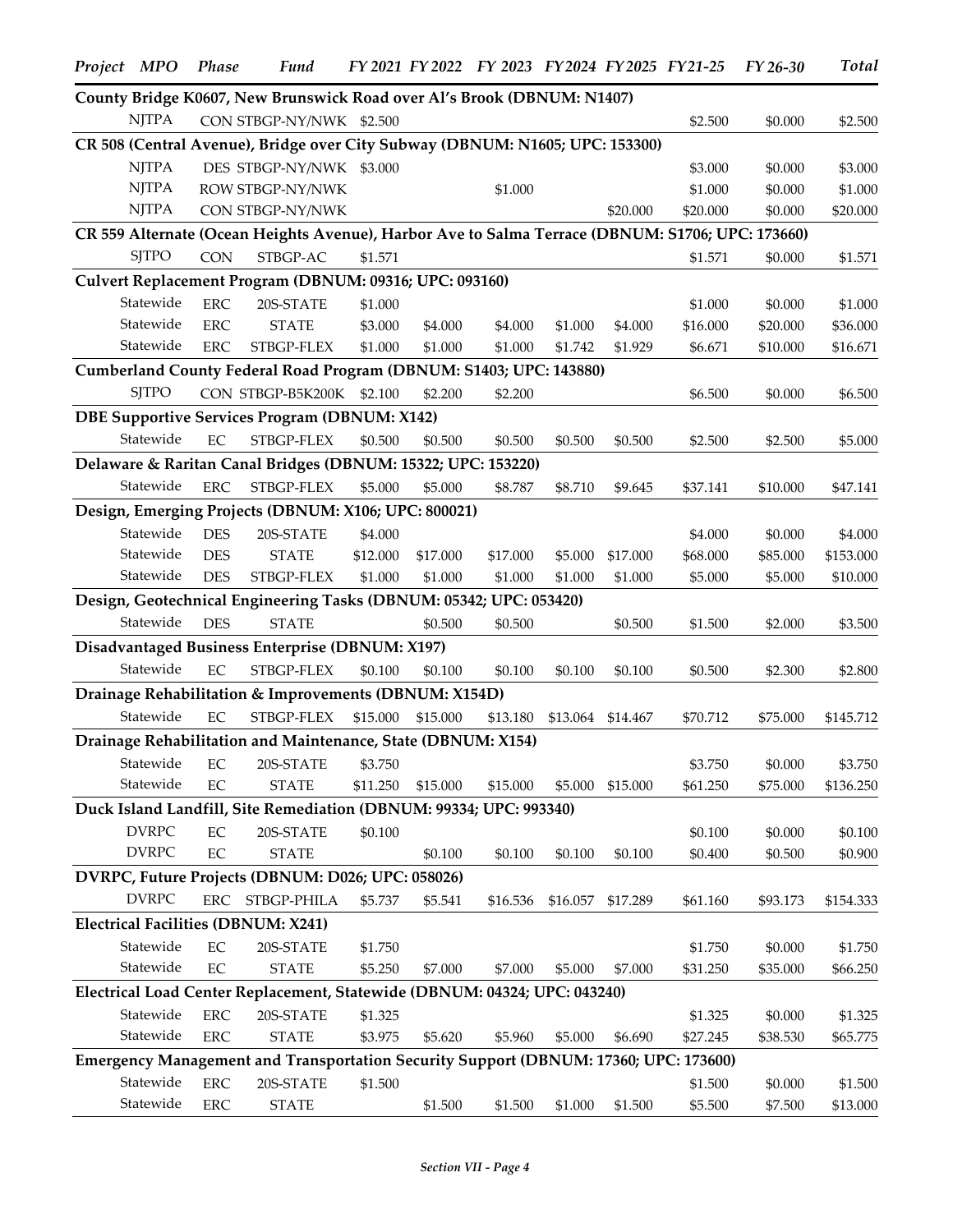| Project MPO |              | Phase       | <b>Fund</b>                                                                                      |          | FY 2021 FY 2022 | FY 2023 FY 2024 FY 2025 FY 21-25 |          |          |                     | FY 26-30           | <b>Total</b>        |
|-------------|--------------|-------------|--------------------------------------------------------------------------------------------------|----------|-----------------|----------------------------------|----------|----------|---------------------|--------------------|---------------------|
|             |              |             | County Bridge K0607, New Brunswick Road over Al's Brook (DBNUM: N1407)                           |          |                 |                                  |          |          |                     |                    |                     |
|             | <b>NJTPA</b> |             | CON STBGP-NY/NWK \$2.500                                                                         |          |                 |                                  |          |          | \$2.500             | \$0.000            | \$2.500             |
|             |              |             | CR 508 (Central Avenue), Bridge over City Subway (DBNUM: N1605; UPC: 153300)                     |          |                 |                                  |          |          |                     |                    |                     |
|             | <b>NJTPA</b> |             | DES STBGP-NY/NWK \$3.000                                                                         |          |                 |                                  |          |          | \$3.000             | \$0.000            | \$3.000             |
|             | <b>NJTPA</b> |             | ROW STBGP-NY/NWK                                                                                 |          |                 | \$1.000                          |          |          | \$1.000             | \$0.000            | \$1.000             |
|             | <b>NJTPA</b> |             | CON STBGP-NY/NWK                                                                                 |          |                 |                                  |          | \$20.000 | \$20.000            | \$0.000            | \$20.000            |
|             |              |             | CR 559 Alternate (Ocean Heights Avenue), Harbor Ave to Salma Terrace (DBNUM: S1706; UPC: 173660) |          |                 |                                  |          |          |                     |                    |                     |
|             | <b>SITPO</b> | <b>CON</b>  | STBGP-AC                                                                                         | \$1.571  |                 |                                  |          |          | \$1.571             | \$0.000            | \$1.571             |
|             |              |             | Culvert Replacement Program (DBNUM: 09316; UPC: 093160)                                          |          |                 |                                  |          |          |                     |                    |                     |
|             | Statewide    | ${\rm ERC}$ | 20S-STATE                                                                                        | \$1.000  |                 |                                  |          |          | \$1.000             | \$0.000            | \$1.000             |
|             | Statewide    | <b>ERC</b>  | <b>STATE</b>                                                                                     | \$3.000  | \$4.000         | \$4.000                          | \$1.000  | \$4.000  | \$16.000            | \$20.000           | \$36.000            |
|             | Statewide    | <b>ERC</b>  | STBGP-FLEX                                                                                       | \$1.000  | \$1.000         | \$1.000                          | \$1.742  | \$1.929  | \$6.671             | \$10.000           | \$16.671            |
|             |              |             | Cumberland County Federal Road Program (DBNUM: S1403; UPC: 143880)                               |          |                 |                                  |          |          |                     |                    |                     |
|             | <b>SITPO</b> |             | CON STBGP-B5K200K \$2.100                                                                        |          | \$2.200         | \$2.200                          |          |          | \$6.500             | \$0.000            | \$6.500             |
|             |              |             | <b>DBE Supportive Services Program (DBNUM: X142)</b>                                             |          |                 |                                  |          |          |                     |                    |                     |
|             | Statewide    | $\rm EC$    | STBGP-FLEX                                                                                       | \$0.500  | \$0.500         | \$0.500                          | \$0.500  | \$0.500  | \$2.500             | \$2.500            | \$5.000             |
|             |              |             | Delaware & Raritan Canal Bridges (DBNUM: 15322; UPC: 153220)                                     |          |                 |                                  |          |          |                     |                    |                     |
|             | Statewide    |             |                                                                                                  |          |                 |                                  |          |          |                     |                    |                     |
|             |              | ERC         | STBGP-FLEX                                                                                       | \$5.000  | \$5.000         | \$8.787                          | \$8.710  | \$9.645  | \$37.141            | \$10.000           | \$47.141            |
|             |              |             | Design, Emerging Projects (DBNUM: X106; UPC: 800021)                                             |          |                 |                                  |          |          |                     |                    |                     |
|             | Statewide    | <b>DES</b>  | 20S-STATE                                                                                        | \$4.000  |                 |                                  |          |          | \$4.000             | \$0.000            | \$4.000             |
|             | Statewide    | <b>DES</b>  | <b>STATE</b>                                                                                     | \$12.000 | \$17.000        | \$17.000                         | \$5.000  | \$17.000 | \$68.000            | \$85.000           | \$153.000           |
|             | Statewide    | <b>DES</b>  | STBGP-FLEX                                                                                       | \$1.000  | \$1.000         | \$1.000                          | \$1.000  | \$1.000  | \$5.000             | \$5.000            | \$10.000            |
|             |              |             | Design, Geotechnical Engineering Tasks (DBNUM: 05342; UPC: 053420)                               |          |                 |                                  |          |          |                     |                    |                     |
|             | Statewide    | <b>DES</b>  | <b>STATE</b>                                                                                     |          | \$0.500         | \$0.500                          |          | \$0.500  | \$1.500             | \$2.000            | \$3.500             |
|             |              |             | Disadvantaged Business Enterprise (DBNUM: X197)                                                  |          |                 |                                  |          |          |                     |                    |                     |
|             | Statewide    | EC          | STBGP-FLEX                                                                                       | \$0.100  | \$0.100         | \$0.100                          | \$0.100  | \$0.100  | \$0.500             | \$2.300            | \$2.800             |
|             |              |             | Drainage Rehabilitation & Improvements (DBNUM: X154D)                                            |          |                 |                                  |          |          |                     |                    |                     |
|             | Statewide    | EC          | STBGP-FLEX                                                                                       | \$15.000 | \$15.000        | \$13.180                         | \$13.064 | \$14.467 | \$70.712            | \$75.000           | \$145.712           |
|             |              |             | Drainage Rehabilitation and Maintenance, State (DBNUM: X154)                                     |          |                 |                                  |          |          |                     |                    |                     |
|             | Statewide    | EC          | 20S-STATE                                                                                        | \$3.750  |                 |                                  |          |          | \$3.750             | \$0.000            | \$3.750             |
|             | Statewide    | EC          | <b>STATE</b>                                                                                     | \$11.250 | \$15.000        | \$15.000                         | \$5.000  | \$15.000 | \$61.250            | \$75.000           | \$136.250           |
|             |              |             | Duck Island Landfill, Site Remediation (DBNUM: 99334; UPC: 993340)                               |          |                 |                                  |          |          |                     |                    |                     |
|             | <b>DVRPC</b> | $\rm EC$    | 20S-STATE                                                                                        | \$0.100  |                 |                                  |          |          | \$0.100             | \$0.000            | \$0.100             |
|             | <b>DVRPC</b> | $\rm EC$    | <b>STATE</b>                                                                                     |          | \$0.100         | \$0.100                          | \$0.100  | \$0.100  | \$0.400             | \$0.500            | \$0.900             |
|             |              |             | DVRPC, Future Projects (DBNUM: D026; UPC: 058026)                                                |          |                 |                                  |          |          |                     |                    |                     |
|             | <b>DVRPC</b> |             | ERC STBGP-PHILA                                                                                  | \$5.737  | \$5.541         | \$16.536                         | \$16.057 | \$17.289 | \$61.160            | \$93.173           | \$154.333           |
|             |              |             | <b>Electrical Facilities (DBNUM: X241)</b>                                                       |          |                 |                                  |          |          |                     |                    |                     |
|             | Statewide    | EC          | 20S-STATE                                                                                        | \$1.750  |                 |                                  |          |          | \$1.750             | \$0.000            | \$1.750             |
|             | Statewide    | EC          | <b>STATE</b>                                                                                     | \$5.250  | \$7.000         | \$7.000                          | \$5.000  | \$7.000  | \$31.250            | \$35.000           | \$66.250            |
|             |              |             | Electrical Load Center Replacement, Statewide (DBNUM: 04324; UPC: 043240)                        |          |                 |                                  |          |          |                     |                    |                     |
|             | Statewide    | <b>ERC</b>  | 20S-STATE                                                                                        | \$1.325  |                 |                                  |          |          |                     | \$0.000            | \$1.325             |
|             | Statewide    | ERC         | <b>STATE</b>                                                                                     | \$3.975  | \$5.620         | \$5.960                          | \$5.000  | \$6.690  | \$1.325<br>\$27.245 | \$38.530           | \$65.775            |
|             |              |             | Emergency Management and Transportation Security Support (DBNUM: 17360; UPC: 173600)             |          |                 |                                  |          |          |                     |                    |                     |
|             | Statewide    | ERC         | 20S-STATE                                                                                        | \$1.500  |                 |                                  |          |          |                     |                    |                     |
|             | Statewide    | ${\rm ERC}$ | <b>STATE</b>                                                                                     |          | \$1.500         | \$1.500                          | \$1.000  | \$1.500  | \$1.500<br>\$5.500  | \$0.000<br>\$7.500 | \$1.500<br>\$13.000 |
|             |              |             |                                                                                                  |          |                 |                                  |          |          |                     |                    |                     |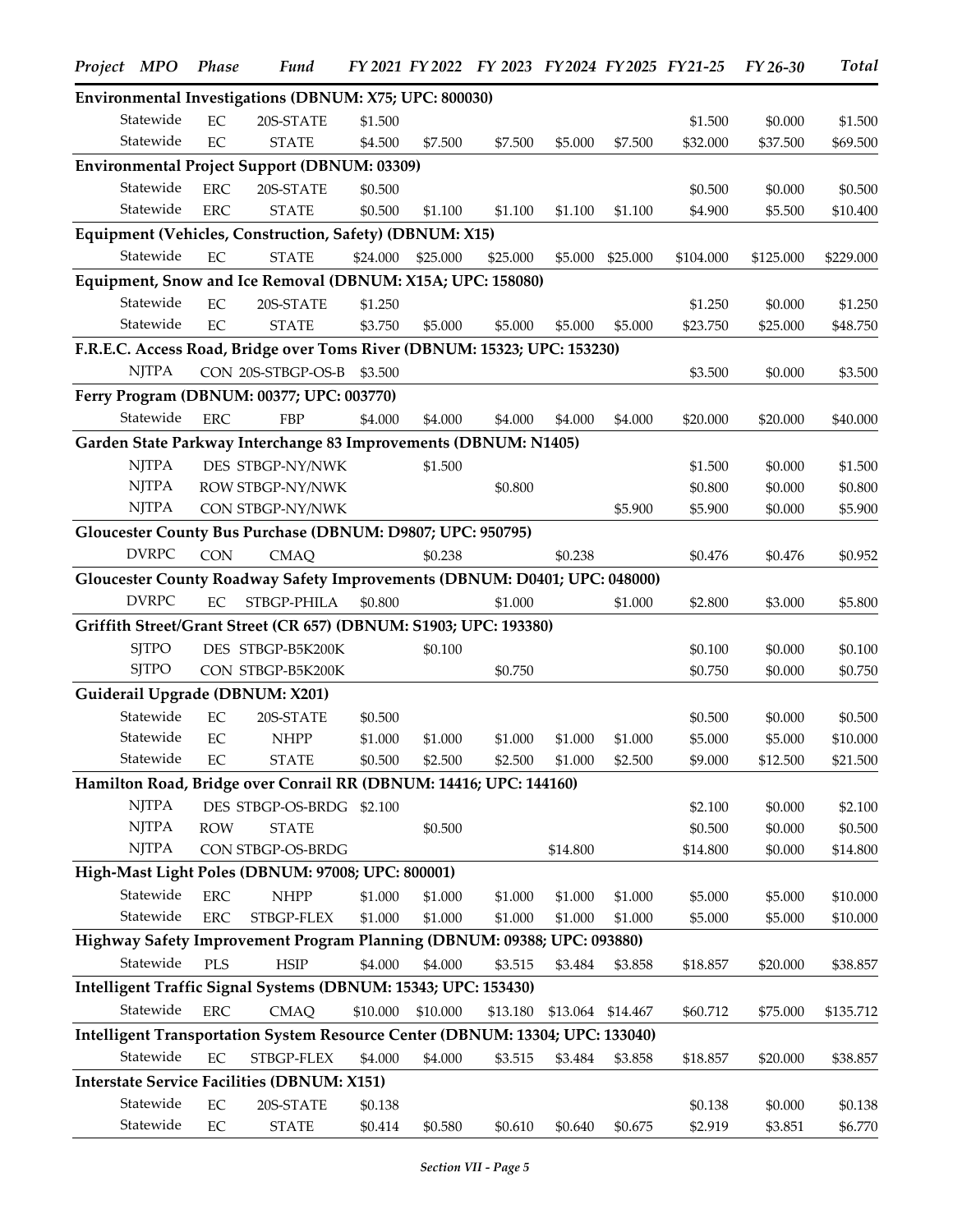| Project MPO  | Phase       | Fund                                                                          |          |          | FY 2021 FY 2022 FY 2023 FY 2024 FY 2025 FY 21-25 |          |                   |           | FY 26-30  | <b>Total</b> |
|--------------|-------------|-------------------------------------------------------------------------------|----------|----------|--------------------------------------------------|----------|-------------------|-----------|-----------|--------------|
|              |             | Environmental Investigations (DBNUM: X75; UPC: 800030)                        |          |          |                                                  |          |                   |           |           |              |
| Statewide    | EC          | 20S-STATE                                                                     | \$1.500  |          |                                                  |          |                   | \$1.500   | \$0.000   | \$1.500      |
| Statewide    | EC          | <b>STATE</b>                                                                  | \$4.500  | \$7.500  | \$7.500                                          | \$5.000  | \$7.500           | \$32.000  | \$37.500  | \$69.500     |
|              |             | <b>Environmental Project Support (DBNUM: 03309)</b>                           |          |          |                                                  |          |                   |           |           |              |
| Statewide    | <b>ERC</b>  | 20S-STATE                                                                     | \$0.500  |          |                                                  |          |                   | \$0.500   | \$0.000   | \$0.500      |
| Statewide    | ${\rm ERC}$ | <b>STATE</b>                                                                  | \$0.500  | \$1.100  | \$1.100                                          | \$1.100  | \$1.100           | \$4.900   | \$5.500   | \$10.400     |
|              |             | Equipment (Vehicles, Construction, Safety) (DBNUM: X15)                       |          |          |                                                  |          |                   |           |           |              |
| Statewide    | EC          | <b>STATE</b>                                                                  | \$24.000 | \$25,000 | \$25.000                                         | \$5.000  | \$25.000          | \$104.000 | \$125.000 | \$229.000    |
|              |             | Equipment, Snow and Ice Removal (DBNUM: X15A; UPC: 158080)                    |          |          |                                                  |          |                   |           |           |              |
| Statewide    | $\rm EC$    | 20S-STATE                                                                     | \$1.250  |          |                                                  |          |                   | \$1.250   | \$0.000   | \$1.250      |
| Statewide    | EC          | <b>STATE</b>                                                                  | \$3.750  | \$5.000  | \$5.000                                          | \$5.000  | \$5.000           | \$23.750  | \$25.000  | \$48.750     |
|              |             | F.R.E.C. Access Road, Bridge over Toms River (DBNUM: 15323; UPC: 153230)      |          |          |                                                  |          |                   |           |           |              |
| <b>NJTPA</b> |             | CON 20S-STBGP-OS-B \$3.500                                                    |          |          |                                                  |          |                   | \$3.500   | \$0.000   | \$3.500      |
|              |             | Ferry Program (DBNUM: 00377; UPC: 003770)                                     |          |          |                                                  |          |                   |           |           |              |
| Statewide    | <b>ERC</b>  | <b>FBP</b>                                                                    | \$4.000  | \$4.000  | \$4.000                                          | \$4.000  | \$4.000           | \$20.000  | \$20.000  | \$40.000     |
|              |             | Garden State Parkway Interchange 83 Improvements (DBNUM: N1405)               |          |          |                                                  |          |                   |           |           |              |
| <b>NJTPA</b> |             | DES STBGP-NY/NWK                                                              |          | \$1.500  |                                                  |          |                   | \$1.500   | \$0.000   | \$1.500      |
| <b>NJTPA</b> |             | ROW STBGP-NY/NWK                                                              |          |          | \$0.800                                          |          |                   | \$0.800   | \$0.000   | \$0.800      |
| <b>NJTPA</b> |             | CON STBGP-NY/NWK                                                              |          |          |                                                  |          | \$5.900           | \$5.900   | \$0.000   | \$5.900      |
|              |             | Gloucester County Bus Purchase (DBNUM: D9807; UPC: 950795)                    |          |          |                                                  |          |                   |           |           |              |
| <b>DVRPC</b> | <b>CON</b>  | <b>CMAQ</b>                                                                   |          | \$0.238  |                                                  | \$0.238  |                   | \$0.476   | \$0.476   | \$0.952      |
|              |             | Gloucester County Roadway Safety Improvements (DBNUM: D0401; UPC: 048000)     |          |          |                                                  |          |                   |           |           |              |
| <b>DVRPC</b> | EC          | STBGP-PHILA                                                                   | \$0.800  |          | \$1.000                                          |          | \$1.000           | \$2.800   | \$3.000   | \$5.800      |
|              |             | Griffith Street/Grant Street (CR 657) (DBNUM: S1903; UPC: 193380)             |          |          |                                                  |          |                   |           |           |              |
| <b>SJTPO</b> |             | DES STBGP-B5K200K                                                             |          | \$0.100  |                                                  |          |                   | \$0.100   | \$0.000   | \$0.100      |
| <b>SJTPO</b> |             | CON STBGP-B5K200K                                                             |          |          | \$0.750                                          |          |                   | \$0.750   | \$0.000   | \$0.750      |
|              |             | Guiderail Upgrade (DBNUM: X201)                                               |          |          |                                                  |          |                   |           |           |              |
| Statewide    | EC          | 20S-STATE                                                                     | \$0.500  |          |                                                  |          |                   | \$0.500   | \$0.000   | \$0.500      |
| Statewide    | EC          | <b>NHPP</b>                                                                   | \$1.000  | \$1.000  | \$1.000                                          | \$1.000  | \$1.000           | \$5.000   | \$5.000   | \$10.000     |
| Statewide    | EC          | <b>STATE</b>                                                                  | \$0.500  | \$2.500  | \$2.500                                          | \$1.000  | \$2.500           | \$9.000   | \$12.500  | \$21.500     |
|              |             | Hamilton Road, Bridge over Conrail RR (DBNUM: 14416; UPC: 144160)             |          |          |                                                  |          |                   |           |           |              |
| <b>NJTPA</b> |             | DES STBGP-OS-BRDG \$2.100                                                     |          |          |                                                  |          |                   | \$2.100   | \$0.000   | \$2.100      |
| <b>NJTPA</b> | <b>ROW</b>  | <b>STATE</b>                                                                  |          | \$0.500  |                                                  |          |                   | \$0.500   | \$0.000   | \$0.500      |
| <b>NJTPA</b> |             | CON STBGP-OS-BRDG                                                             |          |          |                                                  | \$14.800 |                   | \$14.800  | \$0.000   | \$14.800     |
|              |             | High-Mast Light Poles (DBNUM: 97008; UPC: 800001)                             |          |          |                                                  |          |                   |           |           |              |
| Statewide    | ${\rm ERC}$ | <b>NHPP</b>                                                                   | \$1.000  | \$1.000  | \$1.000                                          | \$1.000  | \$1.000           | \$5.000   | \$5.000   | \$10.000     |
| Statewide    | ERC         | STBGP-FLEX                                                                    | \$1.000  | \$1.000  | \$1.000                                          | \$1.000  | \$1.000           | \$5.000   | \$5.000   | \$10.000     |
|              |             | Highway Safety Improvement Program Planning (DBNUM: 09388; UPC: 093880)       |          |          |                                                  |          |                   |           |           |              |
| Statewide    | <b>PLS</b>  | <b>HSIP</b>                                                                   | \$4.000  | \$4.000  | \$3.515                                          | \$3.484  | \$3.858           | \$18.857  | \$20.000  | \$38.857     |
|              |             | Intelligent Traffic Signal Systems (DBNUM: 15343; UPC: 153430)                |          |          |                                                  |          |                   |           |           |              |
| Statewide    | ${\rm ERC}$ | <b>CMAQ</b>                                                                   | \$10.000 | \$10.000 | \$13.180                                         |          | \$13.064 \$14.467 | \$60.712  | \$75.000  | \$135.712    |
|              |             | Intelligent Transportation System Resource Center (DBNUM: 13304; UPC: 133040) |          |          |                                                  |          |                   |           |           |              |
| Statewide    | EC          | STBGP-FLEX                                                                    | \$4.000  | \$4.000  | \$3.515                                          | \$3.484  | \$3.858           | \$18.857  | \$20.000  | \$38.857     |
|              |             | <b>Interstate Service Facilities (DBNUM: X151)</b>                            |          |          |                                                  |          |                   |           |           |              |
| Statewide    | $\rm EC$    | 20S-STATE                                                                     | \$0.138  |          |                                                  |          |                   | \$0.138   | \$0.000   | \$0.138      |
| Statewide    | $\rm EC$    | <b>STATE</b>                                                                  | \$0.414  | \$0.580  | \$0.610                                          | \$0.640  | \$0.675           | \$2.919   | \$3.851   | \$6.770      |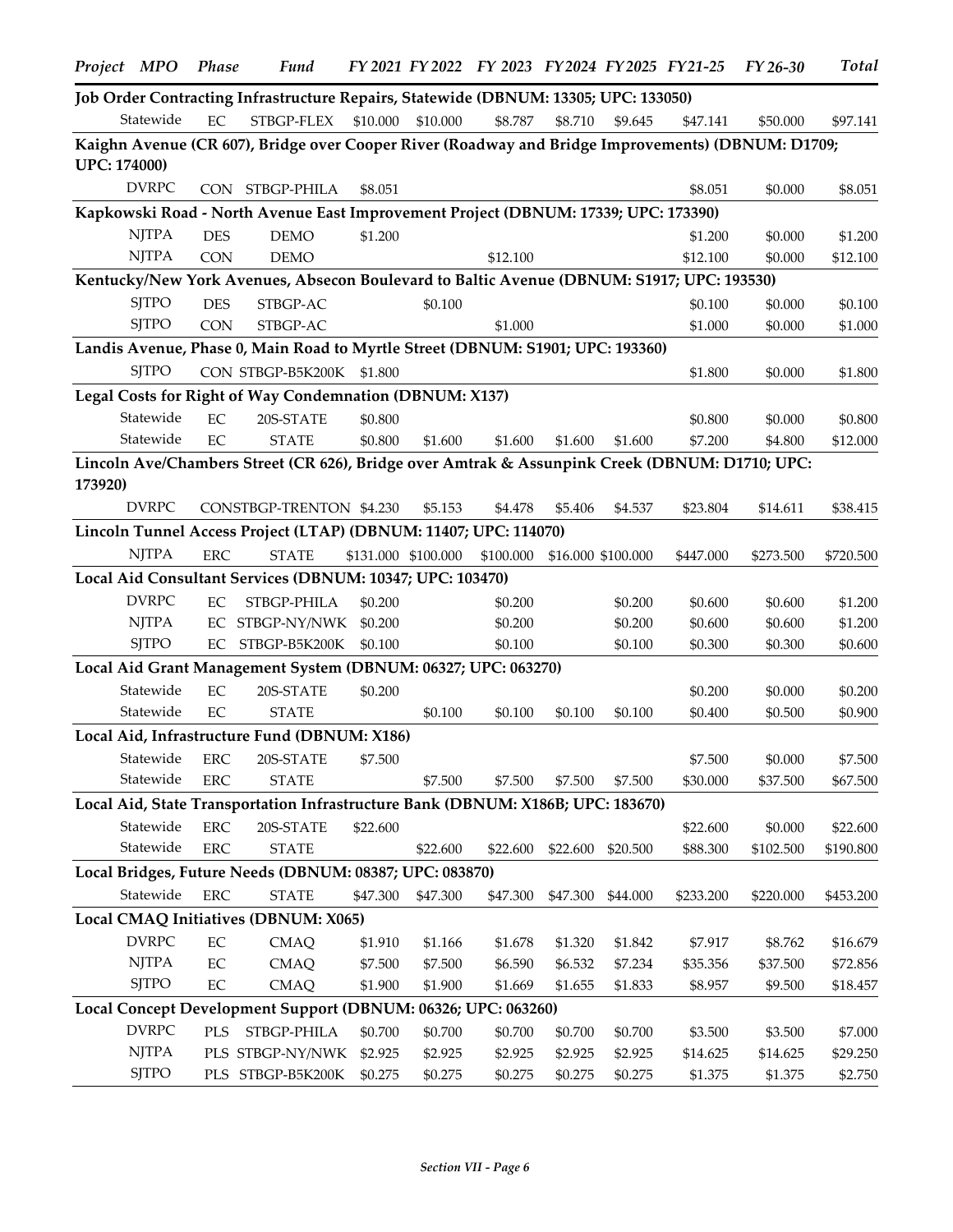|                     | Project MPO  | <b>Phase</b> | <b>Fund</b>                                                                                       |          |                     | FY 2021 FY 2022 FY 2023 FY 2024 FY 2025 FY 21-25 |          |                    |           | FY 26-30            | <b>Total</b> |
|---------------------|--------------|--------------|---------------------------------------------------------------------------------------------------|----------|---------------------|--------------------------------------------------|----------|--------------------|-----------|---------------------|--------------|
|                     |              |              | Job Order Contracting Infrastructure Repairs, Statewide (DBNUM: 13305; UPC: 133050)               |          |                     |                                                  |          |                    |           |                     |              |
|                     | Statewide    | EC           | STBGP-FLEX                                                                                        | \$10.000 | \$10.000            | \$8.787                                          | \$8.710  | \$9.645            | \$47.141  | \$50.000            | \$97.141     |
|                     |              |              | Kaighn Avenue (CR 607), Bridge over Cooper River (Roadway and Bridge Improvements) (DBNUM: D1709; |          |                     |                                                  |          |                    |           |                     |              |
| <b>UPC: 174000)</b> |              |              |                                                                                                   |          |                     |                                                  |          |                    |           |                     |              |
|                     | <b>DVRPC</b> |              | CON STBGP-PHILA                                                                                   | \$8.051  |                     |                                                  |          |                    | \$8.051   | \$0.000             | \$8.051      |
|                     |              |              | Kapkowski Road - North Avenue East Improvement Project (DBNUM: 17339; UPC: 173390)                |          |                     |                                                  |          |                    |           |                     |              |
|                     | <b>NJTPA</b> | <b>DES</b>   | <b>DEMO</b>                                                                                       | \$1.200  |                     |                                                  |          |                    | \$1.200   | \$0.000             | \$1.200      |
|                     | <b>NJTPA</b> | <b>CON</b>   | <b>DEMO</b>                                                                                       |          |                     | \$12.100                                         |          |                    | \$12.100  | \$0.000             | \$12.100     |
|                     |              |              | Kentucky/New York Avenues, Absecon Boulevard to Baltic Avenue (DBNUM: S1917; UPC: 193530)         |          |                     |                                                  |          |                    |           |                     |              |
|                     | <b>SJTPO</b> | <b>DES</b>   | STBGP-AC                                                                                          |          | \$0.100             |                                                  |          |                    | \$0.100   | \$0.000             | \$0.100      |
|                     | <b>SJTPO</b> | <b>CON</b>   | STBGP-AC                                                                                          |          |                     | \$1.000                                          |          |                    | \$1.000   | \$0.000             | \$1.000      |
|                     |              |              | Landis Avenue, Phase 0, Main Road to Myrtle Street (DBNUM: S1901; UPC: 193360)                    |          |                     |                                                  |          |                    |           |                     |              |
|                     | <b>SJTPO</b> |              | CON STBGP-B5K200K                                                                                 | \$1.800  |                     |                                                  |          |                    | \$1.800   | \$0.000             | \$1.800      |
|                     |              |              | Legal Costs for Right of Way Condemnation (DBNUM: X137)                                           |          |                     |                                                  |          |                    |           |                     |              |
|                     | Statewide    | EC           | 20S-STATE                                                                                         | \$0.800  |                     |                                                  |          |                    | \$0.800   | \$0.000             | \$0.800      |
|                     | Statewide    | EC           | <b>STATE</b>                                                                                      | \$0.800  | \$1.600             | \$1.600                                          | \$1.600  | \$1.600            | \$7.200   | \$4.800             | \$12.000     |
|                     |              |              | Lincoln Ave/Chambers Street (CR 626), Bridge over Amtrak & Assunpink Creek (DBNUM: D1710; UPC:    |          |                     |                                                  |          |                    |           |                     |              |
| 173920)             |              |              |                                                                                                   |          |                     |                                                  |          |                    |           |                     |              |
|                     | <b>DVRPC</b> |              | CONSTBGP-TRENTON \$4.230                                                                          |          | \$5.153             | \$4.478                                          | \$5.406  | \$4.537            | \$23.804  | \$14.611            | \$38.415     |
|                     |              |              | Lincoln Tunnel Access Project (LTAP) (DBNUM: 11407; UPC: 114070)                                  |          |                     |                                                  |          |                    |           |                     |              |
|                     | <b>NJTPA</b> | ${\rm ERC}$  | <b>STATE</b>                                                                                      |          | \$131.000 \$100.000 | \$100.000                                        |          | \$16.000 \$100.000 | \$447.000 | \$273.500           | \$720.500    |
|                     |              |              | Local Aid Consultant Services (DBNUM: 10347; UPC: 103470)                                         |          |                     |                                                  |          |                    |           |                     |              |
|                     | <b>DVRPC</b> | EC           | STBGP-PHILA                                                                                       | \$0.200  |                     | \$0.200                                          |          | \$0.200            | \$0.600   | \$0.600             | \$1.200      |
|                     | <b>NJTPA</b> |              | EC STBGP-NY/NWK                                                                                   | \$0.200  |                     | \$0.200                                          |          | \$0.200            | \$0.600   | \$0.600             | \$1.200      |
|                     | <b>SJTPO</b> |              | EC STBGP-B5K200K                                                                                  | \$0.100  |                     | \$0.100                                          |          | \$0.100            | \$0.300   | \$0.300             | \$0.600      |
|                     |              |              | Local Aid Grant Management System (DBNUM: 06327; UPC: 063270)                                     |          |                     |                                                  |          |                    |           |                     |              |
|                     | Statewide    | EC           | 20S-STATE                                                                                         | \$0.200  |                     |                                                  |          |                    | \$0.200   | \$0.000             | \$0.200      |
|                     | Statewide    | EC           | <b>STATE</b>                                                                                      |          | \$0.100             | \$0.100                                          | \$0.100  | \$0.100            | \$0.400   | \$0.500             | \$0.900      |
|                     |              |              | Local Aid, Infrastructure Fund (DBNUM: X186)                                                      |          |                     |                                                  |          |                    |           |                     |              |
|                     | Statewide    | <b>ERC</b>   | 20S-STATE                                                                                         | \$7.500  |                     |                                                  |          |                    | \$7.500   | \$0.000             | \$7.500      |
|                     | Statewide    | <b>ERC</b>   | <b>STATE</b>                                                                                      |          | \$7.500             | \$7.500                                          | \$7.500  | \$7.500            | \$30.000  | \$37.500            | \$67.500     |
|                     |              |              | Local Aid, State Transportation Infrastructure Bank (DBNUM: X186B; UPC: 183670)                   |          |                     |                                                  |          |                    |           |                     |              |
|                     | Statewide    | ERC          | 20S-STATE                                                                                         | \$22.600 |                     |                                                  |          |                    | \$22.600  | \$0.000             | \$22.600     |
|                     | Statewide    | ${\rm ERC}$  | <b>STATE</b>                                                                                      |          | \$22.600            | \$22.600                                         | \$22.600 | \$20.500           | \$88.300  | \$102.500           | \$190.800    |
|                     |              |              | Local Bridges, Future Needs (DBNUM: 08387; UPC: 083870)                                           |          |                     |                                                  |          |                    |           |                     |              |
|                     | Statewide    | <b>ERC</b>   | <b>STATE</b>                                                                                      | \$47.300 | \$47.300            | \$47.300                                         | \$47.300 | \$44.000           | \$233.200 | \$220.000           | \$453.200    |
|                     |              |              | Local CMAQ Initiatives (DBNUM: X065)                                                              |          |                     |                                                  |          |                    |           |                     |              |
|                     | <b>DVRPC</b> | $\rm EC$     | <b>CMAQ</b>                                                                                       | \$1.910  | \$1.166             |                                                  | \$1.320  | \$1.842            | \$7.917   |                     | \$16.679     |
|                     | <b>NJTPA</b> | EC           | <b>CMAQ</b>                                                                                       | \$7.500  | \$7.500             | \$1.678<br>\$6.590                               | \$6.532  | \$7.234            | \$35.356  | \$8.762<br>\$37.500 | \$72.856     |
|                     | <b>SJTPO</b> | $\rm EC$     | <b>CMAQ</b>                                                                                       | \$1.900  | \$1.900             | \$1.669                                          | \$1.655  | \$1.833            | \$8.957   | \$9.500             | \$18.457     |
|                     |              |              | Local Concept Development Support (DBNUM: 06326; UPC: 063260)                                     |          |                     |                                                  |          |                    |           |                     |              |
|                     | <b>DVRPC</b> | PLS          | STBGP-PHILA                                                                                       | \$0.700  | \$0.700             | \$0.700                                          | \$0.700  | \$0.700            | \$3.500   | \$3.500             | \$7.000      |
|                     | <b>NJTPA</b> |              | PLS STBGP-NY/NWK                                                                                  | \$2.925  | \$2.925             | \$2.925                                          | \$2.925  | \$2.925            | \$14.625  | \$14.625            | \$29.250     |
|                     | <b>SJTPO</b> |              | PLS STBGP-B5K200K                                                                                 | \$0.275  | \$0.275             | \$0.275                                          | \$0.275  | \$0.275            | \$1.375   | \$1.375             | \$2.750      |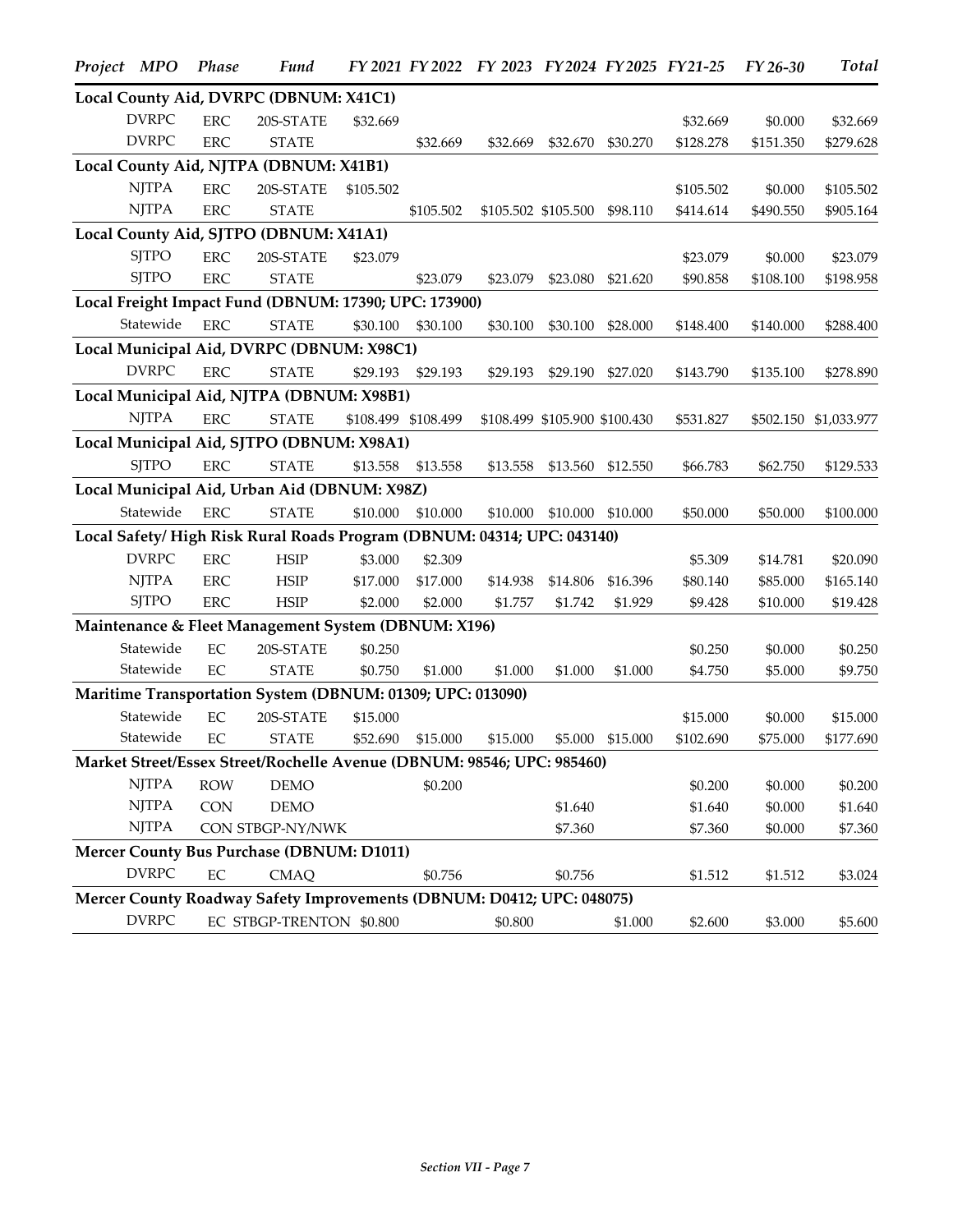| Project MPO |                                                                       | Phase      | <b>Fund</b>                                                            |           |                     | FY 2021 FY 2022 FY 2023 FY 2024 FY 2025 FY 21-25 |                               |          |           | FY 26-30  | <b>Total</b>          |
|-------------|-----------------------------------------------------------------------|------------|------------------------------------------------------------------------|-----------|---------------------|--------------------------------------------------|-------------------------------|----------|-----------|-----------|-----------------------|
|             |                                                                       |            | Local County Aid, DVRPC (DBNUM: X41C1)                                 |           |                     |                                                  |                               |          |           |           |                       |
|             | <b>DVRPC</b>                                                          | <b>ERC</b> | 20S-STATE                                                              | \$32.669  |                     |                                                  |                               |          | \$32.669  | \$0.000   | \$32.669              |
|             | <b>DVRPC</b>                                                          | <b>ERC</b> | <b>STATE</b>                                                           |           | \$32.669            | \$32.669                                         | \$32.670                      | \$30.270 | \$128.278 | \$151.350 | \$279.628             |
|             |                                                                       |            | Local County Aid, NJTPA (DBNUM: X41B1)                                 |           |                     |                                                  |                               |          |           |           |                       |
|             | <b>NJTPA</b>                                                          | <b>ERC</b> | 20S-STATE                                                              | \$105.502 |                     |                                                  |                               |          | \$105.502 | \$0.000   | \$105.502             |
|             | <b>NJTPA</b>                                                          | <b>ERC</b> | <b>STATE</b>                                                           |           | \$105.502           |                                                  | \$105.502 \$105.500           | \$98.110 | \$414.614 | \$490.550 | \$905.164             |
|             |                                                                       |            | Local County Aid, SJTPO (DBNUM: X41A1)                                 |           |                     |                                                  |                               |          |           |           |                       |
|             | <b>SJTPO</b>                                                          | <b>ERC</b> | 20S-STATE                                                              | \$23.079  |                     |                                                  |                               |          | \$23.079  | \$0.000   | \$23.079              |
|             | <b>SJTPO</b>                                                          | <b>ERC</b> | <b>STATE</b>                                                           |           | \$23.079            | \$23.079                                         | \$23.080                      | \$21.620 | \$90.858  | \$108.100 | \$198.958             |
|             |                                                                       |            | Local Freight Impact Fund (DBNUM: 17390; UPC: 173900)                  |           |                     |                                                  |                               |          |           |           |                       |
|             | Statewide                                                             | <b>ERC</b> | <b>STATE</b>                                                           | \$30.100  | \$30.100            | \$30.100                                         | \$30.100                      | \$28.000 | \$148.400 | \$140.000 | \$288.400             |
|             |                                                                       |            | Local Municipal Aid, DVRPC (DBNUM: X98C1)                              |           |                     |                                                  |                               |          |           |           |                       |
|             | <b>DVRPC</b>                                                          | <b>ERC</b> | <b>STATE</b>                                                           | \$29.193  | \$29.193            | \$29.193                                         | \$29.190                      | \$27.020 | \$143.790 | \$135.100 | \$278.890             |
|             |                                                                       |            | Local Municipal Aid, NJTPA (DBNUM: X98B1)                              |           |                     |                                                  |                               |          |           |           |                       |
|             | <b>NJTPA</b>                                                          | <b>ERC</b> | <b>STATE</b>                                                           |           | \$108.499 \$108.499 |                                                  | \$108.499 \$105.900 \$100.430 |          | \$531.827 |           | \$502.150 \$1,033.977 |
|             |                                                                       |            | Local Municipal Aid, SJTPO (DBNUM: X98A1)                              |           |                     |                                                  |                               |          |           |           |                       |
|             | <b>SJTPO</b>                                                          | <b>ERC</b> | <b>STATE</b>                                                           | \$13.558  | \$13.558            | \$13.558                                         | \$13.560                      | \$12.550 | \$66.783  | \$62.750  | \$129.533             |
|             |                                                                       |            | Local Municipal Aid, Urban Aid (DBNUM: X98Z)                           |           |                     |                                                  |                               |          |           |           |                       |
|             | Statewide                                                             | <b>ERC</b> | <b>STATE</b>                                                           | \$10.000  | \$10.000            | \$10.000                                         | \$10.000                      | \$10.000 | \$50.000  | \$50.000  | \$100.000             |
|             |                                                                       |            | Local Safety/High Risk Rural Roads Program (DBNUM: 04314; UPC: 043140) |           |                     |                                                  |                               |          |           |           |                       |
|             | <b>DVRPC</b>                                                          | <b>ERC</b> | <b>HSIP</b>                                                            | \$3.000   | \$2.309             |                                                  |                               |          | \$5.309   | \$14.781  | \$20.090              |
|             | $\ensuremath{\mathrm{N} \mathrm{J} \mathrm{T} \mathrm{P} \mathrm{A}}$ | <b>ERC</b> | <b>HSIP</b>                                                            | \$17.000  | \$17.000            | \$14.938                                         | \$14.806                      | \$16.396 | \$80.140  | \$85.000  | \$165.140             |
|             | <b>SJTPO</b>                                                          | <b>ERC</b> | <b>HSIP</b>                                                            | \$2.000   | \$2.000             | \$1.757                                          | \$1.742                       | \$1.929  | \$9.428   | \$10.000  | \$19.428              |
|             |                                                                       |            | Maintenance & Fleet Management System (DBNUM: X196)                    |           |                     |                                                  |                               |          |           |           |                       |
|             | Statewide                                                             | EC         | 20S-STATE                                                              | \$0.250   |                     |                                                  |                               |          | \$0.250   | \$0.000   | \$0.250               |
|             | Statewide                                                             | EC         | <b>STATE</b>                                                           | \$0.750   | \$1.000             | \$1.000                                          | \$1.000                       | \$1.000  | \$4.750   | \$5.000   | \$9.750               |
|             |                                                                       |            | Maritime Transportation System (DBNUM: 01309; UPC: 013090)             |           |                     |                                                  |                               |          |           |           |                       |
|             | Statewide                                                             | $\rm EC$   | 20S-STATE                                                              | \$15.000  |                     |                                                  |                               |          | \$15.000  | \$0.000   | \$15.000              |
|             | Statewide                                                             | $\rm EC$   | <b>STATE</b>                                                           | \$52.690  | \$15.000            | \$15.000                                         | \$5.000                       | \$15.000 | \$102.690 | \$75.000  | \$177.690             |
|             |                                                                       |            | Market Street/Essex Street/Rochelle Avenue (DBNUM: 98546; UPC: 985460) |           |                     |                                                  |                               |          |           |           |                       |
|             | <b>NJTPA</b>                                                          | <b>ROW</b> | <b>DEMO</b>                                                            |           | \$0.200             |                                                  |                               |          | \$0.200   | \$0.000   | \$0.200               |
|             | <b>NJTPA</b>                                                          | <b>CON</b> | <b>DEMO</b>                                                            |           |                     |                                                  | \$1.640                       |          | \$1.640   | \$0.000   | \$1.640               |
|             | <b>NJTPA</b>                                                          |            | CON STBGP-NY/NWK                                                       |           |                     |                                                  | \$7.360                       |          | \$7.360   | \$0.000   | \$7.360               |
|             |                                                                       |            | <b>Mercer County Bus Purchase (DBNUM: D1011)</b>                       |           |                     |                                                  |                               |          |           |           |                       |
|             | <b>DVRPC</b>                                                          | $\rm EC$   | <b>CMAQ</b>                                                            |           | \$0.756             |                                                  | \$0.756                       |          | \$1.512   | \$1.512   | \$3.024               |
|             |                                                                       |            | Mercer County Roadway Safety Improvements (DBNUM: D0412; UPC: 048075)  |           |                     |                                                  |                               |          |           |           |                       |
|             | <b>DVRPC</b>                                                          |            | EC STBGP-TRENTON \$0.800                                               |           |                     | \$0.800                                          |                               | \$1.000  | \$2.600   | \$3.000   | \$5.600               |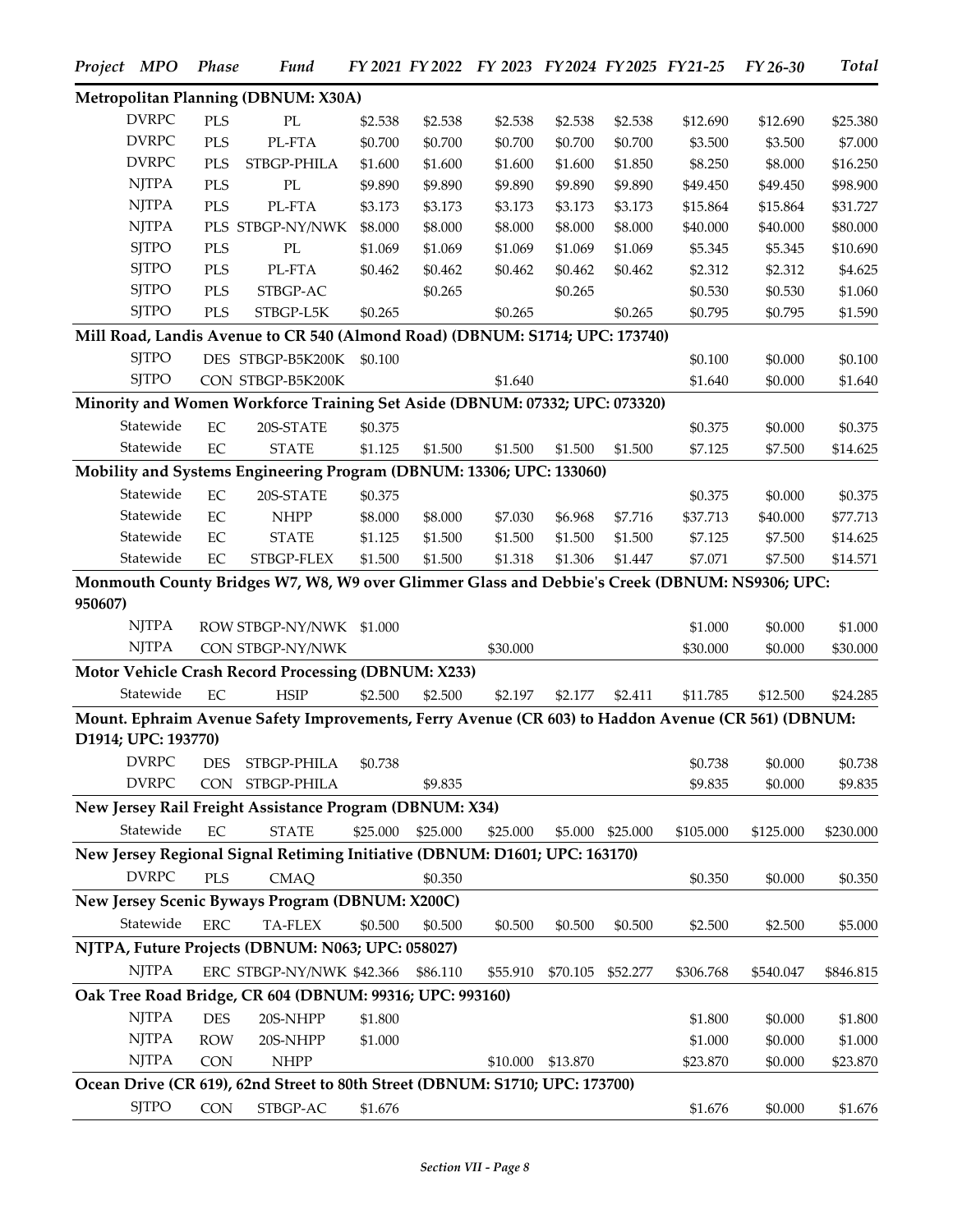|         | Project MPO                  | <b>Phase</b>             | <b>Fund</b>                                                                                        |          |          | FY 2021 FY 2022 FY 2023 FY 2024 FY 2025 FY 21-25 |          |          |           | FY 26-30  | Total     |
|---------|------------------------------|--------------------------|----------------------------------------------------------------------------------------------------|----------|----------|--------------------------------------------------|----------|----------|-----------|-----------|-----------|
|         |                              |                          | Metropolitan Planning (DBNUM: X30A)                                                                |          |          |                                                  |          |          |           |           |           |
|         | <b>DVRPC</b>                 | <b>PLS</b>               | PL                                                                                                 | \$2.538  | \$2.538  | \$2.538                                          | \$2.538  | \$2.538  | \$12.690  | \$12.690  | \$25.380  |
|         | <b>DVRPC</b>                 | PLS                      | PL-FTA                                                                                             | \$0.700  | \$0.700  | \$0.700                                          | \$0.700  | \$0.700  | \$3.500   | \$3.500   | \$7.000   |
|         | <b>DVRPC</b>                 | PLS                      | STBGP-PHILA                                                                                        | \$1.600  | \$1.600  | \$1.600                                          | \$1.600  | \$1.850  | \$8.250   | \$8.000   | \$16.250  |
|         | <b>NJTPA</b>                 | <b>PLS</b>               | $\mathbf{PL}$                                                                                      | \$9.890  | \$9.890  | \$9.890                                          | \$9.890  | \$9.890  | \$49.450  | \$49.450  | \$98.900  |
|         | <b>NJTPA</b>                 | PLS                      | PL-FTA                                                                                             | \$3.173  | \$3.173  | \$3.173                                          | \$3.173  | \$3.173  | \$15.864  | \$15.864  | \$31.727  |
|         | <b>NJTPA</b>                 |                          | PLS STBGP-NY/NWK                                                                                   | \$8.000  | \$8.000  | \$8.000                                          | \$8.000  | \$8.000  | \$40.000  | \$40.000  | \$80.000  |
|         | <b>SJTPO</b>                 | <b>PLS</b>               | PL                                                                                                 | \$1.069  | \$1.069  | \$1.069                                          | \$1.069  | \$1.069  | \$5.345   | \$5.345   | \$10.690  |
|         | <b>SJTPO</b>                 | $\rm PLS$                | PL-FTA                                                                                             | \$0.462  | \$0.462  | \$0.462                                          | \$0.462  | \$0.462  | \$2.312   | \$2.312   | \$4.625   |
|         | <b>SJTPO</b>                 | PLS                      | STBGP-AC                                                                                           |          | \$0.265  |                                                  | \$0.265  |          | \$0.530   | \$0.530   | \$1.060   |
|         | <b>SJTPO</b>                 | PLS                      | ${\rm STBGP\text{-}L5K}$                                                                           | \$0.265  |          | \$0.265                                          |          | \$0.265  | \$0.795   | \$0.795   | \$1.590   |
|         |                              |                          | Mill Road, Landis Avenue to CR 540 (Almond Road) (DBNUM: S1714; UPC: 173740)                       |          |          |                                                  |          |          |           |           |           |
|         | <b>SITPO</b>                 |                          | DES STBGP-B5K200K                                                                                  | \$0.100  |          |                                                  |          |          | \$0.100   | \$0.000   | \$0.100   |
|         | <b>SJTPO</b>                 |                          | CON STBGP-B5K200K                                                                                  |          |          | \$1.640                                          |          |          | \$1.640   | \$0.000   | \$1.640   |
|         |                              |                          | Minority and Women Workforce Training Set Aside (DBNUM: 07332; UPC: 073320)                        |          |          |                                                  |          |          |           |           |           |
|         | Statewide                    | EC                       | 20S-STATE                                                                                          | \$0.375  |          |                                                  |          |          | \$0.375   | \$0.000   | \$0.375   |
|         | Statewide                    | EC                       | <b>STATE</b>                                                                                       | \$1.125  | \$1.500  | \$1.500                                          | \$1.500  | \$1.500  | \$7.125   | \$7.500   | \$14.625  |
|         |                              |                          | Mobility and Systems Engineering Program (DBNUM: 13306; UPC: 133060)                               |          |          |                                                  |          |          |           |           |           |
|         | Statewide                    | $\rm EC$                 | 20S-STATE                                                                                          | \$0.375  |          |                                                  |          |          | \$0.375   | \$0.000   | \$0.375   |
|         | Statewide                    | EC                       | <b>NHPP</b>                                                                                        | \$8.000  | \$8.000  | \$7.030                                          | \$6.968  | \$7.716  | \$37.713  | \$40.000  | \$77.713  |
|         | Statewide                    | EC                       | <b>STATE</b>                                                                                       | \$1.125  | \$1.500  | \$1.500                                          | \$1.500  | \$1.500  | \$7.125   | \$7.500   | \$14.625  |
|         | Statewide                    | EC                       | STBGP-FLEX                                                                                         | \$1.500  | \$1.500  | \$1.318                                          | \$1.306  | \$1.447  | \$7.071   | \$7.500   | \$14.571  |
| 950607) |                              |                          | Monmouth County Bridges W7, W8, W9 over Glimmer Glass and Debbie's Creek (DBNUM: NS9306; UPC:      |          |          |                                                  |          |          |           |           |           |
|         | <b>NJTPA</b>                 |                          | ROW STBGP-NY/NWK \$1.000                                                                           |          |          |                                                  |          |          | \$1.000   | \$0.000   | \$1.000   |
|         | <b>NJTPA</b>                 |                          | CON STBGP-NY/NWK                                                                                   |          |          | \$30.000                                         |          |          | \$30.000  | \$0.000   | \$30.000  |
|         |                              |                          | Motor Vehicle Crash Record Processing (DBNUM: X233)                                                |          |          |                                                  |          |          |           |           |           |
|         | Statewide                    | EC                       | <b>HSIP</b>                                                                                        | \$2.500  | \$2.500  | \$2.197                                          | \$2.177  | \$2.411  | \$11.785  | \$12.500  | \$24.285  |
|         | D1914; UPC: 193770)          |                          | Mount. Ephraim Avenue Safety Improvements, Ferry Avenue (CR 603) to Haddon Avenue (CR 561) (DBNUM: |          |          |                                                  |          |          |           |           |           |
|         | <b>DVRPC</b>                 | <b>DES</b>               | STBGP-PHILA                                                                                        | \$0.738  |          |                                                  |          |          | \$0.738   | \$0.000   | \$0.738   |
|         | <b>DVRPC</b>                 | CON                      | STBGP-PHILA                                                                                        |          | \$9.835  |                                                  |          |          | \$9.835   | \$0.000   | \$9.835   |
|         |                              |                          | New Jersey Rail Freight Assistance Program (DBNUM: X34)                                            |          |          |                                                  |          |          |           |           |           |
|         | Statewide                    | EC                       | <b>STATE</b>                                                                                       | \$25.000 | \$25.000 | \$25.000                                         | \$5.000  | \$25.000 | \$105.000 | \$125.000 | \$230.000 |
|         |                              |                          | New Jersey Regional Signal Retiming Initiative (DBNUM: D1601; UPC: 163170)                         |          |          |                                                  |          |          |           |           |           |
|         | <b>DVRPC</b>                 | <b>PLS</b>               | <b>CMAQ</b>                                                                                        |          | \$0.350  |                                                  |          |          | \$0.350   | \$0.000   | \$0.350   |
|         |                              |                          | New Jersey Scenic Byways Program (DBNUM: X200C)                                                    |          |          |                                                  |          |          |           |           |           |
|         | Statewide                    | ${\rm ERC}$              | TA-FLEX                                                                                            | \$0.500  | \$0.500  | \$0.500                                          | \$0.500  | \$0.500  | \$2.500   | \$2.500   | \$5.000   |
|         |                              |                          | NJTPA, Future Projects (DBNUM: N063; UPC: 058027)                                                  |          |          |                                                  |          |          |           |           |           |
|         | <b>NJTPA</b>                 |                          | ERC STBGP-NY/NWK \$42.366                                                                          |          | \$86.110 | \$55.910                                         | \$70.105 | \$52.277 | \$306.768 | \$540.047 | \$846.815 |
|         |                              |                          | Oak Tree Road Bridge, CR 604 (DBNUM: 99316; UPC: 993160)                                           |          |          |                                                  |          |          |           |           |           |
|         |                              |                          |                                                                                                    |          |          |                                                  |          |          |           |           |           |
|         | <b>NJTPA</b><br><b>NJTPA</b> | <b>DES</b><br><b>ROW</b> | 20S-NHPP                                                                                           | \$1.800  |          |                                                  |          |          | \$1.800   | \$0.000   | \$1.800   |
|         | <b>NJTPA</b>                 | <b>CON</b>               | 20S-NHPP<br><b>NHPP</b>                                                                            | \$1.000  |          |                                                  |          |          | \$1.000   | \$0.000   | \$1.000   |
|         |                              |                          |                                                                                                    |          |          | \$10.000                                         | \$13.870 |          | \$23.870  | \$0.000   | \$23.870  |
|         |                              |                          | Ocean Drive (CR 619), 62nd Street to 80th Street (DBNUM: S1710; UPC: 173700)                       |          |          |                                                  |          |          |           |           |           |
|         | <b>SJTPO</b>                 | <b>CON</b>               | STBGP-AC                                                                                           | \$1.676  |          |                                                  |          |          | \$1.676   | \$0.000   | \$1.676   |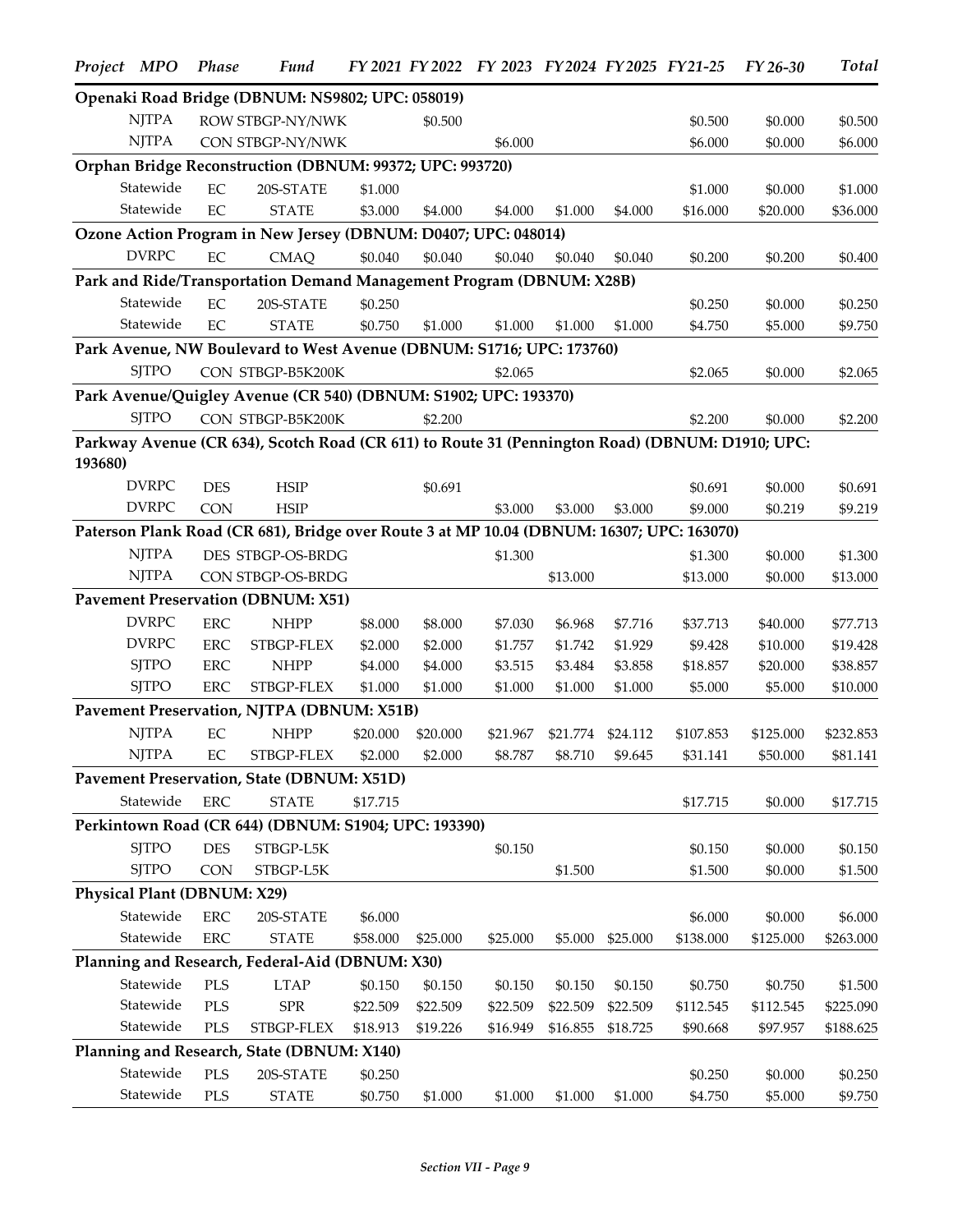|         | Project MPO                   | Phase      | Fund                                                                                            |          |          |          |          |                   | FY 2021 FY 2022 FY 2023 FY 2024 FY 2025 FY 21-25 | FY 26-30  | <b>Total</b> |
|---------|-------------------------------|------------|-------------------------------------------------------------------------------------------------|----------|----------|----------|----------|-------------------|--------------------------------------------------|-----------|--------------|
|         |                               |            | Openaki Road Bridge (DBNUM: NS9802; UPC: 058019)                                                |          |          |          |          |                   |                                                  |           |              |
|         | <b>NJTPA</b>                  |            | ROW STBGP-NY/NWK                                                                                |          | \$0.500  |          |          |                   | \$0.500                                          | \$0.000   | \$0.500      |
|         | <b>NJTPA</b>                  |            | CON STBGP-NY/NWK                                                                                |          |          | \$6.000  |          |                   | \$6.000                                          | \$0.000   | \$6.000      |
|         |                               |            | Orphan Bridge Reconstruction (DBNUM: 99372; UPC: 993720)                                        |          |          |          |          |                   |                                                  |           |              |
|         | Statewide                     | EC         | 20S-STATE                                                                                       | \$1.000  |          |          |          |                   | \$1.000                                          | \$0.000   | \$1.000      |
|         | Statewide                     | EC         | <b>STATE</b>                                                                                    | \$3.000  | \$4.000  | \$4.000  | \$1.000  | \$4.000           | \$16.000                                         | \$20.000  | \$36.000     |
|         |                               |            | Ozone Action Program in New Jersey (DBNUM: D0407; UPC: 048014)                                  |          |          |          |          |                   |                                                  |           |              |
|         | <b>DVRPC</b>                  | EC         | <b>CMAQ</b>                                                                                     | \$0.040  | \$0.040  | \$0.040  | \$0.040  | \$0.040           | \$0.200                                          | \$0.200   | \$0.400      |
|         |                               |            | Park and Ride/Transportation Demand Management Program (DBNUM: X28B)                            |          |          |          |          |                   |                                                  |           |              |
|         | Statewide                     | EC         | 20S-STATE                                                                                       | \$0.250  |          |          |          |                   | \$0.250                                          | \$0.000   | \$0.250      |
|         | Statewide                     | EC         | <b>STATE</b>                                                                                    | \$0.750  | \$1.000  | \$1.000  | \$1.000  | \$1.000           | \$4.750                                          | \$5.000   | \$9.750      |
|         |                               |            | Park Avenue, NW Boulevard to West Avenue (DBNUM: S1716; UPC: 173760)                            |          |          |          |          |                   |                                                  |           |              |
|         | <b>SJTPO</b>                  |            | CON STBGP-B5K200K                                                                               |          |          | \$2.065  |          |                   | \$2.065                                          | \$0.000   | \$2.065      |
|         |                               |            | Park Avenue/Quigley Avenue (CR 540) (DBNUM: S1902; UPC: 193370)                                 |          |          |          |          |                   |                                                  |           |              |
|         | <b>SJTPO</b>                  |            |                                                                                                 |          |          |          |          |                   |                                                  |           |              |
|         |                               |            | CON STBGP-B5K200K                                                                               |          | \$2.200  |          |          |                   | \$2.200                                          | \$0.000   | \$2.200      |
| 193680) |                               |            | Parkway Avenue (CR 634), Scotch Road (CR 611) to Route 31 (Pennington Road) (DBNUM: D1910; UPC: |          |          |          |          |                   |                                                  |           |              |
|         | $\ensuremath{\mathrm{DVRPC}}$ | <b>DES</b> | <b>HSIP</b>                                                                                     |          | \$0.691  |          |          |                   | \$0.691                                          | \$0.000   | \$0.691      |
|         | <b>DVRPC</b>                  | <b>CON</b> | <b>HSIP</b>                                                                                     |          |          | \$3.000  | \$3.000  | \$3.000           | \$9.000                                          | \$0.219   | \$9.219      |
|         |                               |            | Paterson Plank Road (CR 681), Bridge over Route 3 at MP 10.04 (DBNUM: 16307; UPC: 163070)       |          |          |          |          |                   |                                                  |           |              |
|         | <b>NJTPA</b>                  |            | DES STBGP-OS-BRDG                                                                               |          |          | \$1.300  |          |                   | \$1.300                                          | \$0.000   | \$1.300      |
|         | <b>NJTPA</b>                  |            | CON STBGP-OS-BRDG                                                                               |          |          |          | \$13.000 |                   | \$13.000                                         | \$0.000   | \$13.000     |
|         |                               |            | <b>Pavement Preservation (DBNUM: X51)</b>                                                       |          |          |          |          |                   |                                                  |           |              |
|         | <b>DVRPC</b>                  | <b>ERC</b> | <b>NHPP</b>                                                                                     | \$8.000  | \$8.000  | \$7.030  | \$6.968  | \$7.716           | \$37.713                                         | \$40.000  | \$77.713     |
|         | <b>DVRPC</b>                  | <b>ERC</b> | STBGP-FLEX                                                                                      | \$2.000  | \$2.000  | \$1.757  | \$1.742  | \$1.929           | \$9.428                                          | \$10.000  | \$19.428     |
|         | <b>SJTPO</b>                  | <b>ERC</b> | <b>NHPP</b>                                                                                     | \$4.000  | \$4.000  | \$3.515  | \$3.484  | \$3.858           | \$18.857                                         | \$20.000  | \$38.857     |
|         | <b>SJTPO</b>                  | <b>ERC</b> | STBGP-FLEX                                                                                      | \$1.000  | \$1.000  | \$1.000  | \$1.000  | \$1.000           | \$5.000                                          | \$5.000   | \$10.000     |
|         |                               |            | Pavement Preservation, NJTPA (DBNUM: X51B)                                                      |          |          |          |          |                   |                                                  |           |              |
|         | <b>NJTPA</b>                  | EC         | <b>NHPP</b>                                                                                     | \$20.000 | \$20.000 | \$21.967 |          | \$21.774 \$24.112 | \$107.853                                        | \$125.000 | \$232.853    |
|         | <b>NJTPA</b>                  | $\rm EC$   | STBGP-FLEX                                                                                      | \$2.000  | \$2.000  | \$8.787  |          | \$8.710 \$9.645   | \$31.141                                         | \$50.000  | \$81.141     |
|         |                               |            | Pavement Preservation, State (DBNUM: X51D)                                                      |          |          |          |          |                   |                                                  |           |              |
|         | Statewide                     | <b>ERC</b> | <b>STATE</b>                                                                                    | \$17.715 |          |          |          |                   | \$17.715                                         | \$0.000   | \$17.715     |
|         |                               |            | Perkintown Road (CR 644) (DBNUM: S1904; UPC: 193390)                                            |          |          |          |          |                   |                                                  |           |              |
|         | <b>SJTPO</b>                  | <b>DES</b> | STBGP-L5K                                                                                       |          |          | \$0.150  |          |                   | \$0.150                                          | \$0.000   | \$0.150      |
|         | <b>SJTPO</b>                  | <b>CON</b> | STBGP-L5K                                                                                       |          |          |          | \$1.500  |                   | \$1.500                                          | \$0.000   | \$1.500      |
|         | Physical Plant (DBNUM: X29)   |            |                                                                                                 |          |          |          |          |                   |                                                  |           |              |
|         | Statewide                     | <b>ERC</b> | 20S-STATE                                                                                       | \$6.000  |          |          |          |                   | \$6.000                                          | \$0.000   | \$6.000      |
|         | Statewide                     | <b>ERC</b> | <b>STATE</b>                                                                                    | \$58.000 | \$25.000 | \$25.000 | \$5.000  | \$25.000          | \$138.000                                        | \$125.000 | \$263.000    |
|         |                               |            | Planning and Research, Federal-Aid (DBNUM: X30)                                                 |          |          |          |          |                   |                                                  |           |              |
|         | Statewide                     | <b>PLS</b> | <b>LTAP</b>                                                                                     | \$0.150  | \$0.150  | \$0.150  | \$0.150  | \$0.150           | \$0.750                                          | \$0.750   | \$1.500      |
|         | Statewide                     | <b>PLS</b> | ${\rm SPR}$                                                                                     | \$22.509 | \$22.509 | \$22.509 | \$22.509 | \$22.509          | \$112.545                                        | \$112.545 | \$225.090    |
|         | Statewide                     | <b>PLS</b> | STBGP-FLEX                                                                                      | \$18.913 | \$19.226 | \$16.949 | \$16.855 | \$18.725          | \$90.668                                         | \$97.957  | \$188.625    |
|         |                               |            | Planning and Research, State (DBNUM: X140)                                                      |          |          |          |          |                   |                                                  |           |              |
|         | Statewide                     | <b>PLS</b> | 20S-STATE                                                                                       | \$0.250  |          |          |          |                   | \$0.250                                          | \$0.000   | \$0.250      |
|         | Statewide                     | PLS        | <b>STATE</b>                                                                                    | \$0.750  | \$1.000  | \$1.000  | \$1.000  | \$1.000           | \$4.750                                          | \$5.000   | \$9.750      |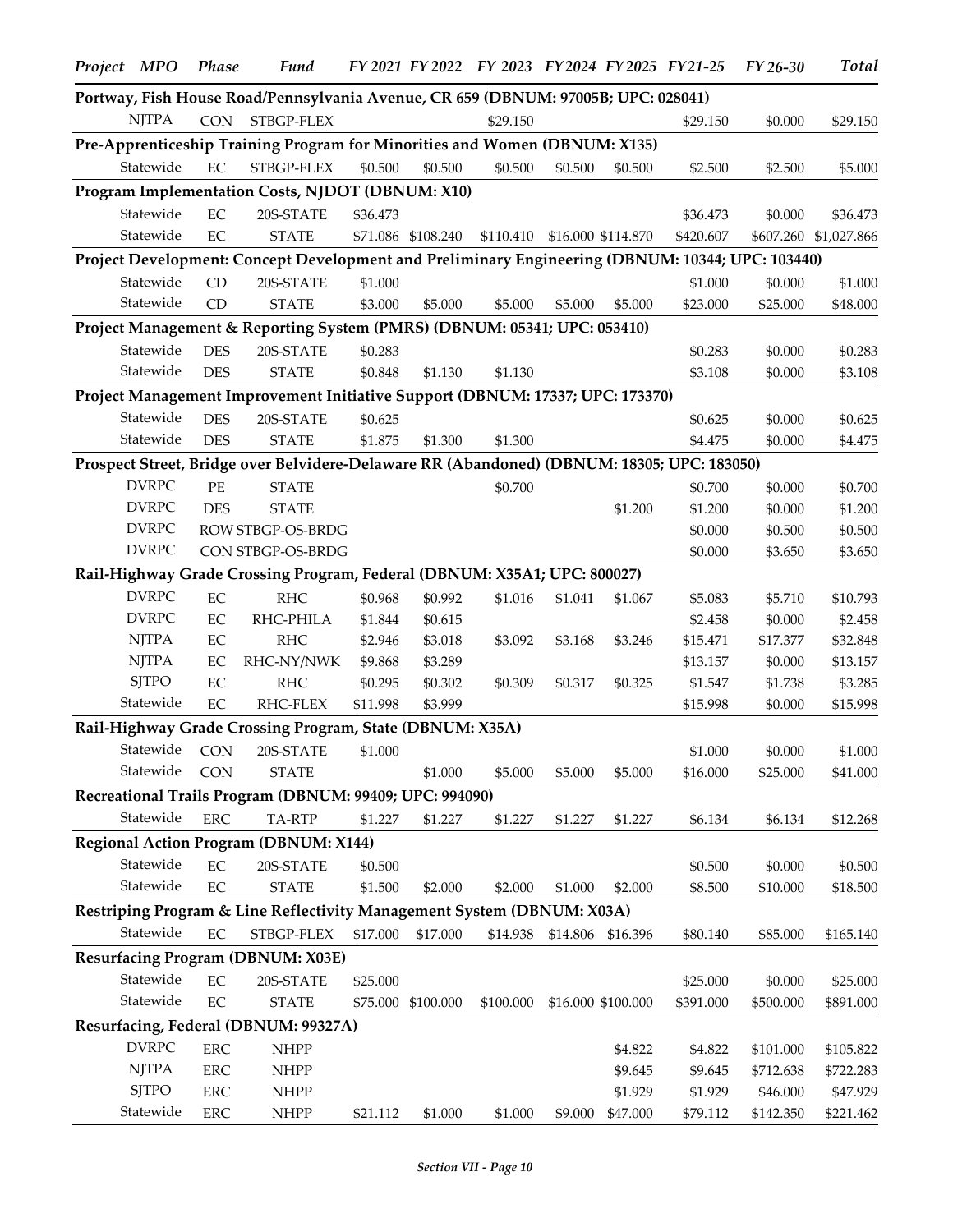| Project MPO                  | Phase       | Fund                                                                                             |          |                    | FY 2021 FY 2022 FY 2023 FY 2024 FY 2025 FY 21-25 |         |                     |                     | FY 26-30              | <b>Total</b>          |
|------------------------------|-------------|--------------------------------------------------------------------------------------------------|----------|--------------------|--------------------------------------------------|---------|---------------------|---------------------|-----------------------|-----------------------|
|                              |             | Portway, Fish House Road/Pennsylvania Avenue, CR 659 (DBNUM: 97005B; UPC: 028041)                |          |                    |                                                  |         |                     |                     |                       |                       |
| <b>NJTPA</b>                 | <b>CON</b>  | STBGP-FLEX                                                                                       |          |                    | \$29.150                                         |         |                     | \$29.150            | \$0.000               | \$29.150              |
|                              |             | Pre-Apprenticeship Training Program for Minorities and Women (DBNUM: X135)                       |          |                    |                                                  |         |                     |                     |                       |                       |
| Statewide                    | EC          | STBGP-FLEX                                                                                       | \$0.500  | \$0.500            | \$0.500                                          | \$0.500 | \$0.500             | \$2.500             | \$2.500               | \$5.000               |
|                              |             | Program Implementation Costs, NJDOT (DBNUM: X10)                                                 |          |                    |                                                  |         |                     |                     |                       |                       |
| Statewide                    | $\rm EC$    | 20S-STATE                                                                                        | \$36.473 |                    |                                                  |         |                     | \$36.473            | \$0.000               | \$36.473              |
| Statewide                    | EC          | <b>STATE</b>                                                                                     |          | \$71.086 \$108.240 | \$110.410                                        |         | \$16.000 \$114.870  | \$420.607           | \$607.260             | \$1,027.866           |
|                              |             | Project Development: Concept Development and Preliminary Engineering (DBNUM: 10344; UPC: 103440) |          |                    |                                                  |         |                     |                     |                       |                       |
| Statewide                    | CD          | 20S-STATE                                                                                        | \$1.000  |                    |                                                  |         |                     | \$1.000             | \$0.000               | \$1.000               |
| Statewide                    | CD          | <b>STATE</b>                                                                                     | \$3.000  | \$5.000            | \$5.000                                          | \$5.000 | \$5.000             | \$23.000            | \$25.000              | \$48.000              |
|                              |             | Project Management & Reporting System (PMRS) (DBNUM: 05341; UPC: 053410)                         |          |                    |                                                  |         |                     |                     |                       |                       |
| Statewide                    | <b>DES</b>  | 20S-STATE                                                                                        | \$0.283  |                    |                                                  |         |                     | \$0.283             | \$0.000               | \$0.283               |
| Statewide                    | <b>DES</b>  | <b>STATE</b>                                                                                     | \$0.848  | \$1.130            | \$1.130                                          |         |                     | \$3.108             | \$0.000               | \$3.108               |
|                              |             | Project Management Improvement Initiative Support (DBNUM: 17337; UPC: 173370)                    |          |                    |                                                  |         |                     |                     |                       |                       |
| Statewide                    | <b>DES</b>  | 20S-STATE                                                                                        | \$0.625  |                    |                                                  |         |                     |                     | \$0.000               |                       |
| Statewide                    | <b>DES</b>  | <b>STATE</b>                                                                                     | \$1.875  | \$1.300            | \$1.300                                          |         |                     | \$0.625<br>\$4.475  | \$0.000               | \$0.625<br>\$4.475    |
|                              |             | Prospect Street, Bridge over Belvidere-Delaware RR (Abandoned) (DBNUM: 18305; UPC: 183050)       |          |                    |                                                  |         |                     |                     |                       |                       |
| <b>DVRPC</b>                 | $\rm PE$    | <b>STATE</b>                                                                                     |          |                    |                                                  |         |                     |                     |                       |                       |
| <b>DVRPC</b>                 | <b>DES</b>  | <b>STATE</b>                                                                                     |          |                    | \$0.700                                          |         | \$1.200             | \$0.700<br>\$1.200  | \$0.000<br>\$0.000    | \$0.700<br>\$1.200    |
| <b>DVRPC</b>                 |             | ROW STBGP-OS-BRDG                                                                                |          |                    |                                                  |         |                     | \$0.000             | \$0.500               | \$0.500               |
| <b>DVRPC</b>                 |             | CON STBGP-OS-BRDG                                                                                |          |                    |                                                  |         |                     | \$0.000             | \$3.650               | \$3.650               |
|                              |             | Rail-Highway Grade Crossing Program, Federal (DBNUM: X35A1; UPC: 800027)                         |          |                    |                                                  |         |                     |                     |                       |                       |
| <b>DVRPC</b>                 | $\rm EC$    | RHC                                                                                              | \$0.968  | \$0.992            | \$1.016                                          | \$1.041 | \$1.067             | \$5.083             | \$5.710               | \$10.793              |
| <b>DVRPC</b>                 | $\rm EC$    | RHC-PHILA                                                                                        | \$1.844  | \$0.615            |                                                  |         |                     | \$2.458             | \$0.000               | \$2.458               |
| <b>NJTPA</b>                 | EC          | <b>RHC</b>                                                                                       | \$2.946  | \$3.018            | \$3.092                                          | \$3.168 | \$3.246             | \$15.471            | \$17.377              | \$32.848              |
| <b>NJTPA</b>                 | $\rm EC$    | RHC-NY/NWK                                                                                       | \$9.868  | \$3.289            |                                                  |         |                     | \$13.157            | \$0.000               | \$13.157              |
| <b>SJTPO</b>                 | EC          | <b>RHC</b>                                                                                       | \$0.295  | \$0.302            | \$0.309                                          | \$0.317 | \$0.325             | \$1.547             | \$1.738               | \$3.285               |
| Statewide                    | EC          | RHC-FLEX                                                                                         | \$11.998 | \$3.999            |                                                  |         |                     | \$15.998            | \$0.000               | \$15.998              |
|                              |             | Rail-Highway Grade Crossing Program, State (DBNUM: X35A)                                         |          |                    |                                                  |         |                     |                     |                       |                       |
| Statewide                    | CON         | 20S-STATE                                                                                        | \$1.000  |                    |                                                  |         |                     | \$1.000             | \$0.000               | \$1.000               |
| Statewide                    | <b>CON</b>  | <b>STATE</b>                                                                                     |          | \$1.000            | \$5.000                                          | \$5.000 | \$5.000             | \$16.000            | \$25.000              | \$41.000              |
|                              |             | Recreational Trails Program (DBNUM: 99409; UPC: 994090)                                          |          |                    |                                                  |         |                     |                     |                       |                       |
| Statewide                    | ${\rm ERC}$ | TA-RTP                                                                                           | \$1.227  | \$1.227            | \$1.227                                          | \$1.227 | \$1.227             | \$6.134             | \$6.134               | \$12.268              |
|                              |             | <b>Regional Action Program (DBNUM: X144)</b>                                                     |          |                    |                                                  |         |                     |                     |                       |                       |
| Statewide                    | $\rm EC$    | 20S-STATE                                                                                        | \$0.500  |                    |                                                  |         |                     | \$0.500             | \$0.000               | \$0.500               |
| Statewide                    | $\rm EC$    | <b>STATE</b>                                                                                     | \$1.500  | \$2.000            | \$2.000                                          | \$1.000 | \$2.000             | \$8.500             | \$10.000              | \$18.500              |
|                              |             | Restriping Program & Line Reflectivity Management System (DBNUM: X03A)                           |          |                    |                                                  |         |                     |                     |                       |                       |
| Statewide                    | $\rm EC$    | STBGP-FLEX                                                                                       | \$17.000 | \$17.000           |                                                  |         |                     |                     | \$85,000              | \$165.140             |
|                              |             |                                                                                                  |          |                    | \$14.938                                         |         | \$14.806 \$16.396   | \$80.140            |                       |                       |
|                              |             | <b>Resurfacing Program (DBNUM: X03E)</b>                                                         |          |                    |                                                  |         |                     |                     |                       |                       |
| Statewide<br>Statewide       | $\rm EC$    | 20S-STATE                                                                                        | \$25.000 |                    |                                                  |         |                     | \$25.000            | \$0.000               | \$25.000              |
|                              | $\rm EC$    | <b>STATE</b>                                                                                     |          | \$75.000 \$100.000 | \$100.000                                        |         | \$16.000 \$100.000  | \$391.000           | \$500.000             | \$891.000             |
|                              |             | Resurfacing, Federal (DBNUM: 99327A)                                                             |          |                    |                                                  |         |                     |                     |                       |                       |
| <b>DVRPC</b>                 | ERC         | <b>NHPP</b>                                                                                      |          |                    |                                                  |         | \$4.822             | \$4.822             | \$101.000             | \$105.822             |
| <b>NJTPA</b><br><b>SJTPO</b> | ERC<br>ERC  | <b>NHPP</b>                                                                                      |          |                    |                                                  |         | \$9.645             | \$9.645             | \$712.638             | \$722.283             |
| Statewide                    | ERC         | <b>NHPP</b><br><b>NHPP</b>                                                                       | \$21.112 | \$1.000            | \$1.000                                          | \$9.000 | \$1.929<br>\$47.000 | \$1.929<br>\$79.112 | \$46.000<br>\$142.350 | \$47.929<br>\$221.462 |
|                              |             |                                                                                                  |          |                    |                                                  |         |                     |                     |                       |                       |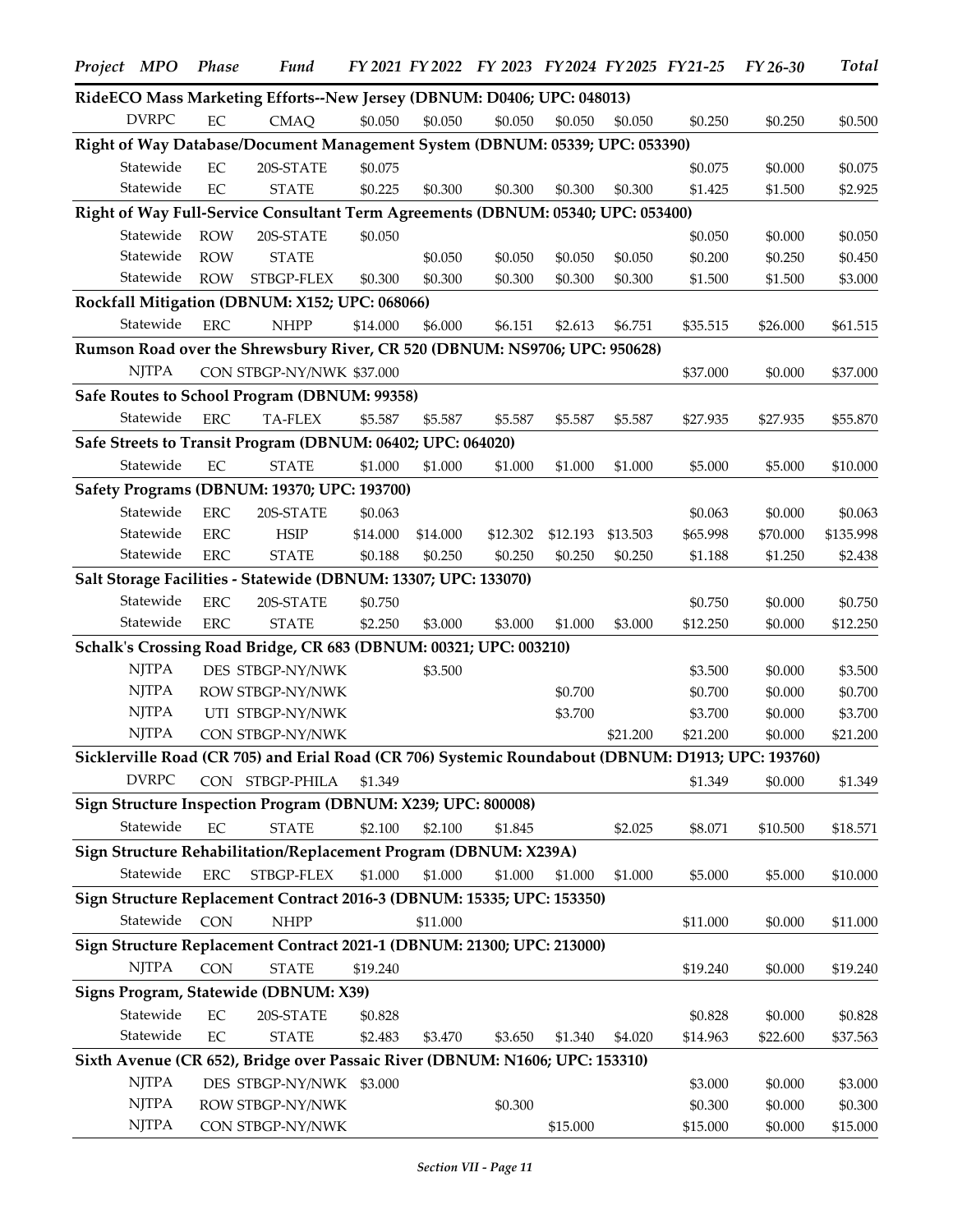| Project MPO  | Phase       | <b>Fund</b>                                                                                        |          |          | FY 2021 FY 2022 FY 2023 FY 2024 FY 2025 FY 21-25 |          |          |                     | $FY26-30$          | <b>Total</b>        |
|--------------|-------------|----------------------------------------------------------------------------------------------------|----------|----------|--------------------------------------------------|----------|----------|---------------------|--------------------|---------------------|
|              |             | RideECO Mass Marketing Efforts--New Jersey (DBNUM: D0406; UPC: 048013)                             |          |          |                                                  |          |          |                     |                    |                     |
| <b>DVRPC</b> | EC          | <b>CMAQ</b>                                                                                        | \$0.050  | \$0.050  | \$0.050                                          | \$0.050  | \$0.050  | \$0.250             | \$0.250            | \$0.500             |
|              |             | Right of Way Database/Document Management System (DBNUM: 05339; UPC: 053390)                       |          |          |                                                  |          |          |                     |                    |                     |
| Statewide    | $\rm EC$    | 20S-STATE                                                                                          | \$0.075  |          |                                                  |          |          | \$0.075             | \$0.000            | \$0.075             |
| Statewide    | $\rm EC$    | <b>STATE</b>                                                                                       | \$0.225  | \$0.300  | \$0.300                                          | \$0.300  | \$0.300  | \$1.425             | \$1.500            | \$2.925             |
|              |             | Right of Way Full-Service Consultant Term Agreements (DBNUM: 05340; UPC: 053400)                   |          |          |                                                  |          |          |                     |                    |                     |
| Statewide    | <b>ROW</b>  | 20S-STATE                                                                                          | \$0.050  |          |                                                  |          |          | \$0.050             | \$0.000            | \$0.050             |
| Statewide    | <b>ROW</b>  | <b>STATE</b>                                                                                       |          | \$0.050  | \$0.050                                          | \$0.050  | \$0.050  | \$0.200             | \$0.250            | \$0.450             |
| Statewide    | <b>ROW</b>  | STBGP-FLEX                                                                                         | \$0.300  | \$0.300  | \$0.300                                          | \$0.300  | \$0.300  | \$1.500             | \$1.500            | \$3.000             |
|              |             | Rockfall Mitigation (DBNUM: X152; UPC: 068066)                                                     |          |          |                                                  |          |          |                     |                    |                     |
| Statewide    | ERC         | <b>NHPP</b>                                                                                        | \$14.000 | \$6.000  | \$6.151                                          | \$2.613  | \$6.751  | \$35.515            | \$26.000           | \$61.515            |
|              |             | Rumson Road over the Shrewsbury River, CR 520 (DBNUM: NS9706; UPC: 950628)                         |          |          |                                                  |          |          |                     |                    |                     |
| <b>NJTPA</b> |             | CON STBGP-NY/NWK \$37.000                                                                          |          |          |                                                  |          |          | \$37.000            | \$0.000            | \$37.000            |
|              |             | Safe Routes to School Program (DBNUM: 99358)                                                       |          |          |                                                  |          |          |                     |                    |                     |
| Statewide    | <b>ERC</b>  | <b>TA-FLEX</b>                                                                                     | \$5.587  | \$5.587  | \$5.587                                          | \$5.587  | \$5.587  | \$27.935            | \$27.935           | \$55.870            |
|              |             | Safe Streets to Transit Program (DBNUM: 06402; UPC: 064020)                                        |          |          |                                                  |          |          |                     |                    |                     |
| Statewide    | $\rm EC$    | <b>STATE</b>                                                                                       | \$1.000  | \$1.000  | \$1.000                                          | \$1.000  | \$1.000  | \$5.000             | \$5.000            | \$10.000            |
|              |             | Safety Programs (DBNUM: 19370; UPC: 193700)                                                        |          |          |                                                  |          |          |                     |                    |                     |
| Statewide    | <b>ERC</b>  | 20S-STATE                                                                                          | \$0.063  |          |                                                  |          |          | \$0.063             | \$0.000            | \$0.063             |
| Statewide    | ${\rm ERC}$ | <b>HSIP</b>                                                                                        | \$14.000 | \$14.000 | \$12.302                                         | \$12.193 | \$13.503 | \$65.998            | \$70.000           | \$135.998           |
| Statewide    | ${\rm ERC}$ | <b>STATE</b>                                                                                       | \$0.188  | \$0.250  | \$0.250                                          | \$0.250  | \$0.250  | \$1.188             | \$1.250            | \$2.438             |
|              |             | Salt Storage Facilities - Statewide (DBNUM: 13307; UPC: 133070)                                    |          |          |                                                  |          |          |                     |                    |                     |
| Statewide    | ${\rm ERC}$ | 20S-STATE                                                                                          | \$0.750  |          |                                                  |          |          | \$0.750             | \$0.000            | \$0.750             |
| Statewide    | ${\rm ERC}$ | <b>STATE</b>                                                                                       | \$2.250  | \$3.000  | \$3.000                                          | \$1.000  | \$3.000  | \$12.250            | \$0.000            | \$12.250            |
|              |             | Schalk's Crossing Road Bridge, CR 683 (DBNUM: 00321; UPC: 003210)                                  |          |          |                                                  |          |          |                     |                    |                     |
| <b>NJTPA</b> |             | DES STBGP-NY/NWK                                                                                   |          | \$3.500  |                                                  |          |          | \$3.500             | \$0.000            | \$3.500             |
| <b>NJTPA</b> |             | ROW STBGP-NY/NWK                                                                                   |          |          |                                                  | \$0.700  |          | \$0.700             | \$0.000            | \$0.700             |
| <b>NJTPA</b> |             | UTI STBGP-NY/NWK                                                                                   |          |          |                                                  | \$3.700  |          | \$3.700             | \$0.000            | \$3.700             |
| <b>NJTPA</b> |             | CON STBGP-NY/NWK                                                                                   |          |          |                                                  |          | \$21.200 | \$21.200            | \$0.000            | \$21.200            |
|              |             | Sicklerville Road (CR 705) and Erial Road (CR 706) Systemic Roundabout (DBNUM: D1913; UPC: 193760) |          |          |                                                  |          |          |                     |                    |                     |
| <b>DVRPC</b> |             | CON STBGP-PHILA                                                                                    | \$1.349  |          |                                                  |          |          | \$1.349             | \$0.000            | \$1.349             |
|              |             | Sign Structure Inspection Program (DBNUM: X239; UPC: 800008)                                       |          |          |                                                  |          |          |                     |                    |                     |
| Statewide    | $\rm EC$    | <b>STATE</b>                                                                                       | \$2.100  | \$2.100  | \$1.845                                          |          | \$2.025  | \$8.071             | \$10.500           | \$18.571            |
|              |             | Sign Structure Rehabilitation/Replacement Program (DBNUM: X239A)                                   |          |          |                                                  |          |          |                     |                    |                     |
| Statewide    | ${\rm ERC}$ | STBGP-FLEX                                                                                         | \$1.000  | \$1.000  | \$1.000                                          | \$1.000  | \$1.000  | \$5.000             | \$5.000            | \$10.000            |
|              |             | Sign Structure Replacement Contract 2016-3 (DBNUM: 15335; UPC: 153350)                             |          |          |                                                  |          |          |                     |                    |                     |
| Statewide    | <b>CON</b>  | <b>NHPP</b>                                                                                        |          | \$11.000 |                                                  |          |          | \$11.000            | \$0.000            | \$11.000            |
|              |             | Sign Structure Replacement Contract 2021-1 (DBNUM: 21300; UPC: 213000)                             |          |          |                                                  |          |          |                     |                    |                     |
| <b>NJTPA</b> | CON         | <b>STATE</b>                                                                                       | \$19.240 |          |                                                  |          |          | \$19.240            | \$0.000            | \$19.240            |
|              |             | Signs Program, Statewide (DBNUM: X39)                                                              |          |          |                                                  |          |          |                     |                    |                     |
| Statewide    | $\rm EC$    |                                                                                                    |          |          |                                                  |          |          |                     |                    |                     |
| Statewide    | $\rm EC$    | 20S-STATE<br><b>STATE</b>                                                                          | \$0.828  |          |                                                  |          |          | \$0.828             | \$0.000            | \$0.828             |
|              |             |                                                                                                    | \$2.483  | \$3.470  | \$3.650                                          | \$1.340  | \$4.020  | \$14.963            | \$22.600           | \$37.563            |
| <b>NJTPA</b> |             | Sixth Avenue (CR 652), Bridge over Passaic River (DBNUM: N1606; UPC: 153310)                       |          |          |                                                  |          |          |                     |                    |                     |
| <b>NJTPA</b> |             | DES STBGP-NY/NWK \$3.000                                                                           |          |          |                                                  |          |          | \$3.000             | \$0.000            | \$3.000             |
| <b>NJTPA</b> |             | ROW STBGP-NY/NWK<br>CON STBGP-NY/NWK                                                               |          |          | \$0.300                                          | \$15.000 |          | \$0.300<br>\$15.000 | \$0.000<br>\$0.000 | \$0.300<br>\$15.000 |
|              |             |                                                                                                    |          |          |                                                  |          |          |                     |                    |                     |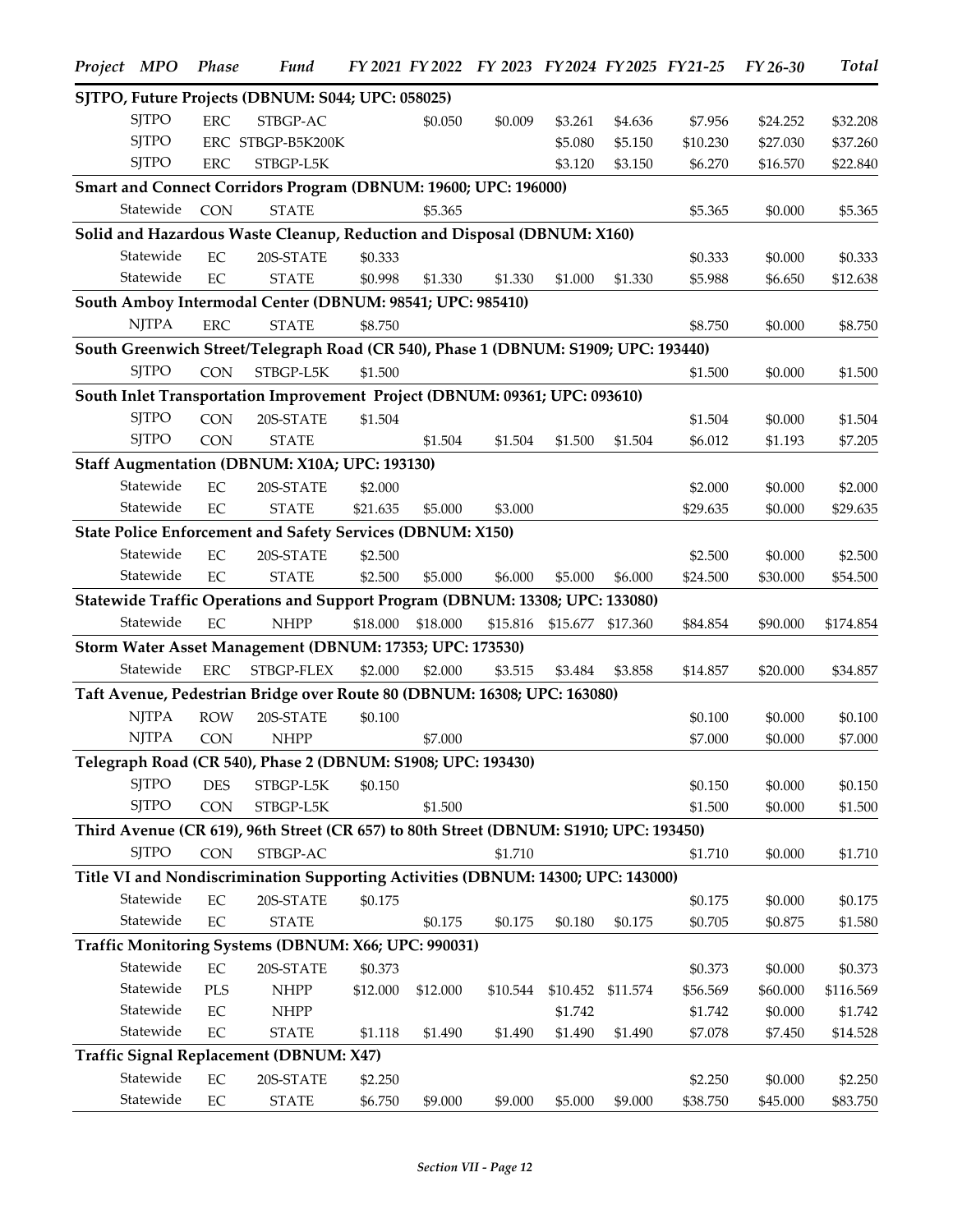| Project MPO  | <b>Phase</b> | <b>Fund</b>                                                                            |          |          | FY 2021 FY 2022 FY 2023 FY 2024 FY 2025 FY 21-25 |          |          |          | FY 26-30 | <b>Total</b> |
|--------------|--------------|----------------------------------------------------------------------------------------|----------|----------|--------------------------------------------------|----------|----------|----------|----------|--------------|
|              |              | SJTPO, Future Projects (DBNUM: S044; UPC: 058025)                                      |          |          |                                                  |          |          |          |          |              |
| <b>SJTPO</b> | <b>ERC</b>   | STBGP-AC                                                                               |          | \$0.050  | \$0.009                                          | \$3.261  | \$4.636  | \$7.956  | \$24.252 | \$32.208     |
| <b>SJTPO</b> |              | ERC STBGP-B5K200K                                                                      |          |          |                                                  | \$5.080  | \$5.150  | \$10.230 | \$27.030 | \$37.260     |
| <b>SJTPO</b> | <b>ERC</b>   | STBGP-L5K                                                                              |          |          |                                                  | \$3.120  | \$3.150  | \$6.270  | \$16.570 | \$22.840     |
|              |              | Smart and Connect Corridors Program (DBNUM: 19600; UPC: 196000)                        |          |          |                                                  |          |          |          |          |              |
| Statewide    | <b>CON</b>   | <b>STATE</b>                                                                           |          | \$5.365  |                                                  |          |          | \$5.365  | \$0.000  | \$5.365      |
|              |              | Solid and Hazardous Waste Cleanup, Reduction and Disposal (DBNUM: X160)                |          |          |                                                  |          |          |          |          |              |
| Statewide    | EC           | 20S-STATE                                                                              | \$0.333  |          |                                                  |          |          | \$0.333  | \$0.000  | \$0.333      |
| Statewide    | $\rm EC$     | <b>STATE</b>                                                                           | \$0.998  | \$1.330  | \$1.330                                          | \$1.000  | \$1.330  | \$5.988  | \$6.650  | \$12.638     |
|              |              | South Amboy Intermodal Center (DBNUM: 98541; UPC: 985410)                              |          |          |                                                  |          |          |          |          |              |
| <b>NJTPA</b> | ${\rm ERC}$  | <b>STATE</b>                                                                           | \$8.750  |          |                                                  |          |          | \$8.750  | \$0.000  | \$8.750      |
|              |              | South Greenwich Street/Telegraph Road (CR 540), Phase 1 (DBNUM: S1909; UPC: 193440)    |          |          |                                                  |          |          |          |          |              |
| <b>SJTPO</b> | <b>CON</b>   | STBGP-L5K                                                                              | \$1.500  |          |                                                  |          |          | \$1.500  | \$0.000  | \$1.500      |
|              |              | South Inlet Transportation Improvement Project (DBNUM: 09361; UPC: 093610)             |          |          |                                                  |          |          |          |          |              |
| <b>SJTPO</b> | <b>CON</b>   | 20S-STATE                                                                              | \$1.504  |          |                                                  |          |          | \$1.504  | \$0.000  | \$1.504      |
| <b>SJTPO</b> | <b>CON</b>   | <b>STATE</b>                                                                           |          | \$1.504  | \$1.504                                          | \$1.500  | \$1.504  | \$6.012  | \$1.193  | \$7.205      |
|              |              | Staff Augmentation (DBNUM: X10A; UPC: 193130)                                          |          |          |                                                  |          |          |          |          |              |
| Statewide    | $\rm EC$     | 20S-STATE                                                                              | \$2.000  |          |                                                  |          |          | \$2.000  | \$0.000  | \$2.000      |
| Statewide    | EC           | <b>STATE</b>                                                                           | \$21.635 | \$5.000  | \$3.000                                          |          |          | \$29.635 | \$0.000  | \$29.635     |
|              |              | State Police Enforcement and Safety Services (DBNUM: X150)                             |          |          |                                                  |          |          |          |          |              |
| Statewide    |              |                                                                                        |          |          |                                                  |          |          |          |          |              |
|              | EC           | 20S-STATE                                                                              | \$2.500  |          |                                                  |          |          | \$2.500  | \$0.000  | \$2.500      |
| Statewide    | $\rm EC$     | <b>STATE</b>                                                                           | \$2.500  | \$5.000  | \$6.000                                          | \$5.000  | \$6.000  | \$24.500 | \$30.000 | \$54.500     |
|              |              | Statewide Traffic Operations and Support Program (DBNUM: 13308; UPC: 133080)           |          |          |                                                  |          |          |          |          |              |
| Statewide    | EC           | <b>NHPP</b>                                                                            | \$18.000 | \$18.000 | \$15.816                                         | \$15.677 | \$17.360 | \$84.854 | \$90.000 | \$174.854    |
|              |              | Storm Water Asset Management (DBNUM: 17353; UPC: 173530)                               |          |          |                                                  |          |          |          |          |              |
| Statewide    | ${\rm ERC}$  | STBGP-FLEX                                                                             | \$2.000  | \$2.000  | \$3.515                                          | \$3.484  | \$3.858  | \$14.857 | \$20.000 | \$34.857     |
|              |              | Taft Avenue, Pedestrian Bridge over Route 80 (DBNUM: 16308; UPC: 163080)               |          |          |                                                  |          |          |          |          |              |
| <b>NJTPA</b> | <b>ROW</b>   | 20S-STATE                                                                              | \$0.100  |          |                                                  |          |          | \$0.100  | \$0.000  | \$0.100      |
| <b>NJTPA</b> | <b>CON</b>   | <b>NHPP</b>                                                                            |          | \$7.000  |                                                  |          |          | \$7.000  | \$0.000  | \$7.000      |
|              |              | Telegraph Road (CR 540), Phase 2 (DBNUM: S1908; UPC: 193430)                           |          |          |                                                  |          |          |          |          |              |
| <b>SJTPO</b> | <b>DES</b>   | STBGP-L5K                                                                              | \$0.150  |          |                                                  |          |          | \$0.150  | \$0.000  | \$0.150      |
| <b>SJTPO</b> | <b>CON</b>   | STBGP-L5K                                                                              |          | \$1.500  |                                                  |          |          | \$1.500  | \$0.000  | \$1.500      |
|              |              | Third Avenue (CR 619), 96th Street (CR 657) to 80th Street (DBNUM: S1910; UPC: 193450) |          |          |                                                  |          |          |          |          |              |
| <b>SJTPO</b> | <b>CON</b>   | STBGP-AC                                                                               |          |          | \$1.710                                          |          |          | \$1.710  | \$0.000  | \$1.710      |
|              |              | Title VI and Nondiscrimination Supporting Activities (DBNUM: 14300; UPC: 143000)       |          |          |                                                  |          |          |          |          |              |
| Statewide    | $\rm EC$     | 20S-STATE                                                                              | \$0.175  |          |                                                  |          |          | \$0.175  | \$0.000  | \$0.175      |
| Statewide    | $\rm EC$     | <b>STATE</b>                                                                           |          | \$0.175  | \$0.175                                          | \$0.180  | \$0.175  | \$0.705  | \$0.875  | \$1.580      |
|              |              | Traffic Monitoring Systems (DBNUM: X66; UPC: 990031)                                   |          |          |                                                  |          |          |          |          |              |
| Statewide    | $\rm EC$     | 20S-STATE                                                                              | \$0.373  |          |                                                  |          |          | \$0.373  | \$0.000  | \$0.373      |
| Statewide    | <b>PLS</b>   | <b>NHPP</b>                                                                            | \$12.000 | \$12.000 | \$10.544                                         | \$10.452 | \$11.574 | \$56.569 | \$60.000 | \$116.569    |
| Statewide    | EC           | <b>NHPP</b>                                                                            |          |          |                                                  | \$1.742  |          | \$1.742  | \$0.000  | \$1.742      |
| Statewide    | $\rm EC$     | <b>STATE</b>                                                                           | \$1.118  | \$1.490  | \$1.490                                          | \$1.490  | \$1.490  | \$7.078  | \$7.450  | \$14.528     |
|              |              | Traffic Signal Replacement (DBNUM: X47)                                                |          |          |                                                  |          |          |          |          |              |
| Statewide    | $\rm EC$     | 20S-STATE                                                                              | \$2.250  |          |                                                  |          |          | \$2.250  | \$0.000  | \$2.250      |
| Statewide    | $\rm EC$     | <b>STATE</b>                                                                           | \$6.750  | \$9.000  | \$9.000                                          | \$5.000  | \$9.000  | \$38.750 | \$45.000 | \$83.750     |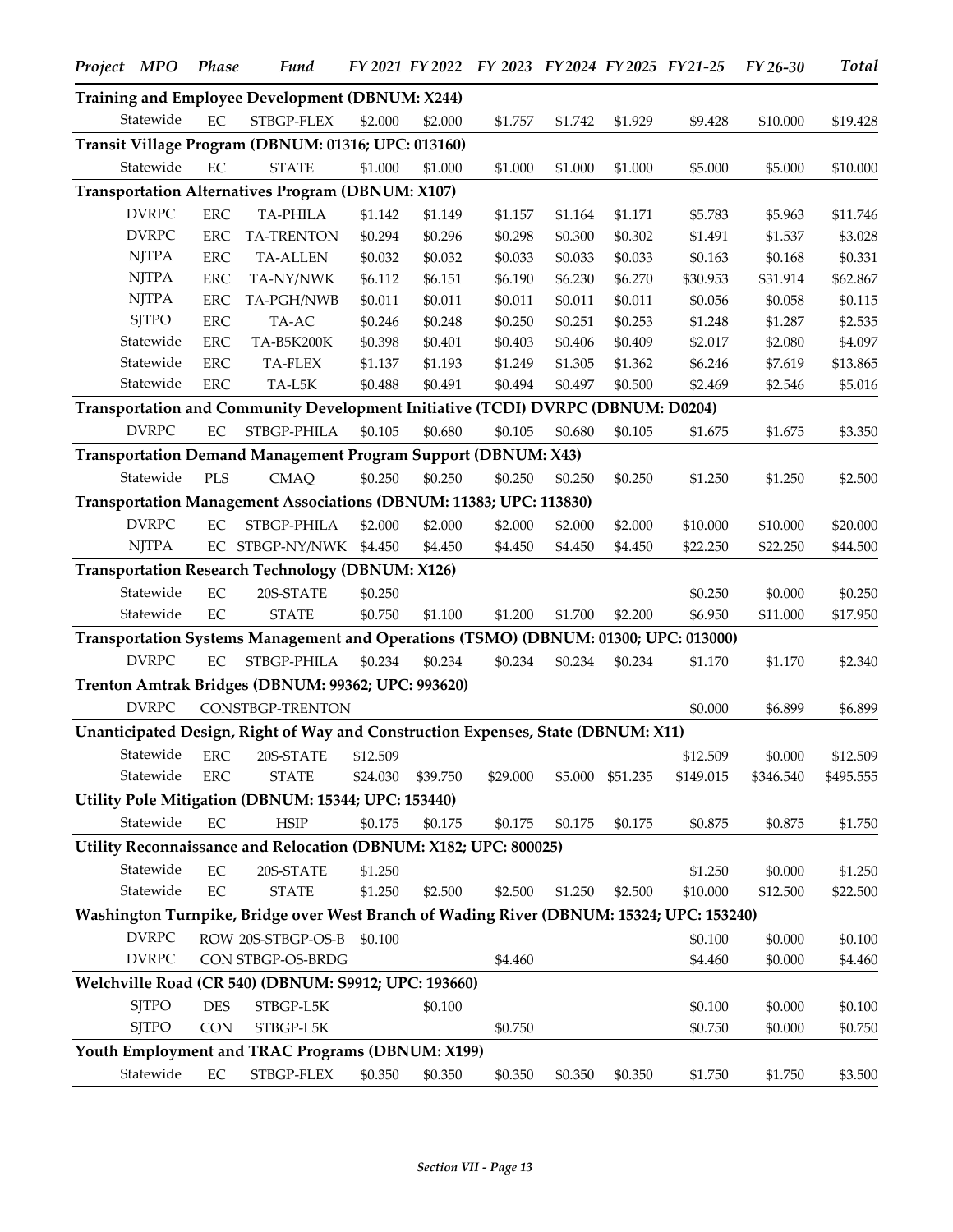| Project MPO  | Phase      | <b>Fund</b>                                                                              |          |          | FY 2021 FY 2022 FY 2023 FY 2024 FY 2025 FY 21-25 |         |          |           | FY 26-30  | <b>Total</b> |
|--------------|------------|------------------------------------------------------------------------------------------|----------|----------|--------------------------------------------------|---------|----------|-----------|-----------|--------------|
|              |            | Training and Employee Development (DBNUM: X244)                                          |          |          |                                                  |         |          |           |           |              |
| Statewide    | EC         | STBGP-FLEX                                                                               | \$2.000  | \$2.000  | \$1.757                                          | \$1.742 | \$1.929  | \$9.428   | \$10.000  | \$19.428     |
|              |            | Transit Village Program (DBNUM: 01316; UPC: 013160)                                      |          |          |                                                  |         |          |           |           |              |
| Statewide    | EC         | <b>STATE</b>                                                                             | \$1.000  | \$1.000  | \$1.000                                          | \$1.000 | \$1.000  | \$5.000   | \$5.000   | \$10.000     |
|              |            | Transportation Alternatives Program (DBNUM: X107)                                        |          |          |                                                  |         |          |           |           |              |
| <b>DVRPC</b> | <b>ERC</b> | <b>TA-PHILA</b>                                                                          | \$1.142  | \$1.149  | \$1.157                                          | \$1.164 | \$1.171  | \$5.783   | \$5.963   | \$11.746     |
| <b>DVRPC</b> | <b>ERC</b> | <b>TA-TRENTON</b>                                                                        | \$0.294  | \$0.296  | \$0.298                                          | \$0.300 | \$0.302  | \$1.491   | \$1.537   | \$3.028      |
| <b>NJTPA</b> | <b>ERC</b> | <b>TA-ALLEN</b>                                                                          | \$0.032  | \$0.032  | \$0.033                                          | \$0.033 | \$0.033  | \$0.163   | \$0.168   | \$0.331      |
| <b>NJTPA</b> | <b>ERC</b> | TA-NY/NWK                                                                                | \$6.112  | \$6.151  | \$6.190                                          | \$6.230 | \$6.270  | \$30.953  | \$31.914  | \$62.867     |
| <b>NJTPA</b> | <b>ERC</b> | TA-PGH/NWB                                                                               | \$0.011  | \$0.011  | \$0.011                                          | \$0.011 | \$0.011  | \$0.056   | \$0.058   | \$0.115      |
| <b>SJTPO</b> | <b>ERC</b> | TA-AC                                                                                    | \$0.246  | \$0.248  | \$0.250                                          | \$0.251 | \$0.253  | \$1.248   | \$1.287   | \$2.535      |
| Statewide    | <b>ERC</b> | TA-B5K200K                                                                               | \$0.398  | \$0.401  | \$0.403                                          | \$0.406 | \$0.409  | \$2.017   | \$2.080   | \$4.097      |
| Statewide    | <b>ERC</b> | TA-FLEX                                                                                  | \$1.137  | \$1.193  | \$1.249                                          | \$1.305 | \$1.362  | \$6.246   | \$7.619   | \$13.865     |
| Statewide    | <b>ERC</b> | $TA-L5K$                                                                                 | \$0.488  | \$0.491  | \$0.494                                          | \$0.497 | \$0.500  | \$2.469   | \$2.546   | \$5.016      |
|              |            | Transportation and Community Development Initiative (TCDI) DVRPC (DBNUM: D0204)          |          |          |                                                  |         |          |           |           |              |
| <b>DVRPC</b> | $\rm EC$   | STBGP-PHILA                                                                              | \$0.105  | \$0.680  | \$0.105                                          | \$0.680 | \$0.105  | \$1.675   | \$1.675   | \$3.350      |
|              |            | Transportation Demand Management Program Support (DBNUM: X43)                            |          |          |                                                  |         |          |           |           |              |
| Statewide    | <b>PLS</b> | CMAQ                                                                                     | \$0.250  | \$0.250  | \$0.250                                          | \$0.250 | \$0.250  | \$1.250   | \$1.250   | \$2.500      |
|              |            | Transportation Management Associations (DBNUM: 11383; UPC: 113830)                       |          |          |                                                  |         |          |           |           |              |
| <b>DVRPC</b> | EC         | STBGP-PHILA                                                                              | \$2.000  | \$2.000  | \$2.000                                          | \$2.000 | \$2.000  | \$10.000  | \$10.000  | \$20.000     |
| <b>NJTPA</b> |            | EC STBGP-NY/NWK                                                                          | \$4.450  | \$4.450  | \$4.450                                          | \$4.450 | \$4.450  | \$22.250  | \$22.250  | \$44.500     |
|              |            | <b>Transportation Research Technology (DBNUM: X126)</b>                                  |          |          |                                                  |         |          |           |           |              |
| Statewide    | EC         |                                                                                          |          |          |                                                  |         |          |           |           |              |
| Statewide    | EC         | 20S-STATE<br><b>STATE</b>                                                                | \$0.250  | \$1.100  |                                                  |         |          | \$0.250   | \$0.000   | \$0.250      |
|              |            |                                                                                          | \$0.750  |          | \$1.200                                          | \$1.700 | \$2.200  | \$6.950   | \$11.000  | \$17.950     |
|              |            | Transportation Systems Management and Operations (TSMO) (DBNUM: 01300; UPC: 013000)      |          |          |                                                  |         |          |           |           |              |
| <b>DVRPC</b> | EC         | STBGP-PHILA                                                                              | \$0.234  | \$0.234  | \$0.234                                          | \$0.234 | \$0.234  | \$1.170   | \$1.170   | \$2.340      |
|              |            | Trenton Amtrak Bridges (DBNUM: 99362; UPC: 993620)                                       |          |          |                                                  |         |          |           |           |              |
| <b>DVRPC</b> |            | CONSTBGP-TRENTON                                                                         |          |          |                                                  |         |          | \$0.000   | \$6.899   | \$6.899      |
|              |            | Unanticipated Design, Right of Way and Construction Expenses, State (DBNUM: X11)         |          |          |                                                  |         |          |           |           |              |
| Statewide    |            | ERC 20S-STATE \$12.509                                                                   |          |          |                                                  |         |          | \$12.509  | \$0.000   | \$12.509     |
| Statewide    | <b>ERC</b> | <b>STATE</b>                                                                             | \$24.030 | \$39.750 | \$29.000                                         | \$5.000 | \$51.235 | \$149.015 | \$346.540 | \$495.555    |
|              |            | Utility Pole Mitigation (DBNUM: 15344; UPC: 153440)                                      |          |          |                                                  |         |          |           |           |              |
| Statewide    | EC         | <b>HSIP</b>                                                                              | \$0.175  | \$0.175  | \$0.175                                          | \$0.175 | \$0.175  | \$0.875   | \$0.875   | \$1.750      |
|              |            | Utility Reconnaissance and Relocation (DBNUM: X182; UPC: 800025)                         |          |          |                                                  |         |          |           |           |              |
| Statewide    | EC         | 20S-STATE                                                                                | \$1.250  |          |                                                  |         |          | \$1.250   | \$0.000   | \$1.250      |
| Statewide    | EC         | <b>STATE</b>                                                                             | \$1.250  | \$2.500  | \$2.500                                          | \$1.250 | \$2.500  | \$10.000  | \$12.500  | \$22.500     |
|              |            | Washington Turnpike, Bridge over West Branch of Wading River (DBNUM: 15324; UPC: 153240) |          |          |                                                  |         |          |           |           |              |
| <b>DVRPC</b> |            | ROW 20S-STBGP-OS-B                                                                       | \$0.100  |          |                                                  |         |          | \$0.100   | \$0.000   | \$0.100      |
| <b>DVRPC</b> |            | CON STBGP-OS-BRDG                                                                        |          |          | \$4.460                                          |         |          | \$4.460   | \$0.000   | \$4.460      |
|              |            | Welchville Road (CR 540) (DBNUM: S9912; UPC: 193660)                                     |          |          |                                                  |         |          |           |           |              |
| <b>SJTPO</b> | <b>DES</b> | STBGP-L5K                                                                                |          | \$0.100  |                                                  |         |          | \$0.100   | \$0.000   | \$0.100      |
| <b>SJTPO</b> | <b>CON</b> | STBGP-L5K                                                                                |          |          | \$0.750                                          |         |          | \$0.750   | \$0.000   | \$0.750      |
|              |            | Youth Employment and TRAC Programs (DBNUM: X199)                                         |          |          |                                                  |         |          |           |           |              |
| Statewide    | EC         | STBGP-FLEX                                                                               |          |          |                                                  |         |          |           |           |              |
|              |            |                                                                                          | \$0.350  | \$0.350  | \$0.350                                          | \$0.350 | \$0.350  | \$1.750   | \$1.750   | \$3.500      |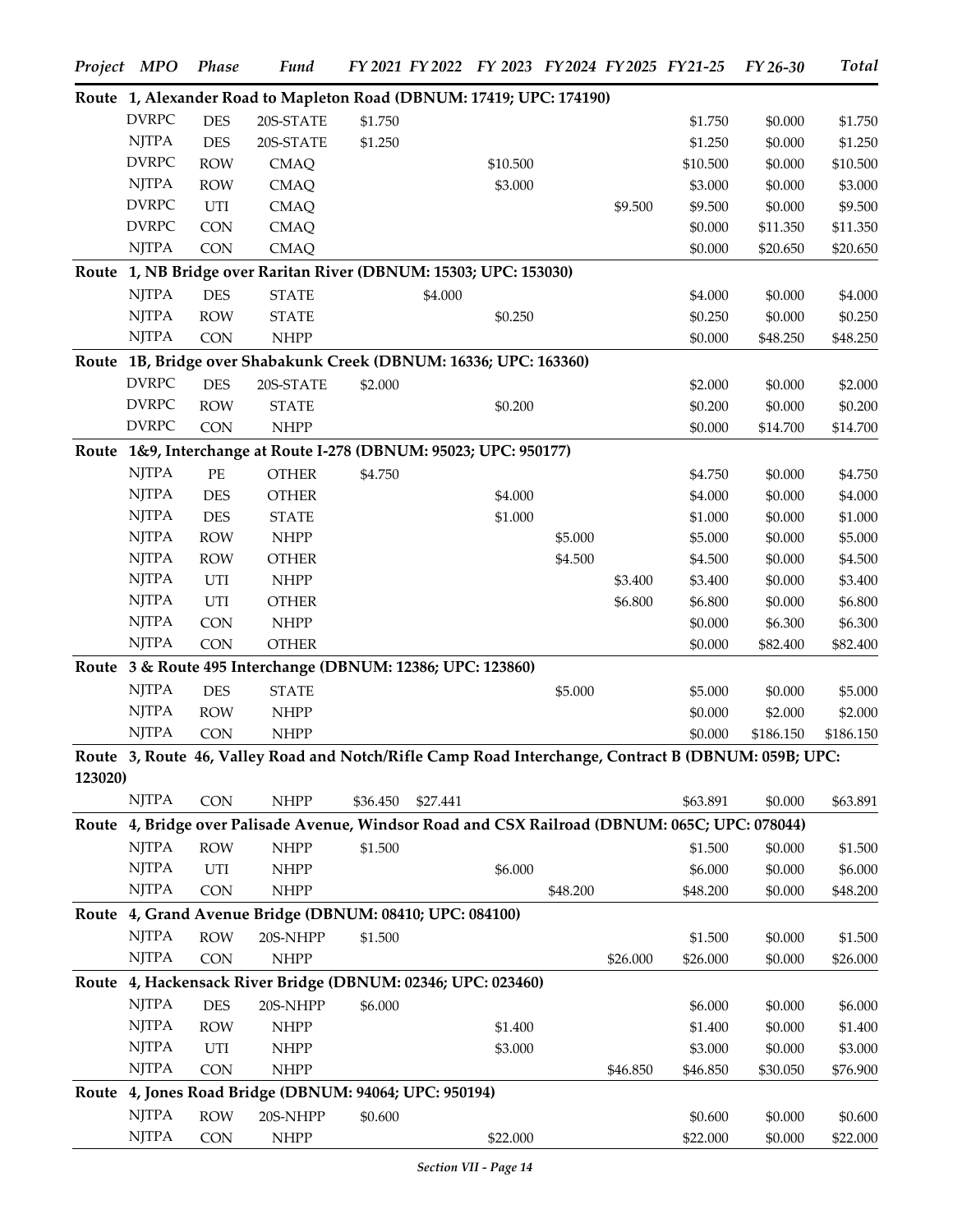|         | Project MPO  | Phase      | <b>Fund</b>                                                                                         |          |          | FY 2021 FY 2022 FY 2023 FY 2024 FY 2025 FY 21-25 |          |          |          | FY 26-30  | <b>Total</b> |
|---------|--------------|------------|-----------------------------------------------------------------------------------------------------|----------|----------|--------------------------------------------------|----------|----------|----------|-----------|--------------|
|         |              |            | Route 1, Alexander Road to Mapleton Road (DBNUM: 17419; UPC: 174190)                                |          |          |                                                  |          |          |          |           |              |
|         | <b>DVRPC</b> | <b>DES</b> | 20S-STATE                                                                                           | \$1.750  |          |                                                  |          |          | \$1.750  | \$0.000   | \$1.750      |
|         | <b>NJTPA</b> | <b>DES</b> | 20S-STATE                                                                                           | \$1.250  |          |                                                  |          |          | \$1.250  | \$0.000   | \$1.250      |
|         | <b>DVRPC</b> | <b>ROW</b> | <b>CMAQ</b>                                                                                         |          |          | \$10.500                                         |          |          | \$10.500 | \$0.000   | \$10.500     |
|         | <b>NJTPA</b> | <b>ROW</b> | <b>CMAQ</b>                                                                                         |          |          | \$3.000                                          |          |          | \$3.000  | \$0.000   | \$3.000      |
|         | <b>DVRPC</b> | UTI        | <b>CMAQ</b>                                                                                         |          |          |                                                  |          | \$9.500  | \$9.500  | \$0.000   | \$9.500      |
|         | <b>DVRPC</b> | <b>CON</b> | <b>CMAQ</b>                                                                                         |          |          |                                                  |          |          | \$0.000  | \$11.350  | \$11.350     |
|         | <b>NJTPA</b> | <b>CON</b> | <b>CMAQ</b>                                                                                         |          |          |                                                  |          |          | \$0.000  | \$20.650  | \$20.650     |
|         |              |            | Route 1, NB Bridge over Raritan River (DBNUM: 15303; UPC: 153030)                                   |          |          |                                                  |          |          |          |           |              |
|         | <b>NJTPA</b> | <b>DES</b> | <b>STATE</b>                                                                                        |          | \$4.000  |                                                  |          |          | \$4.000  | \$0.000   | \$4.000      |
|         | <b>NJTPA</b> | <b>ROW</b> | <b>STATE</b>                                                                                        |          |          | \$0.250                                          |          |          | \$0.250  | \$0.000   | \$0.250      |
|         | <b>NJTPA</b> | <b>CON</b> | <b>NHPP</b>                                                                                         |          |          |                                                  |          |          | \$0.000  | \$48.250  | \$48.250     |
|         |              |            | Route 1B, Bridge over Shabakunk Creek (DBNUM: 16336; UPC: 163360)                                   |          |          |                                                  |          |          |          |           |              |
|         | <b>DVRPC</b> | <b>DES</b> | 20S-STATE                                                                                           | \$2.000  |          |                                                  |          |          | \$2.000  | \$0.000   | \$2.000      |
|         | <b>DVRPC</b> | <b>ROW</b> | <b>STATE</b>                                                                                        |          |          | \$0.200                                          |          |          | \$0.200  | \$0.000   | \$0.200      |
|         | <b>DVRPC</b> | <b>CON</b> | <b>NHPP</b>                                                                                         |          |          |                                                  |          |          | \$0.000  | \$14.700  | \$14.700     |
|         |              |            | Route 1&9, Interchange at Route I-278 (DBNUM: 95023; UPC: 950177)                                   |          |          |                                                  |          |          |          |           |              |
|         | <b>NJTPA</b> | $\rm PE$   | <b>OTHER</b>                                                                                        | \$4.750  |          |                                                  |          |          | \$4.750  | \$0.000   | \$4.750      |
|         | <b>NJTPA</b> | <b>DES</b> | <b>OTHER</b>                                                                                        |          |          | \$4.000                                          |          |          | \$4.000  | \$0.000   | \$4.000      |
|         | <b>NJTPA</b> | <b>DES</b> | <b>STATE</b>                                                                                        |          |          | \$1.000                                          |          |          | \$1.000  | \$0.000   | \$1.000      |
|         | <b>NJTPA</b> | <b>ROW</b> | <b>NHPP</b>                                                                                         |          |          |                                                  | \$5.000  |          | \$5.000  | \$0.000   | \$5.000      |
|         | <b>NJTPA</b> | <b>ROW</b> | <b>OTHER</b>                                                                                        |          |          |                                                  | \$4.500  |          | \$4.500  | \$0.000   | \$4.500      |
|         | <b>NJTPA</b> | UTI        | <b>NHPP</b>                                                                                         |          |          |                                                  |          | \$3.400  | \$3.400  | \$0.000   | \$3.400      |
|         | <b>NJTPA</b> | UTI        | <b>OTHER</b>                                                                                        |          |          |                                                  |          | \$6.800  | \$6.800  | \$0.000   | \$6.800      |
|         | <b>NJTPA</b> | <b>CON</b> | <b>NHPP</b>                                                                                         |          |          |                                                  |          |          | \$0.000  | \$6.300   | \$6.300      |
|         | <b>NJTPA</b> | <b>CON</b> | <b>OTHER</b>                                                                                        |          |          |                                                  |          |          | \$0.000  | \$82.400  | \$82.400     |
|         |              |            | Route 3 & Route 495 Interchange (DBNUM: 12386; UPC: 123860)                                         |          |          |                                                  |          |          |          |           |              |
|         | <b>NJTPA</b> | <b>DES</b> | <b>STATE</b>                                                                                        |          |          |                                                  | \$5.000  |          | \$5.000  | \$0.000   | \$5.000      |
|         | <b>NJTPA</b> | <b>ROW</b> | <b>NHPP</b>                                                                                         |          |          |                                                  |          |          | \$0.000  | \$2.000   | \$2.000      |
|         | <b>NJTPA</b> | CON        | <b>NHPP</b>                                                                                         |          |          |                                                  |          |          | \$0.000  | \$186.150 | \$186.150    |
|         |              |            | Route 3, Route 46, Valley Road and Notch/Rifle Camp Road Interchange, Contract B (DBNUM: 059B; UPC: |          |          |                                                  |          |          |          |           |              |
| 123020) |              |            |                                                                                                     |          |          |                                                  |          |          |          |           |              |
|         | <b>NJTPA</b> | <b>CON</b> | <b>NHPP</b>                                                                                         | \$36.450 | \$27.441 |                                                  |          |          | \$63.891 | \$0.000   | \$63.891     |
|         |              |            | Route 4, Bridge over Palisade Avenue, Windsor Road and CSX Railroad (DBNUM: 065C; UPC: 078044)      |          |          |                                                  |          |          |          |           |              |
|         | <b>NJTPA</b> | <b>ROW</b> | <b>NHPP</b>                                                                                         | \$1.500  |          |                                                  |          |          | \$1.500  | \$0.000   | \$1.500      |
|         | <b>NJTPA</b> | UTI        | <b>NHPP</b>                                                                                         |          |          | \$6.000                                          |          |          | \$6.000  | \$0.000   | \$6.000      |
|         | <b>NJTPA</b> | <b>CON</b> | <b>NHPP</b>                                                                                         |          |          |                                                  | \$48.200 |          | \$48.200 | \$0.000   | \$48.200     |
|         |              |            | Route 4, Grand Avenue Bridge (DBNUM: 08410; UPC: 084100)                                            |          |          |                                                  |          |          |          |           |              |
|         | <b>NJTPA</b> | <b>ROW</b> | 20S-NHPP                                                                                            | \$1.500  |          |                                                  |          |          | \$1.500  | \$0.000   | \$1.500      |
|         | <b>NJTPA</b> | <b>CON</b> | <b>NHPP</b>                                                                                         |          |          |                                                  |          | \$26.000 | \$26.000 | \$0.000   | \$26.000     |
|         |              |            | Route 4, Hackensack River Bridge (DBNUM: 02346; UPC: 023460)                                        |          |          |                                                  |          |          |          |           |              |
|         | <b>NJTPA</b> | <b>DES</b> | 20S-NHPP                                                                                            | \$6.000  |          |                                                  |          |          | \$6.000  | \$0.000   | \$6.000      |
|         | <b>NJTPA</b> | <b>ROW</b> | <b>NHPP</b>                                                                                         |          |          | \$1.400                                          |          |          | \$1.400  | \$0.000   | \$1.400      |
|         | <b>NJTPA</b> | UTI        | <b>NHPP</b>                                                                                         |          |          | \$3.000                                          |          |          | \$3.000  | \$0.000   | \$3.000      |
|         | <b>NJTPA</b> | <b>CON</b> | <b>NHPP</b>                                                                                         |          |          |                                                  |          | \$46.850 | \$46.850 | \$30.050  | \$76.900     |
|         |              |            | Route 4, Jones Road Bridge (DBNUM: 94064; UPC: 950194)                                              |          |          |                                                  |          |          |          |           |              |
|         | <b>NJTPA</b> | <b>ROW</b> | 20S-NHPP                                                                                            | \$0.600  |          |                                                  |          |          | \$0.600  | \$0.000   | \$0.600      |
|         | <b>NJTPA</b> | <b>CON</b> | <b>NHPP</b>                                                                                         |          |          | \$22.000                                         |          |          | \$22.000 | \$0.000   | \$22.000     |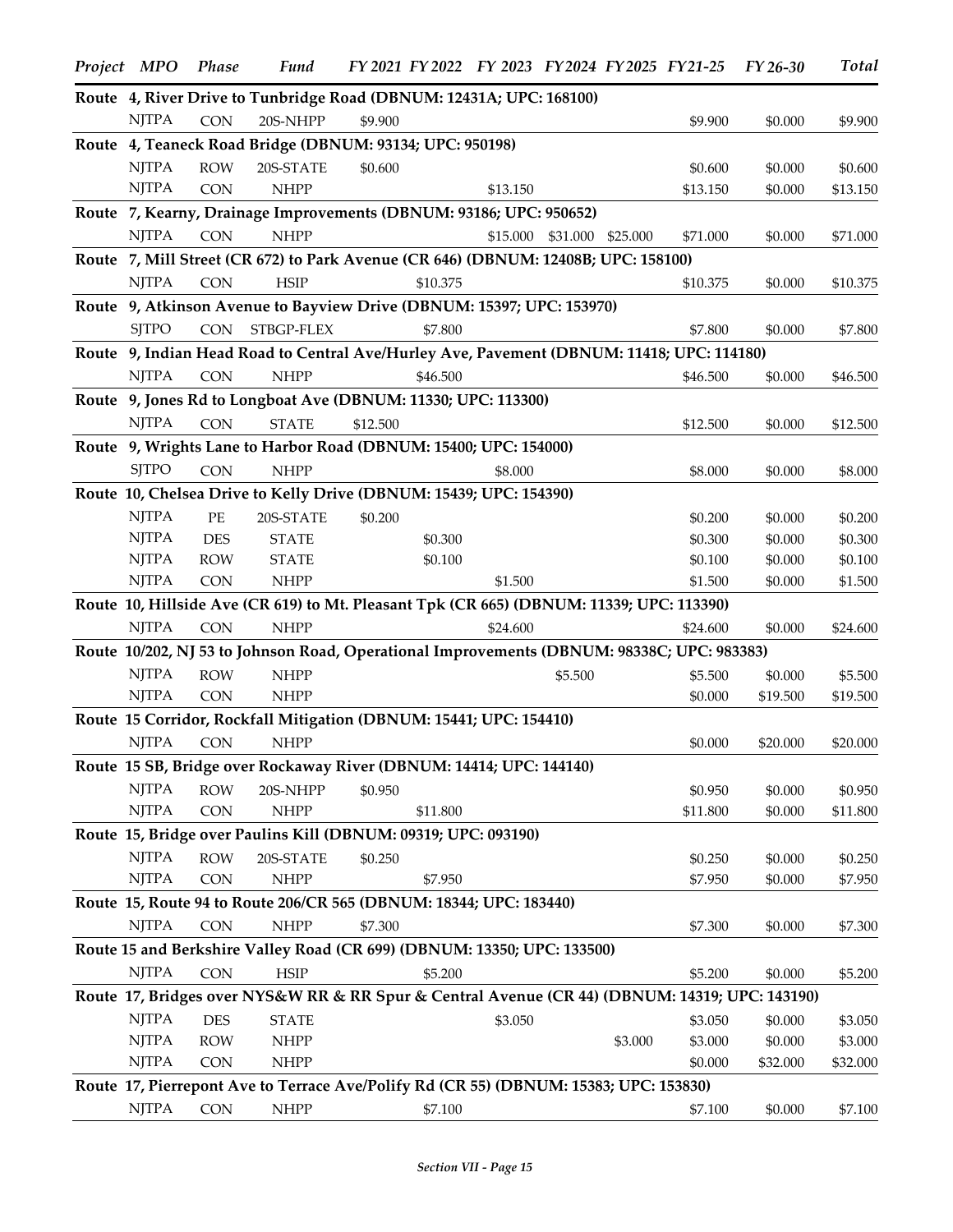| Project MPO  | <b>Phase</b>             | <b>Fund</b>                                                                                    |          |                    | FY 2021 FY 2022 FY 2023 FY 2024 FY 2025 FY 21-25 |                   |         |                     | FY 26-30           | <b>Total</b>        |
|--------------|--------------------------|------------------------------------------------------------------------------------------------|----------|--------------------|--------------------------------------------------|-------------------|---------|---------------------|--------------------|---------------------|
|              |                          | Route 4, River Drive to Tunbridge Road (DBNUM: 12431A; UPC: 168100)                            |          |                    |                                                  |                   |         |                     |                    |                     |
| <b>NJTPA</b> | <b>CON</b>               | 20S-NHPP                                                                                       | \$9.900  |                    |                                                  |                   |         | \$9.900             | \$0.000            | \$9.900             |
|              |                          | Route 4, Teaneck Road Bridge (DBNUM: 93134; UPC: 950198)                                       |          |                    |                                                  |                   |         |                     |                    |                     |
| <b>NJTPA</b> | <b>ROW</b>               | 20S-STATE                                                                                      | \$0.600  |                    |                                                  |                   |         | \$0.600             | \$0.000            | \$0.600             |
| <b>NJTPA</b> | <b>CON</b>               | <b>NHPP</b>                                                                                    |          |                    | \$13.150                                         |                   |         | \$13.150            | \$0.000            | \$13.150            |
|              |                          | Route 7, Kearny, Drainage Improvements (DBNUM: 93186; UPC: 950652)                             |          |                    |                                                  |                   |         |                     |                    |                     |
| <b>NJTPA</b> | <b>CON</b>               | <b>NHPP</b>                                                                                    |          |                    | \$15.000                                         | \$31.000 \$25.000 |         | \$71.000            | \$0.000            | \$71.000            |
|              |                          | Route 7, Mill Street (CR 672) to Park Avenue (CR 646) (DBNUM: 12408B; UPC: 158100)             |          |                    |                                                  |                   |         |                     |                    |                     |
| <b>NJTPA</b> | <b>CON</b>               | <b>HSIP</b>                                                                                    |          | \$10.375           |                                                  |                   |         | \$10.375            | \$0.000            | \$10.375            |
|              |                          | Route 9, Atkinson Avenue to Bayview Drive (DBNUM: 15397; UPC: 153970)                          |          |                    |                                                  |                   |         |                     |                    |                     |
| <b>SJTPO</b> | <b>CON</b>               | STBGP-FLEX                                                                                     |          | \$7.800            |                                                  |                   |         | \$7.800             | \$0.000            | \$7.800             |
|              |                          | Route 9, Indian Head Road to Central Ave/Hurley Ave, Pavement (DBNUM: 11418; UPC: 114180)      |          |                    |                                                  |                   |         |                     |                    |                     |
| <b>NJTPA</b> | <b>CON</b>               | <b>NHPP</b>                                                                                    |          | \$46.500           |                                                  |                   |         | \$46.500            | \$0.000            | \$46.500            |
|              |                          | Route 9, Jones Rd to Longboat Ave (DBNUM: 11330; UPC: 113300)                                  |          |                    |                                                  |                   |         |                     |                    |                     |
| <b>NJTPA</b> | <b>CON</b>               | <b>STATE</b>                                                                                   | \$12.500 |                    |                                                  |                   |         | \$12.500            | \$0.000            | \$12.500            |
|              |                          | Route 9, Wrights Lane to Harbor Road (DBNUM: 15400; UPC: 154000)                               |          |                    |                                                  |                   |         |                     |                    |                     |
| <b>SJTPO</b> | <b>CON</b>               | <b>NHPP</b>                                                                                    |          |                    | \$8.000                                          |                   |         |                     |                    |                     |
|              |                          | Route 10, Chelsea Drive to Kelly Drive (DBNUM: 15439; UPC: 154390)                             |          |                    |                                                  |                   |         | \$8.000             | \$0.000            | \$8.000             |
| <b>NJTPA</b> |                          |                                                                                                |          |                    |                                                  |                   |         |                     |                    |                     |
| <b>NJTPA</b> | $\rm PE$<br><b>DES</b>   | 20S-STATE                                                                                      | \$0.200  |                    |                                                  |                   |         | \$0.200             | \$0.000            | \$0.200             |
| <b>NJTPA</b> | <b>ROW</b>               | <b>STATE</b><br><b>STATE</b>                                                                   |          | \$0.300<br>\$0.100 |                                                  |                   |         | \$0.300<br>\$0.100  | \$0.000<br>\$0.000 | \$0.300<br>\$0.100  |
| <b>NJTPA</b> | <b>CON</b>               | <b>NHPP</b>                                                                                    |          |                    | \$1.500                                          |                   |         | \$1.500             | \$0.000            | \$1.500             |
|              |                          | Route 10, Hillside Ave (CR 619) to Mt. Pleasant Tpk (CR 665) (DBNUM: 11339; UPC: 113390)       |          |                    |                                                  |                   |         |                     |                    |                     |
| <b>NJTPA</b> | <b>CON</b>               | <b>NHPP</b>                                                                                    |          |                    | \$24.600                                         |                   |         | \$24,600            | \$0.000            | \$24.600            |
|              |                          | Route 10/202, NJ 53 to Johnson Road, Operational Improvements (DBNUM: 98338C; UPC: 983383)     |          |                    |                                                  |                   |         |                     |                    |                     |
| <b>NJTPA</b> | <b>ROW</b>               | <b>NHPP</b>                                                                                    |          |                    |                                                  | \$5.500           |         | \$5.500             | \$0.000            | \$5.500             |
| <b>NJTPA</b> | <b>CON</b>               | <b>NHPP</b>                                                                                    |          |                    |                                                  |                   |         | \$0.000             | \$19.500           | \$19.500            |
|              |                          | Route 15 Corridor, Rockfall Mitigation (DBNUM: 15441; UPC: 154410)                             |          |                    |                                                  |                   |         |                     |                    |                     |
| <b>NJTPA</b> | <b>CON</b>               | <b>NHPP</b>                                                                                    |          |                    |                                                  |                   |         | \$0.000             | \$20.000           | \$20.000            |
|              |                          | Route 15 SB, Bridge over Rockaway River (DBNUM: 14414; UPC: 144140)                            |          |                    |                                                  |                   |         |                     |                    |                     |
| <b>NJTPA</b> |                          |                                                                                                |          |                    |                                                  |                   |         |                     |                    |                     |
| <b>NJTPA</b> | <b>ROW</b><br><b>CON</b> | 20S-NHPP<br><b>NHPP</b>                                                                        | \$0.950  | \$11.800           |                                                  |                   |         | \$0.950<br>\$11.800 | \$0.000<br>\$0.000 | \$0.950<br>\$11.800 |
|              |                          | Route 15, Bridge over Paulins Kill (DBNUM: 09319; UPC: 093190)                                 |          |                    |                                                  |                   |         |                     |                    |                     |
| <b>NJTPA</b> | <b>ROW</b>               |                                                                                                |          |                    |                                                  |                   |         |                     |                    |                     |
| <b>NJTPA</b> | <b>CON</b>               | 20S-STATE<br><b>NHPP</b>                                                                       | \$0.250  | \$7.950            |                                                  |                   |         | \$0.250<br>\$7.950  | \$0.000<br>\$0.000 | \$0.250<br>\$7.950  |
|              |                          | Route 15, Route 94 to Route 206/CR 565 (DBNUM: 18344; UPC: 183440)                             |          |                    |                                                  |                   |         |                     |                    |                     |
| <b>NJTPA</b> |                          | <b>NHPP</b>                                                                                    |          |                    |                                                  |                   |         |                     |                    |                     |
|              | <b>CON</b>               |                                                                                                | \$7.300  |                    |                                                  |                   |         | \$7.300             | \$0.000            | \$7.300             |
|              |                          | Route 15 and Berkshire Valley Road (CR 699) (DBNUM: 13350; UPC: 133500)                        |          |                    |                                                  |                   |         |                     |                    |                     |
| <b>NJTPA</b> | <b>CON</b>               | <b>HSIP</b>                                                                                    |          | \$5.200            |                                                  |                   |         | \$5.200             | \$0.000            | \$5.200             |
|              |                          | Route 17, Bridges over NYS&W RR & RR Spur & Central Avenue (CR 44) (DBNUM: 14319; UPC: 143190) |          |                    |                                                  |                   |         |                     |                    |                     |
| <b>NJTPA</b> | <b>DES</b>               | <b>STATE</b>                                                                                   |          |                    | \$3.050                                          |                   |         | \$3.050             | \$0.000            | \$3.050             |
| <b>NJTPA</b> | <b>ROW</b>               | <b>NHPP</b>                                                                                    |          |                    |                                                  |                   | \$3.000 | \$3.000             | \$0.000            | \$3.000             |
| <b>NJTPA</b> | <b>CON</b>               | <b>NHPP</b>                                                                                    |          |                    |                                                  |                   |         | \$0.000             | \$32.000           | \$32.000            |
|              |                          | Route 17, Pierrepont Ave to Terrace Ave/Polify Rd (CR 55) (DBNUM: 15383; UPC: 153830)          |          |                    |                                                  |                   |         |                     |                    |                     |
| <b>NJTPA</b> | <b>CON</b>               | $\ensuremath{\mathsf{NHPP}}$                                                                   |          | \$7.100            |                                                  |                   |         | \$7.100             | \$0.000            | \$7.100             |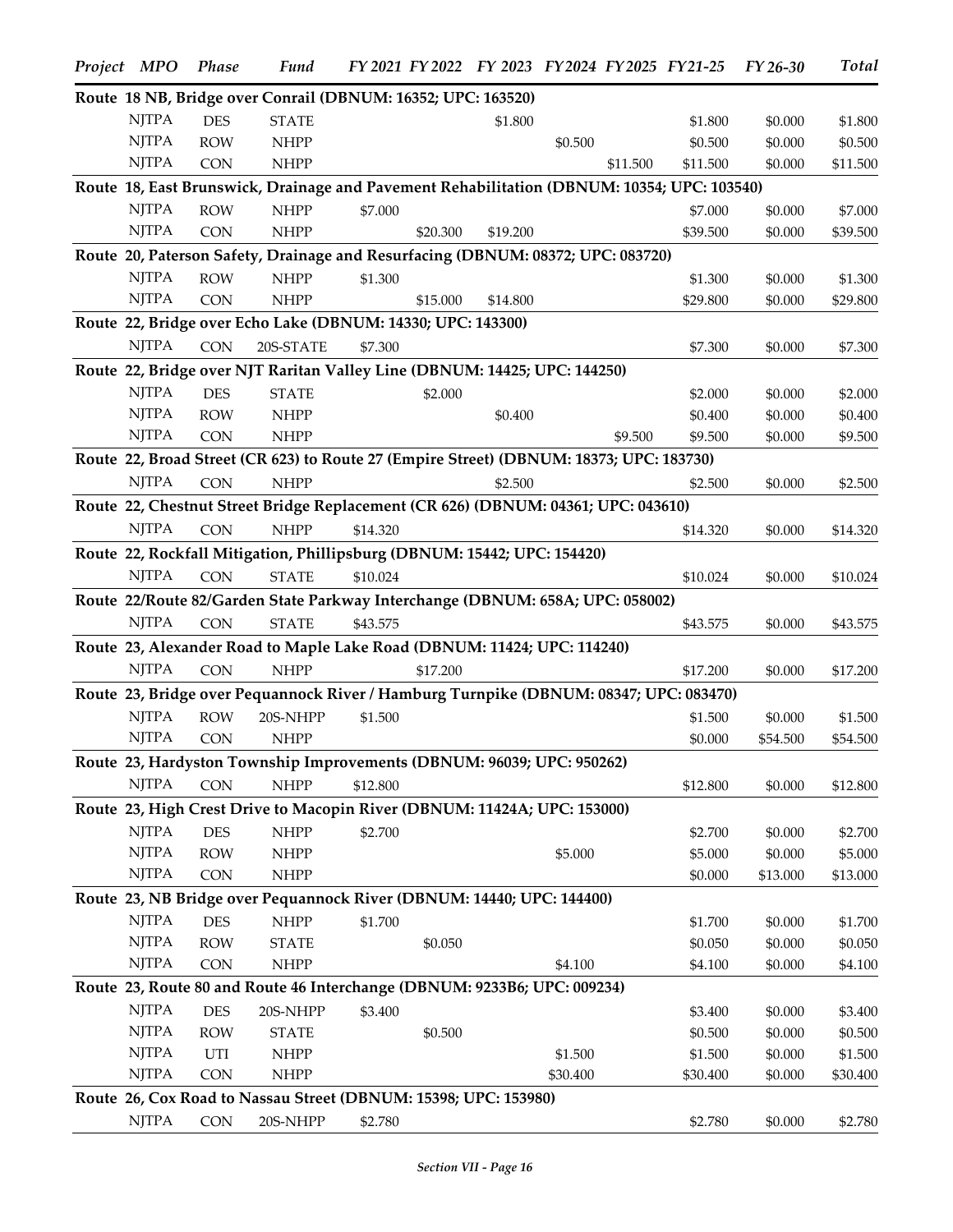| Project MPO                                                           | <b>Phase</b>             | <b>Fund</b>                                                                                |          |          | FY 2021 FY 2022 FY 2023 FY 2024 FY 2025 FY 21-25 |          |          |                    | FY 26-30           | Total               |
|-----------------------------------------------------------------------|--------------------------|--------------------------------------------------------------------------------------------|----------|----------|--------------------------------------------------|----------|----------|--------------------|--------------------|---------------------|
|                                                                       |                          | Route 18 NB, Bridge over Conrail (DBNUM: 16352; UPC: 163520)                               |          |          |                                                  |          |          |                    |                    |                     |
| <b>NJTPA</b>                                                          | <b>DES</b>               | <b>STATE</b>                                                                               |          |          | \$1.800                                          |          |          | \$1.800            | \$0.000            | \$1.800             |
| <b>NJTPA</b>                                                          | <b>ROW</b>               | <b>NHPP</b>                                                                                |          |          |                                                  | \$0.500  |          | \$0.500            | \$0.000            | \$0.500             |
| <b>NJTPA</b>                                                          | <b>CON</b>               | <b>NHPP</b>                                                                                |          |          |                                                  |          | \$11.500 | \$11.500           | \$0.000            | \$11.500            |
|                                                                       |                          | Route 18, East Brunswick, Drainage and Pavement Rehabilitation (DBNUM: 10354; UPC: 103540) |          |          |                                                  |          |          |                    |                    |                     |
| <b>NJTPA</b>                                                          | <b>ROW</b>               | <b>NHPP</b>                                                                                | \$7.000  |          |                                                  |          |          | \$7.000            | \$0.000            | \$7.000             |
| <b>NJTPA</b>                                                          | <b>CON</b>               | <b>NHPP</b>                                                                                |          | \$20,300 | \$19.200                                         |          |          | \$39.500           | \$0.000            | \$39.500            |
|                                                                       |                          | Route 20, Paterson Safety, Drainage and Resurfacing (DBNUM: 08372; UPC: 083720)            |          |          |                                                  |          |          |                    |                    |                     |
| <b>NJTPA</b>                                                          | <b>ROW</b>               | <b>NHPP</b>                                                                                | \$1.300  |          |                                                  |          |          | \$1.300            | \$0.000            | \$1.300             |
| <b>NJTPA</b>                                                          | <b>CON</b>               | <b>NHPP</b>                                                                                |          | \$15.000 | \$14.800                                         |          |          | \$29.800           | \$0.000            | \$29.800            |
|                                                                       |                          | Route 22, Bridge over Echo Lake (DBNUM: 14330; UPC: 143300)                                |          |          |                                                  |          |          |                    |                    |                     |
| <b>NJTPA</b>                                                          | <b>CON</b>               | 20S-STATE                                                                                  | \$7.300  |          |                                                  |          |          | \$7.300            | \$0.000            | \$7.300             |
|                                                                       |                          | Route 22, Bridge over NJT Raritan Valley Line (DBNUM: 14425; UPC: 144250)                  |          |          |                                                  |          |          |                    |                    |                     |
| <b>NJTPA</b>                                                          | <b>DES</b>               | <b>STATE</b>                                                                               |          | \$2.000  |                                                  |          |          | \$2.000            | \$0.000            | \$2.000             |
| <b>NJTPA</b>                                                          | <b>ROW</b>               | <b>NHPP</b>                                                                                |          |          | \$0.400                                          |          |          | \$0.400            | \$0.000            | \$0.400             |
| <b>NJTPA</b>                                                          | <b>CON</b>               | <b>NHPP</b>                                                                                |          |          |                                                  |          | \$9.500  | \$9.500            | \$0.000            | \$9.500             |
|                                                                       |                          | Route 22, Broad Street (CR 623) to Route 27 (Empire Street) (DBNUM: 18373; UPC: 183730)    |          |          |                                                  |          |          |                    |                    |                     |
| <b>NJTPA</b>                                                          | <b>CON</b>               | <b>NHPP</b>                                                                                |          |          | \$2.500                                          |          |          | \$2.500            | \$0.000            | \$2.500             |
|                                                                       |                          | Route 22, Chestnut Street Bridge Replacement (CR 626) (DBNUM: 04361; UPC: 043610)          |          |          |                                                  |          |          |                    |                    |                     |
| <b>NJTPA</b>                                                          | <b>CON</b>               | <b>NHPP</b>                                                                                | \$14.320 |          |                                                  |          |          | \$14.320           | \$0.000            | \$14.320            |
|                                                                       |                          | Route 22, Rockfall Mitigation, Phillipsburg (DBNUM: 15442; UPC: 154420)                    |          |          |                                                  |          |          |                    |                    |                     |
| <b>NJTPA</b>                                                          | <b>CON</b>               | <b>STATE</b>                                                                               | \$10.024 |          |                                                  |          |          | \$10.024           | \$0.000            | \$10.024            |
|                                                                       |                          | Route 22/Route 82/Garden State Parkway Interchange (DBNUM: 658A; UPC: 058002)              |          |          |                                                  |          |          |                    |                    |                     |
| <b>NJTPA</b>                                                          | <b>CON</b>               | <b>STATE</b>                                                                               | \$43.575 |          |                                                  |          |          | \$43.575           | \$0.000            | \$43.575            |
|                                                                       |                          | Route 23, Alexander Road to Maple Lake Road (DBNUM: 11424; UPC: 114240)                    |          |          |                                                  |          |          |                    |                    |                     |
| <b>NJTPA</b>                                                          | <b>CON</b>               | <b>NHPP</b>                                                                                |          | \$17.200 |                                                  |          |          | \$17.200           | \$0.000            | \$17.200            |
|                                                                       |                          | Route 23, Bridge over Pequannock River / Hamburg Turnpike (DBNUM: 08347; UPC: 083470)      |          |          |                                                  |          |          |                    |                    |                     |
| <b>NJTPA</b>                                                          | <b>ROW</b>               | 20S-NHPP                                                                                   | \$1.500  |          |                                                  |          |          | \$1.500            | \$0.000            | \$1.500             |
| <b>NJTPA</b>                                                          | <b>CON</b>               | <b>NHPP</b>                                                                                |          |          |                                                  |          |          | \$0.000            | \$54.500           | \$54.500            |
|                                                                       |                          | Route 23, Hardyston Township Improvements (DBNUM: 96039; UPC: 950262)                      |          |          |                                                  |          |          |                    |                    |                     |
| <b>NJTPA</b>                                                          | <b>CON</b>               | <b>NHPP</b>                                                                                | \$12.800 |          |                                                  |          |          | \$12.800           | \$0.000            | \$12.800            |
|                                                                       |                          | Route 23, High Crest Drive to Macopin River (DBNUM: 11424A; UPC: 153000)                   |          |          |                                                  |          |          |                    |                    |                     |
| <b>NJTPA</b>                                                          | <b>DES</b>               | <b>NHPP</b>                                                                                | \$2.700  |          |                                                  |          |          |                    |                    |                     |
| $\ensuremath{\mathrm{N} \mathrm{J} \mathrm{T} \mathrm{P} \mathrm{A}}$ | <b>ROW</b>               | <b>NHPP</b>                                                                                |          |          |                                                  | \$5.000  |          | \$2.700<br>\$5.000 | \$0.000<br>\$0.000 | \$2.700             |
| <b>NJTPA</b>                                                          | <b>CON</b>               | <b>NHPP</b>                                                                                |          |          |                                                  |          |          | \$0.000            | \$13.000           | \$5.000<br>\$13.000 |
|                                                                       |                          | Route 23, NB Bridge over Pequannock River (DBNUM: 14440; UPC: 144400)                      |          |          |                                                  |          |          |                    |                    |                     |
| <b>NJTPA</b>                                                          |                          | <b>NHPP</b>                                                                                |          |          |                                                  |          |          |                    |                    |                     |
| <b>NJTPA</b>                                                          | <b>DES</b><br><b>ROW</b> |                                                                                            | \$1.700  | \$0.050  |                                                  |          |          | \$1.700            | \$0.000            | \$1.700             |
| <b>NJTPA</b>                                                          | <b>CON</b>               | <b>STATE</b><br><b>NHPP</b>                                                                |          |          |                                                  | \$4.100  |          | \$0.050<br>\$4.100 | \$0.000<br>\$0.000 | \$0.050<br>\$4.100  |
|                                                                       |                          | Route 23, Route 80 and Route 46 Interchange (DBNUM: 9233B6; UPC: 009234)                   |          |          |                                                  |          |          |                    |                    |                     |
|                                                                       |                          |                                                                                            |          |          |                                                  |          |          |                    |                    |                     |
| <b>NJTPA</b>                                                          | <b>DES</b>               | 20S-NHPP                                                                                   | \$3.400  |          |                                                  |          |          | \$3.400            | \$0.000            | \$3.400             |
| <b>NJTPA</b>                                                          | <b>ROW</b>               | <b>STATE</b>                                                                               |          | \$0.500  |                                                  |          |          | \$0.500            | \$0.000            | \$0.500             |
| <b>NJTPA</b>                                                          | UTI                      | <b>NHPP</b>                                                                                |          |          |                                                  | \$1.500  |          | \$1.500            | \$0.000            | \$1.500             |
| <b>NJTPA</b>                                                          | <b>CON</b>               | <b>NHPP</b>                                                                                |          |          |                                                  | \$30.400 |          | \$30.400           | \$0.000            | \$30.400            |
|                                                                       |                          | Route 26, Cox Road to Nassau Street (DBNUM: 15398; UPC: 153980)                            |          |          |                                                  |          |          |                    |                    |                     |
| <b>NJTPA</b>                                                          | CON                      | 20S-NHPP                                                                                   | \$2.780  |          |                                                  |          |          | \$2.780            | \$0.000            | \$2.780             |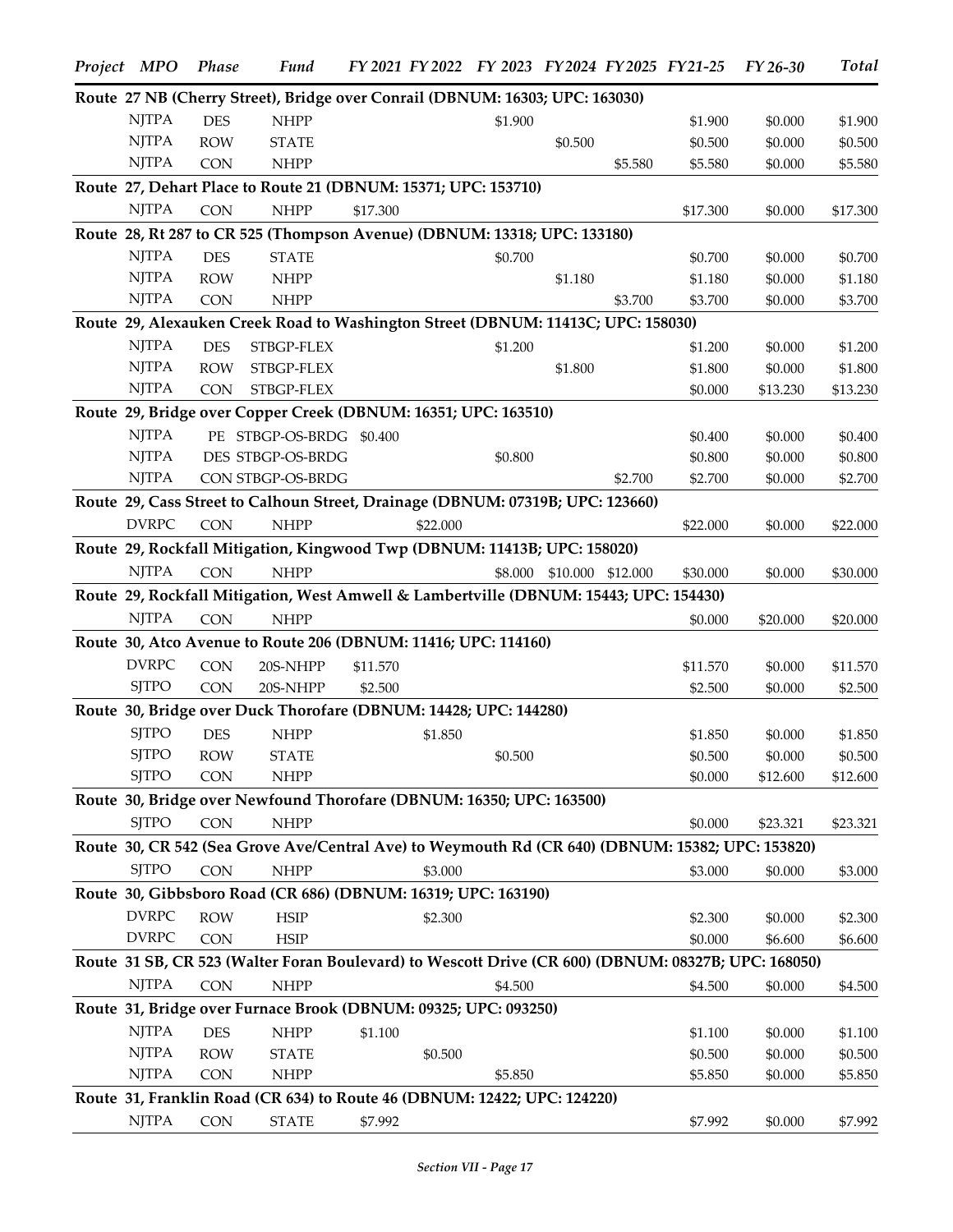| Project MPO  | <b>Phase</b> | <b>Fund</b>              | FY 2021 FY 2022 FY 2023 FY 2024 FY 2025 FY 21-25                                                    |         |                           |         |          | FY 26-30 | <b>Total</b> |
|--------------|--------------|--------------------------|-----------------------------------------------------------------------------------------------------|---------|---------------------------|---------|----------|----------|--------------|
|              |              |                          | Route 27 NB (Cherry Street), Bridge over Conrail (DBNUM: 16303; UPC: 163030)                        |         |                           |         |          |          |              |
| <b>NJTPA</b> | <b>DES</b>   | <b>NHPP</b>              |                                                                                                     | \$1.900 |                           |         | \$1.900  | \$0.000  | \$1.900      |
| <b>NJTPA</b> | <b>ROW</b>   | <b>STATE</b>             |                                                                                                     |         | \$0.500                   |         | \$0.500  | \$0.000  | \$0.500      |
| <b>NJTPA</b> | <b>CON</b>   | <b>NHPP</b>              |                                                                                                     |         |                           | \$5.580 | \$5.580  | \$0.000  | \$5.580      |
|              |              |                          | Route 27, Dehart Place to Route 21 (DBNUM: 15371; UPC: 153710)                                      |         |                           |         |          |          |              |
| <b>NJTPA</b> | <b>CON</b>   | <b>NHPP</b>              | \$17.300                                                                                            |         |                           |         | \$17.300 | \$0.000  | \$17.300     |
|              |              |                          | Route 28, Rt 287 to CR 525 (Thompson Avenue) (DBNUM: 13318; UPC: 133180)                            |         |                           |         |          |          |              |
| <b>NJTPA</b> | <b>DES</b>   | <b>STATE</b>             |                                                                                                     | \$0.700 |                           |         | \$0.700  | \$0.000  | \$0.700      |
| <b>NJTPA</b> | <b>ROW</b>   | <b>NHPP</b>              |                                                                                                     |         | \$1.180                   |         | \$1.180  | \$0.000  | \$1.180      |
| <b>NJTPA</b> | <b>CON</b>   | <b>NHPP</b>              |                                                                                                     |         |                           | \$3.700 | \$3.700  | \$0.000  | \$3.700      |
|              |              |                          | Route 29, Alexauken Creek Road to Washington Street (DBNUM: 11413C; UPC: 158030)                    |         |                           |         |          |          |              |
| <b>NJTPA</b> | <b>DES</b>   | STBGP-FLEX               |                                                                                                     | \$1.200 |                           |         | \$1.200  | \$0.000  | \$1.200      |
| <b>NJTPA</b> | <b>ROW</b>   | STBGP-FLEX               |                                                                                                     |         | \$1.800                   |         | \$1.800  | \$0.000  | \$1.800      |
| <b>NJTPA</b> | CON          | STBGP-FLEX               |                                                                                                     |         |                           |         | \$0.000  | \$13.230 | \$13.230     |
|              |              |                          | Route 29, Bridge over Copper Creek (DBNUM: 16351; UPC: 163510)                                      |         |                           |         |          |          |              |
| <b>NJTPA</b> |              | PE STBGP-OS-BRDG \$0.400 |                                                                                                     |         |                           |         | \$0.400  | \$0.000  | \$0.400      |
| <b>NJTPA</b> |              | DES STBGP-OS-BRDG        |                                                                                                     | \$0.800 |                           |         | \$0.800  | \$0.000  | \$0.800      |
| <b>NJTPA</b> |              | CON STBGP-OS-BRDG        |                                                                                                     |         |                           | \$2.700 | \$2.700  | \$0.000  | \$2.700      |
|              |              |                          | Route 29, Cass Street to Calhoun Street, Drainage (DBNUM: 07319B; UPC: 123660)                      |         |                           |         |          |          |              |
| <b>DVRPC</b> | <b>CON</b>   | <b>NHPP</b>              | \$22.000                                                                                            |         |                           |         | \$22.000 | \$0.000  | \$22.000     |
|              |              |                          | Route 29, Rockfall Mitigation, Kingwood Twp (DBNUM: 11413B; UPC: 158020)                            |         |                           |         |          |          |              |
| <b>NJTPA</b> | <b>CON</b>   | <b>NHPP</b>              |                                                                                                     |         | \$8.000 \$10.000 \$12.000 |         |          |          |              |
|              |              |                          |                                                                                                     |         |                           |         | \$30.000 | \$0.000  | \$30.000     |
|              |              |                          | Route 29, Rockfall Mitigation, West Amwell & Lambertville (DBNUM: 15443; UPC: 154430)               |         |                           |         |          |          |              |
| <b>NJTPA</b> | <b>CON</b>   | <b>NHPP</b>              |                                                                                                     |         |                           |         | \$0.000  | \$20.000 | \$20.000     |
|              |              |                          | Route 30, Atco Avenue to Route 206 (DBNUM: 11416; UPC: 114160)                                      |         |                           |         |          |          |              |
| <b>DVRPC</b> | <b>CON</b>   | 20S-NHPP                 | \$11.570                                                                                            |         |                           |         | \$11.570 | \$0.000  | \$11.570     |
| <b>SJTPO</b> | <b>CON</b>   | 20S-NHPP                 | \$2.500                                                                                             |         |                           |         | \$2.500  | \$0.000  | \$2.500      |
|              |              |                          | Route 30, Bridge over Duck Thorofare (DBNUM: 14428; UPC: 144280)                                    |         |                           |         |          |          |              |
| <b>SJTPO</b> | <b>DES</b>   | <b>NHPP</b>              | \$1.850                                                                                             |         |                           |         | \$1.850  | \$0.000  | \$1.850      |
| <b>SJTPO</b> | <b>ROW</b>   | <b>STATE</b>             |                                                                                                     | \$0.500 |                           |         | \$0.500  | \$0.000  | \$0.500      |
| <b>SJTPO</b> | <b>CON</b>   | <b>NHPP</b>              |                                                                                                     |         |                           |         | \$0.000  | \$12.600 | \$12.600     |
|              |              |                          | Route 30, Bridge over Newfound Thorofare (DBNUM: 16350; UPC: 163500)                                |         |                           |         |          |          |              |
| <b>SJTPO</b> | <b>CON</b>   | <b>NHPP</b>              |                                                                                                     |         |                           |         | \$0.000  | \$23.321 | \$23.321     |
|              |              |                          | Route 30, CR 542 (Sea Grove Ave/Central Ave) to Weymouth Rd (CR 640) (DBNUM: 15382; UPC: 153820)    |         |                           |         |          |          |              |
| <b>SJTPO</b> | <b>CON</b>   | <b>NHPP</b>              | \$3.000                                                                                             |         |                           |         | \$3.000  | \$0.000  | \$3.000      |
|              |              |                          | Route 30, Gibbsboro Road (CR 686) (DBNUM: 16319; UPC: 163190)                                       |         |                           |         |          |          |              |
| <b>DVRPC</b> | <b>ROW</b>   | <b>HSIP</b>              | \$2.300                                                                                             |         |                           |         | \$2.300  | \$0.000  | \$2.300      |
| <b>DVRPC</b> | <b>CON</b>   | <b>HSIP</b>              |                                                                                                     |         |                           |         | \$0.000  | \$6.600  | \$6.600      |
|              |              |                          | Route 31 SB, CR 523 (Walter Foran Boulevard) to Wescott Drive (CR 600) (DBNUM: 08327B; UPC: 168050) |         |                           |         |          |          |              |
| <b>NJTPA</b> | <b>CON</b>   | <b>NHPP</b>              |                                                                                                     | \$4.500 |                           |         | \$4.500  | \$0.000  | \$4.500      |
|              |              |                          | Route 31, Bridge over Furnace Brook (DBNUM: 09325; UPC: 093250)                                     |         |                           |         |          |          |              |
| <b>NJTPA</b> | <b>DES</b>   | <b>NHPP</b>              | \$1.100                                                                                             |         |                           |         | \$1.100  | \$0.000  | \$1.100      |
| <b>NJTPA</b> | <b>ROW</b>   | <b>STATE</b>             | \$0.500                                                                                             |         |                           |         | \$0.500  | \$0.000  | \$0.500      |
| <b>NJTPA</b> | <b>CON</b>   | <b>NHPP</b>              |                                                                                                     | \$5.850 |                           |         | \$5.850  | \$0.000  | \$5.850      |
|              |              |                          | Route 31, Franklin Road (CR 634) to Route 46 (DBNUM: 12422; UPC: 124220)                            |         |                           |         |          |          |              |
| <b>NJTPA</b> | <b>CON</b>   | <b>STATE</b>             | \$7.992                                                                                             |         |                           |         | \$7.992  | \$0.000  | \$7.992      |
|              |              |                          |                                                                                                     |         |                           |         |          |          |              |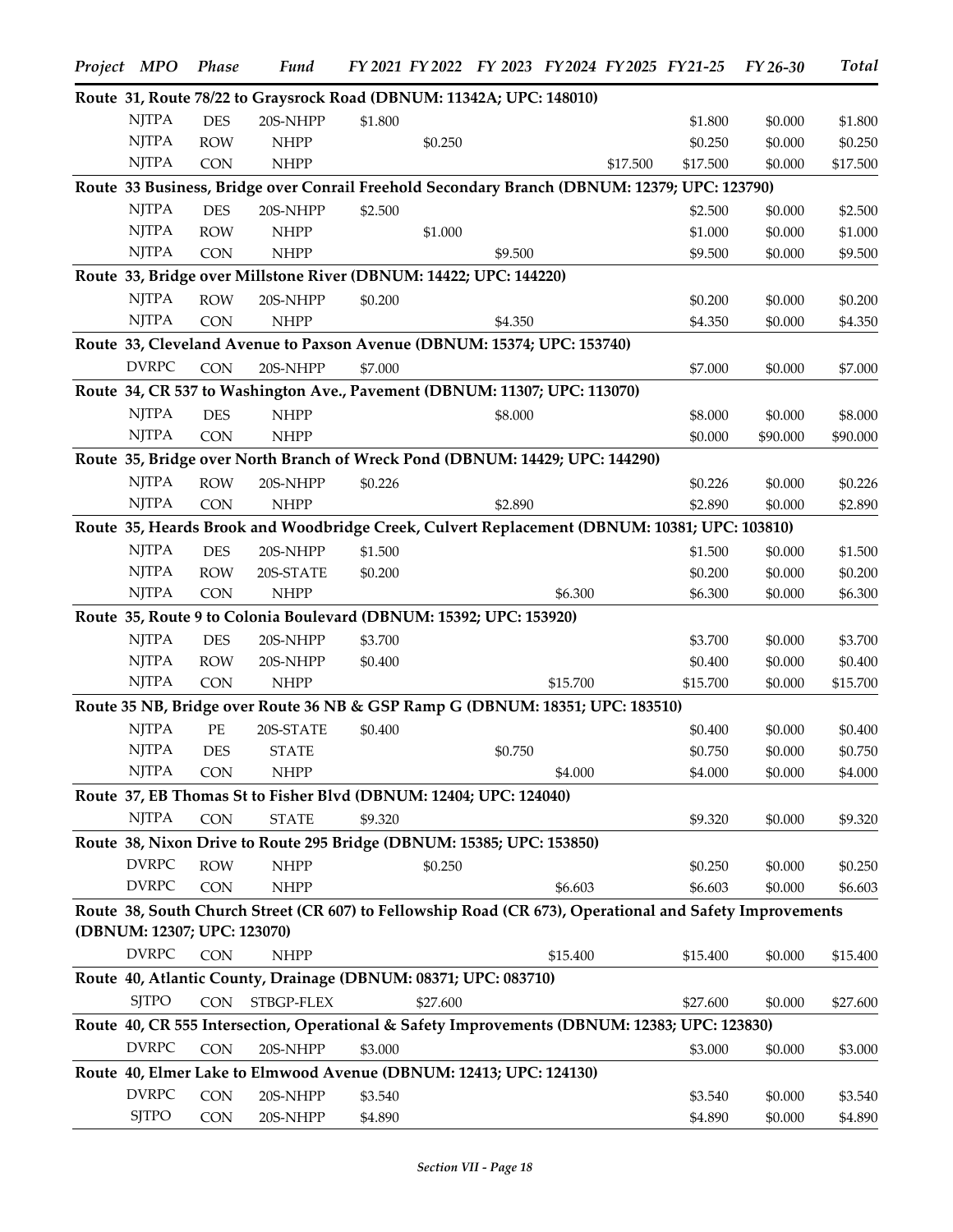| Project MPO                 | Phase      | <b>Fund</b>                                                                                             |         |          | FY 2021 FY 2022 FY 2023 FY 2024 FY 2025 FY 21-25 |          |          |          | $FY26-30$ | <b>Total</b> |
|-----------------------------|------------|---------------------------------------------------------------------------------------------------------|---------|----------|--------------------------------------------------|----------|----------|----------|-----------|--------------|
|                             |            | Route 31, Route 78/22 to Graysrock Road (DBNUM: 11342A; UPC: 148010)                                    |         |          |                                                  |          |          |          |           |              |
| <b>NJTPA</b>                | <b>DES</b> | 20S-NHPP                                                                                                | \$1.800 |          |                                                  |          |          | \$1.800  | \$0.000   | \$1.800      |
| <b>NJTPA</b>                | <b>ROW</b> | <b>NHPP</b>                                                                                             |         | \$0.250  |                                                  |          |          | \$0.250  | \$0.000   | \$0.250      |
| <b>NJTPA</b>                | <b>CON</b> | <b>NHPP</b>                                                                                             |         |          |                                                  |          | \$17.500 | \$17.500 | \$0.000   | \$17.500     |
|                             |            | Route 33 Business, Bridge over Conrail Freehold Secondary Branch (DBNUM: 12379; UPC: 123790)            |         |          |                                                  |          |          |          |           |              |
| <b>NJTPA</b>                | <b>DES</b> | 20S-NHPP                                                                                                | \$2.500 |          |                                                  |          |          | \$2.500  | \$0.000   | \$2.500      |
| <b>NJTPA</b>                | <b>ROW</b> | <b>NHPP</b>                                                                                             |         | \$1.000  |                                                  |          |          | \$1.000  | \$0.000   | \$1.000      |
| <b>NJTPA</b>                | <b>CON</b> | <b>NHPP</b>                                                                                             |         |          | \$9.500                                          |          |          | \$9.500  | \$0.000   | \$9.500      |
|                             |            | Route 33, Bridge over Millstone River (DBNUM: 14422; UPC: 144220)                                       |         |          |                                                  |          |          |          |           |              |
| <b>NJTPA</b>                | <b>ROW</b> | 20S-NHPP                                                                                                | \$0.200 |          |                                                  |          |          | \$0.200  | \$0.000   | \$0.200      |
| <b>NJTPA</b>                | <b>CON</b> | <b>NHPP</b>                                                                                             |         |          | \$4.350                                          |          |          | \$4.350  | \$0.000   | \$4.350      |
|                             |            | Route 33, Cleveland Avenue to Paxson Avenue (DBNUM: 15374; UPC: 153740)                                 |         |          |                                                  |          |          |          |           |              |
| <b>DVRPC</b>                | <b>CON</b> | 20S-NHPP                                                                                                | \$7.000 |          |                                                  |          |          | \$7.000  | \$0.000   | \$7.000      |
|                             |            | Route 34, CR 537 to Washington Ave., Pavement (DBNUM: 11307; UPC: 113070)                               |         |          |                                                  |          |          |          |           |              |
| <b>NJTPA</b>                | <b>DES</b> | <b>NHPP</b>                                                                                             |         |          | \$8.000                                          |          |          | \$8.000  | \$0.000   | \$8.000      |
| <b>NJTPA</b>                | <b>CON</b> | <b>NHPP</b>                                                                                             |         |          |                                                  |          |          | \$0.000  | \$90.000  | \$90.000     |
|                             |            | Route 35, Bridge over North Branch of Wreck Pond (DBNUM: 14429; UPC: 144290)                            |         |          |                                                  |          |          |          |           |              |
| <b>NJTPA</b>                | <b>ROW</b> | 20S-NHPP                                                                                                | \$0.226 |          |                                                  |          |          | \$0.226  | \$0.000   | \$0.226      |
| <b>NJTPA</b>                | <b>CON</b> | <b>NHPP</b>                                                                                             |         |          | \$2.890                                          |          |          | \$2.890  | \$0.000   | \$2.890      |
|                             |            | Route 35, Heards Brook and Woodbridge Creek, Culvert Replacement (DBNUM: 10381; UPC: 103810)            |         |          |                                                  |          |          |          |           |              |
| <b>NJTPA</b>                | <b>DES</b> | 20S-NHPP                                                                                                | \$1.500 |          |                                                  |          |          | \$1.500  | \$0.000   | \$1.500      |
| <b>NJTPA</b>                | <b>ROW</b> | 20S-STATE                                                                                               | \$0.200 |          |                                                  |          |          | \$0.200  | \$0.000   | \$0.200      |
| <b>NJTPA</b>                | <b>CON</b> | <b>NHPP</b>                                                                                             |         |          |                                                  | \$6.300  |          | \$6.300  | \$0.000   | \$6.300      |
|                             |            | Route 35, Route 9 to Colonia Boulevard (DBNUM: 15392; UPC: 153920)                                      |         |          |                                                  |          |          |          |           |              |
| <b>NJTPA</b>                | <b>DES</b> | 20S-NHPP                                                                                                | \$3.700 |          |                                                  |          |          | \$3.700  | \$0.000   | \$3.700      |
| <b>NJTPA</b>                | <b>ROW</b> | 20S-NHPP                                                                                                | \$0.400 |          |                                                  |          |          | \$0.400  | \$0.000   | \$0.400      |
| <b>NJTPA</b>                | <b>CON</b> | <b>NHPP</b>                                                                                             |         |          |                                                  | \$15,700 |          | \$15.700 | \$0.000   | \$15.700     |
|                             |            | Route 35 NB, Bridge over Route 36 NB & GSP Ramp G (DBNUM: 18351; UPC: 183510)                           |         |          |                                                  |          |          |          |           |              |
| <b>NJTPA</b>                | $\rm PE$   | 20S-STATE                                                                                               | \$0.400 |          |                                                  |          |          | \$0.400  | \$0.000   | \$0.400      |
| <b>NJTPA</b>                | <b>DES</b> | <b>STATE</b>                                                                                            |         |          | \$0.750                                          |          |          | \$0.750  | \$0.000   | \$0.750      |
| <b>NJTPA</b>                | <b>CON</b> | <b>NHPP</b>                                                                                             |         |          |                                                  | \$4.000  |          | \$4.000  | \$0.000   | \$4.000      |
|                             |            | Route 37, EB Thomas St to Fisher Blvd (DBNUM: 12404; UPC: 124040)                                       |         |          |                                                  |          |          |          |           |              |
| <b>NJTPA</b>                | <b>CON</b> | <b>STATE</b>                                                                                            | \$9.320 |          |                                                  |          |          | \$9.320  | \$0.000   | \$9.320      |
|                             |            | Route 38, Nixon Drive to Route 295 Bridge (DBNUM: 15385; UPC: 153850)                                   |         |          |                                                  |          |          |          |           |              |
| <b>DVRPC</b>                | <b>ROW</b> | <b>NHPP</b>                                                                                             |         | \$0.250  |                                                  |          |          | \$0.250  | \$0.000   | \$0.250      |
| <b>DVRPC</b>                | <b>CON</b> | <b>NHPP</b>                                                                                             |         |          |                                                  | \$6.603  |          | \$6.603  | \$0.000   | \$6.603      |
|                             |            | Route 38, South Church Street (CR 607) to Fellowship Road (CR 673), Operational and Safety Improvements |         |          |                                                  |          |          |          |           |              |
| (DBNUM: 12307; UPC: 123070) |            |                                                                                                         |         |          |                                                  |          |          |          |           |              |
| <b>DVRPC</b>                | <b>CON</b> | <b>NHPP</b>                                                                                             |         |          |                                                  | \$15.400 |          | \$15.400 | \$0.000   | \$15.400     |
|                             |            | Route 40, Atlantic County, Drainage (DBNUM: 08371; UPC: 083710)                                         |         |          |                                                  |          |          |          |           |              |
| <b>SJTPO</b>                | CON        | STBGP-FLEX                                                                                              |         | \$27.600 |                                                  |          |          | \$27.600 | \$0.000   | \$27.600     |
|                             |            | Route 40, CR 555 Intersection, Operational & Safety Improvements (DBNUM: 12383; UPC: 123830)            |         |          |                                                  |          |          |          |           |              |
| <b>DVRPC</b>                | <b>CON</b> | 20S-NHPP                                                                                                | \$3.000 |          |                                                  |          |          | \$3.000  | \$0.000   | \$3.000      |
|                             |            | Route 40, Elmer Lake to Elmwood Avenue (DBNUM: 12413; UPC: 124130)                                      |         |          |                                                  |          |          |          |           |              |
| <b>DVRPC</b>                | <b>CON</b> | 20S-NHPP                                                                                                | \$3.540 |          |                                                  |          |          | \$3.540  | \$0.000   | \$3.540      |
| <b>SJTPO</b>                | CON        | 20S-NHPP                                                                                                | \$4.890 |          |                                                  |          |          | \$4.890  | \$0.000   | \$4.890      |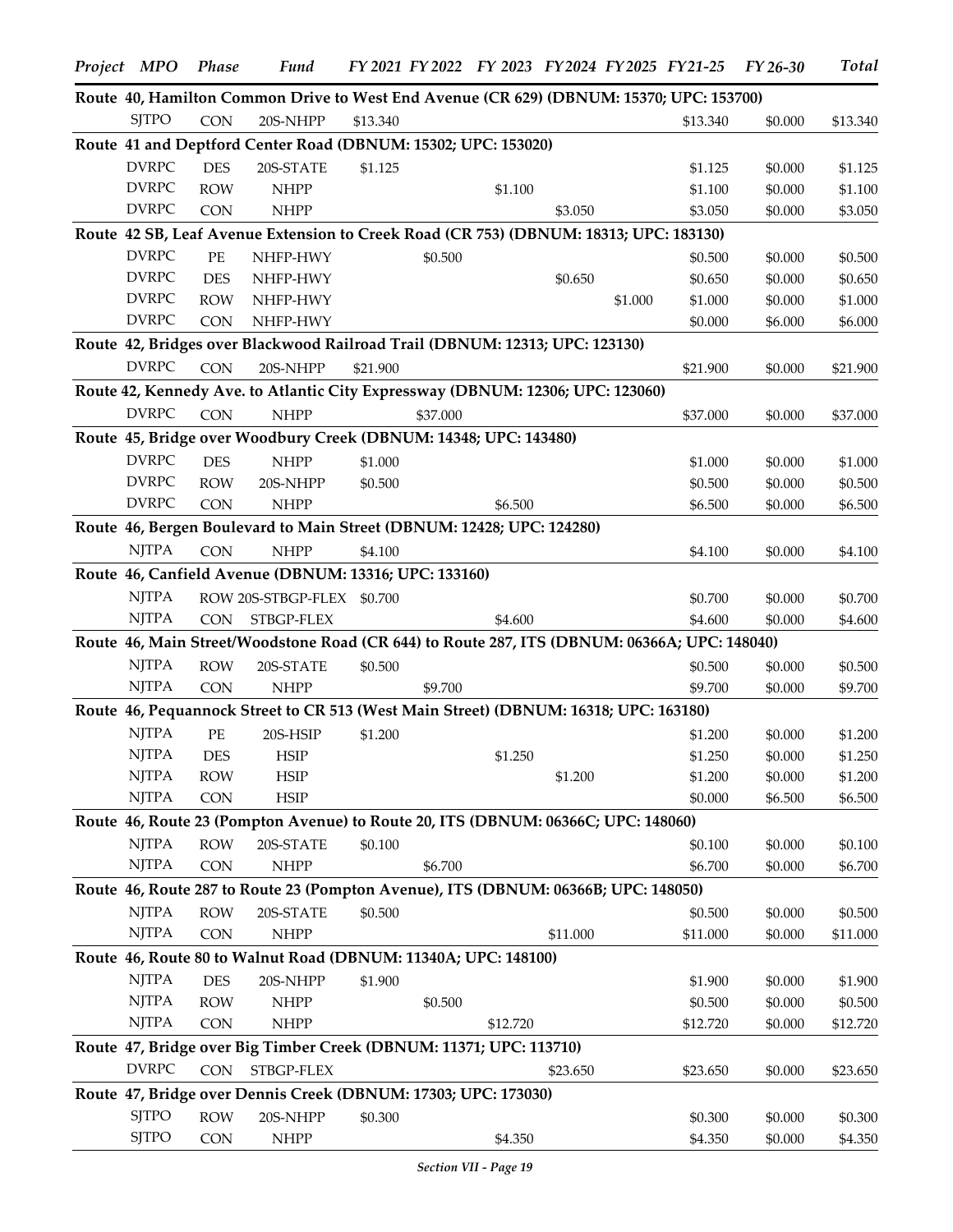| Project MPO                  | <b>Phase</b>     | <b>Fund</b>                                                                                  |          |          | FY 2021 FY 2022 FY 2023 FY 2024 FY 2025 FY 21-25 |          |         |                    | FY 26-30           | <b>Total</b>       |
|------------------------------|------------------|----------------------------------------------------------------------------------------------|----------|----------|--------------------------------------------------|----------|---------|--------------------|--------------------|--------------------|
|                              |                  | Route 40, Hamilton Common Drive to West End Avenue (CR 629) (DBNUM: 15370; UPC: 153700)      |          |          |                                                  |          |         |                    |                    |                    |
| <b>SITPO</b>                 | <b>CON</b>       | 20S-NHPP                                                                                     | \$13.340 |          |                                                  |          |         | \$13.340           | \$0.000            | \$13.340           |
|                              |                  | Route 41 and Deptford Center Road (DBNUM: 15302; UPC: 153020)                                |          |          |                                                  |          |         |                    |                    |                    |
| <b>DVRPC</b>                 | <b>DES</b>       | 20S-STATE                                                                                    | \$1.125  |          |                                                  |          |         | \$1.125            | \$0.000            | \$1.125            |
| <b>DVRPC</b>                 | <b>ROW</b>       | <b>NHPP</b>                                                                                  |          |          | \$1.100                                          |          |         | \$1.100            | \$0.000            | \$1.100            |
| <b>DVRPC</b>                 | <b>CON</b>       | <b>NHPP</b>                                                                                  |          |          |                                                  | \$3.050  |         | \$3.050            | \$0.000            | \$3.050            |
|                              |                  | Route 42 SB, Leaf Avenue Extension to Creek Road (CR 753) (DBNUM: 18313; UPC: 183130)        |          |          |                                                  |          |         |                    |                    |                    |
| <b>DVRPC</b>                 | PE               | NHFP-HWY                                                                                     |          | \$0.500  |                                                  |          |         | \$0.500            | \$0.000            | \$0.500            |
| <b>DVRPC</b>                 | <b>DES</b>       | NHFP-HWY                                                                                     |          |          |                                                  | \$0.650  |         | \$0.650            | \$0.000            | \$0.650            |
| <b>DVRPC</b>                 | <b>ROW</b>       | NHFP-HWY                                                                                     |          |          |                                                  |          | \$1.000 | \$1.000            | \$0.000            | \$1.000            |
| <b>DVRPC</b>                 | <b>CON</b>       | NHFP-HWY                                                                                     |          |          |                                                  |          |         | \$0.000            | \$6.000            | \$6.000            |
|                              |                  | Route 42, Bridges over Blackwood Railroad Trail (DBNUM: 12313; UPC: 123130)                  |          |          |                                                  |          |         |                    |                    |                    |
| <b>DVRPC</b>                 | <b>CON</b>       | 20S-NHPP                                                                                     | \$21.900 |          |                                                  |          |         | \$21.900           | \$0.000            | \$21.900           |
|                              |                  | Route 42, Kennedy Ave. to Atlantic City Expressway (DBNUM: 12306; UPC: 123060)               |          |          |                                                  |          |         |                    |                    |                    |
| <b>DVRPC</b>                 | <b>CON</b>       | <b>NHPP</b>                                                                                  |          | \$37.000 |                                                  |          |         | \$37.000           | \$0.000            | \$37.000           |
|                              |                  | Route 45, Bridge over Woodbury Creek (DBNUM: 14348; UPC: 143480)                             |          |          |                                                  |          |         |                    |                    |                    |
| <b>DVRPC</b>                 | <b>DES</b>       | <b>NHPP</b>                                                                                  | \$1.000  |          |                                                  |          |         | \$1.000            | \$0.000            | \$1.000            |
| <b>DVRPC</b>                 | <b>ROW</b>       | 20S-NHPP                                                                                     | \$0.500  |          |                                                  |          |         | \$0.500            | \$0.000            | \$0.500            |
| <b>DVRPC</b>                 | <b>CON</b>       | <b>NHPP</b>                                                                                  |          |          | \$6.500                                          |          |         | \$6.500            | \$0.000            | \$6.500            |
|                              |                  | Route 46, Bergen Boulevard to Main Street (DBNUM: 12428; UPC: 124280)                        |          |          |                                                  |          |         |                    |                    |                    |
| <b>NJTPA</b>                 | <b>CON</b>       | <b>NHPP</b>                                                                                  | \$4.100  |          |                                                  |          |         | \$4.100            | \$0.000            | \$4.100            |
|                              |                  | Route 46, Canfield Avenue (DBNUM: 13316; UPC: 133160)                                        |          |          |                                                  |          |         |                    |                    |                    |
| <b>NJTPA</b>                 |                  | ROW 20S-STBGP-FLEX \$0.700                                                                   |          |          |                                                  |          |         | \$0.700            | \$0.000            | \$0.700            |
| NJTPA                        | <b>CON</b>       | STBGP-FLEX                                                                                   |          |          | \$4.600                                          |          |         | \$4.600            | \$0.000            | \$4.600            |
|                              |                  | Route 46, Main Street/Woodstone Road (CR 644) to Route 287, ITS (DBNUM: 06366A; UPC: 148040) |          |          |                                                  |          |         |                    |                    |                    |
| <b>NJTPA</b>                 | <b>ROW</b>       | 20S-STATE                                                                                    | \$0.500  |          |                                                  |          |         | \$0.500            | \$0.000            | \$0.500            |
| <b>NJTPA</b>                 | <b>CON</b>       | <b>NHPP</b>                                                                                  |          | \$9.700  |                                                  |          |         | \$9.700            | \$0.000            | \$9.700            |
|                              |                  | Route 46, Pequannock Street to CR 513 (West Main Street) (DBNUM: 16318; UPC: 163180)         |          |          |                                                  |          |         |                    |                    |                    |
| <b>NJTPA</b>                 |                  |                                                                                              |          |          |                                                  |          |         |                    |                    |                    |
| NJTPA                        | PE<br><b>DES</b> | 20S-HSIP<br>HSIP                                                                             | \$1.200  |          |                                                  |          |         | \$1.200            | \$0.000            | \$1.200            |
| <b>NJTPA</b>                 | <b>ROW</b>       | <b>HSIP</b>                                                                                  |          |          | \$1.250                                          | \$1.200  |         | \$1.250<br>\$1.200 | \$0.000<br>\$0.000 | \$1.250<br>\$1.200 |
| <b>NJTPA</b>                 | <b>CON</b>       | <b>HSIP</b>                                                                                  |          |          |                                                  |          |         | \$0.000            | \$6.500            | \$6.500            |
|                              |                  | Route 46, Route 23 (Pompton Avenue) to Route 20, ITS (DBNUM: 06366C; UPC: 148060)            |          |          |                                                  |          |         |                    |                    |                    |
| <b>NJTPA</b>                 | <b>ROW</b>       | 20S-STATE                                                                                    |          |          |                                                  |          |         |                    |                    |                    |
| <b>NJTPA</b>                 | <b>CON</b>       | <b>NHPP</b>                                                                                  | \$0.100  | \$6.700  |                                                  |          |         | \$0.100<br>\$6.700 | \$0.000<br>\$0.000 | \$0.100<br>\$6.700 |
|                              |                  | Route 46, Route 287 to Route 23 (Pompton Avenue), ITS (DBNUM: 06366B; UPC: 148050)           |          |          |                                                  |          |         |                    |                    |                    |
|                              |                  |                                                                                              |          |          |                                                  |          |         |                    |                    |                    |
| <b>NJTPA</b><br><b>NJTPA</b> | <b>ROW</b>       | 20S-STATE                                                                                    | \$0.500  |          |                                                  |          |         | \$0.500            | \$0.000            | \$0.500            |
|                              | <b>CON</b>       | <b>NHPP</b>                                                                                  |          |          |                                                  | \$11.000 |         | \$11.000           | \$0.000            | \$11.000           |
|                              |                  | Route 46, Route 80 to Walnut Road (DBNUM: 11340A; UPC: 148100)                               |          |          |                                                  |          |         |                    |                    |                    |
| <b>NJTPA</b>                 | <b>DES</b>       | 20S-NHPP                                                                                     | \$1.900  |          |                                                  |          |         | \$1.900            | \$0.000            | \$1.900            |
| <b>NJTPA</b>                 | <b>ROW</b>       | <b>NHPP</b>                                                                                  |          | \$0.500  |                                                  |          |         | \$0.500            | \$0.000            | \$0.500            |
| <b>NJTPA</b>                 | <b>CON</b>       | <b>NHPP</b>                                                                                  |          |          | \$12.720                                         |          |         | \$12.720           | \$0.000            | \$12.720           |
|                              |                  | Route 47, Bridge over Big Timber Creek (DBNUM: 11371; UPC: 113710)                           |          |          |                                                  |          |         |                    |                    |                    |
| <b>DVRPC</b>                 | <b>CON</b>       | STBGP-FLEX                                                                                   |          |          |                                                  | \$23.650 |         | \$23.650           | \$0.000            | \$23.650           |
|                              |                  | Route 47, Bridge over Dennis Creek (DBNUM: 17303; UPC: 173030)                               |          |          |                                                  |          |         |                    |                    |                    |
| <b>SJTPO</b>                 | <b>ROW</b>       | 20S-NHPP                                                                                     | \$0.300  |          |                                                  |          |         | \$0.300            | \$0.000            | \$0.300            |
| <b>SJTPO</b>                 | <b>CON</b>       | <b>NHPP</b>                                                                                  |          |          | \$4.350                                          |          |         | \$4.350            | \$0.000            | \$4.350            |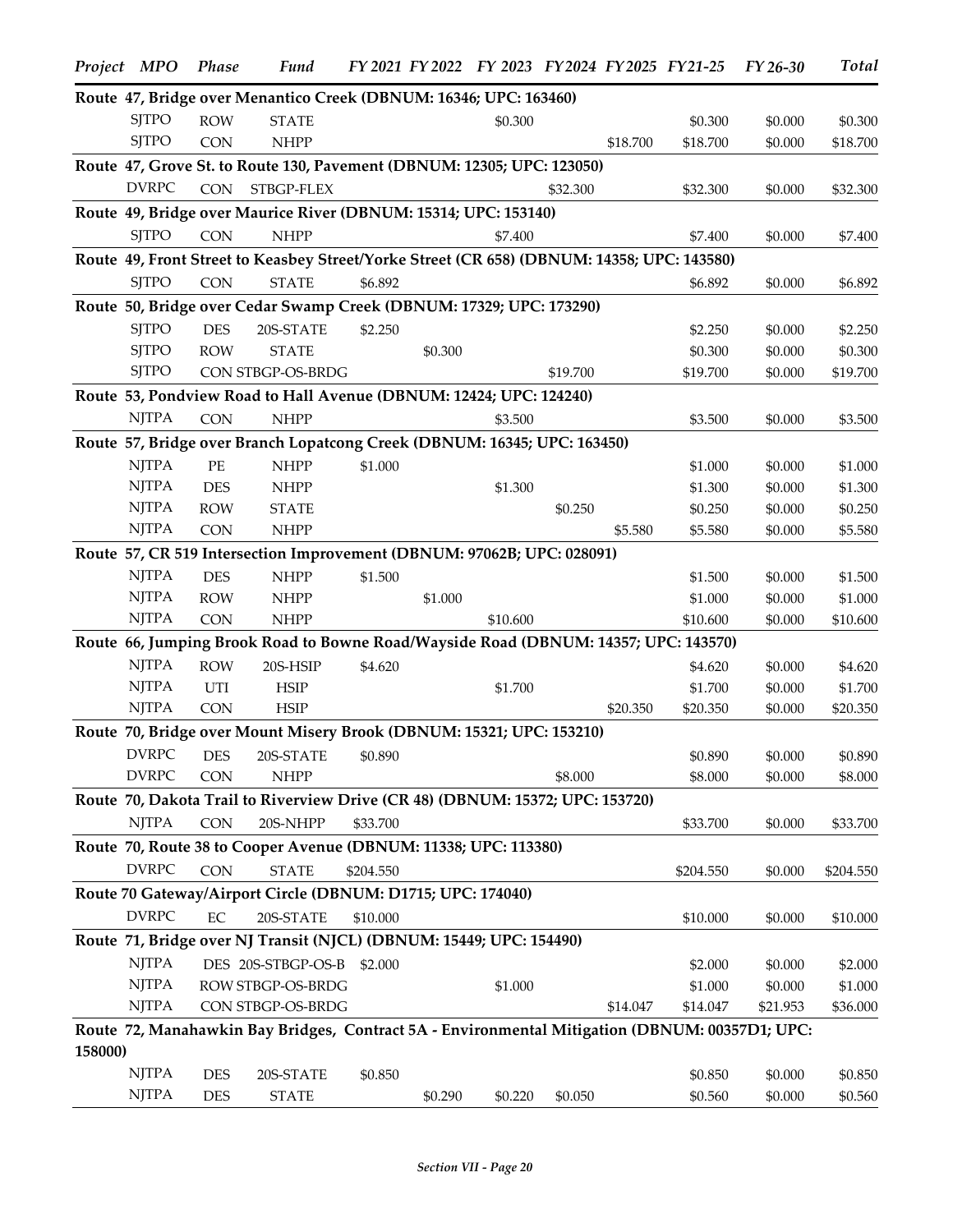|         | Project MPO  | Phase      | <b>Fund</b>                                                                                    |           |         |          |          |          | FY 2021 FY 2022 FY 2023 FY 2024 FY 2025 FY 21-25 | FY 26-30 | <b>Total</b> |
|---------|--------------|------------|------------------------------------------------------------------------------------------------|-----------|---------|----------|----------|----------|--------------------------------------------------|----------|--------------|
|         |              |            | Route 47, Bridge over Menantico Creek (DBNUM: 16346; UPC: 163460)                              |           |         |          |          |          |                                                  |          |              |
|         | <b>SJTPO</b> | <b>ROW</b> | <b>STATE</b>                                                                                   |           |         | \$0.300  |          |          | \$0.300                                          | \$0.000  | \$0.300      |
|         | <b>SJTPO</b> | <b>CON</b> | <b>NHPP</b>                                                                                    |           |         |          |          | \$18.700 | \$18.700                                         | \$0.000  | \$18.700     |
|         |              |            | Route 47, Grove St. to Route 130, Pavement (DBNUM: 12305; UPC: 123050)                         |           |         |          |          |          |                                                  |          |              |
|         | <b>DVRPC</b> | <b>CON</b> | STBGP-FLEX                                                                                     |           |         |          | \$32.300 |          | \$32.300                                         | \$0.000  | \$32.300     |
|         |              |            | Route 49, Bridge over Maurice River (DBNUM: 15314; UPC: 153140)                                |           |         |          |          |          |                                                  |          |              |
|         | <b>SJTPO</b> | <b>CON</b> | <b>NHPP</b>                                                                                    |           |         | \$7.400  |          |          | \$7.400                                          | \$0.000  | \$7.400      |
|         |              |            | Route 49, Front Street to Keasbey Street/Yorke Street (CR 658) (DBNUM: 14358; UPC: 143580)     |           |         |          |          |          |                                                  |          |              |
|         | <b>SJTPO</b> | <b>CON</b> | <b>STATE</b>                                                                                   | \$6.892   |         |          |          |          | \$6.892                                          | \$0.000  | \$6.892      |
|         |              |            | Route 50, Bridge over Cedar Swamp Creek (DBNUM: 17329; UPC: 173290)                            |           |         |          |          |          |                                                  |          |              |
|         | <b>SJTPO</b> | <b>DES</b> |                                                                                                |           |         |          |          |          |                                                  |          |              |
|         |              |            | 20S-STATE                                                                                      | \$2.250   |         |          |          |          | \$2.250                                          | \$0.000  | \$2.250      |
|         | <b>SJTPO</b> | <b>ROW</b> | <b>STATE</b>                                                                                   |           | \$0.300 |          |          |          | \$0.300                                          | \$0.000  | \$0.300      |
|         | <b>SJTPO</b> |            | CON STBGP-OS-BRDG                                                                              |           |         |          | \$19.700 |          | \$19.700                                         | \$0.000  | \$19.700     |
|         |              |            | Route 53, Pondview Road to Hall Avenue (DBNUM: 12424; UPC: 124240)                             |           |         |          |          |          |                                                  |          |              |
|         | <b>NJTPA</b> | <b>CON</b> | <b>NHPP</b>                                                                                    |           |         | \$3.500  |          |          | \$3.500                                          | \$0.000  | \$3.500      |
|         |              |            | Route 57, Bridge over Branch Lopatcong Creek (DBNUM: 16345; UPC: 163450)                       |           |         |          |          |          |                                                  |          |              |
|         | <b>NJTPA</b> | $\rm PE$   | <b>NHPP</b>                                                                                    | \$1.000   |         |          |          |          | \$1.000                                          | \$0.000  | \$1.000      |
|         | <b>NJTPA</b> | <b>DES</b> | <b>NHPP</b>                                                                                    |           |         | \$1.300  |          |          | \$1.300                                          | \$0.000  | \$1.300      |
|         | <b>NJTPA</b> | <b>ROW</b> | <b>STATE</b>                                                                                   |           |         |          | \$0.250  |          | \$0.250                                          | \$0.000  | \$0.250      |
|         | <b>NJTPA</b> | <b>CON</b> | <b>NHPP</b>                                                                                    |           |         |          |          | \$5.580  | \$5.580                                          | \$0.000  | \$5.580      |
|         |              |            | Route 57, CR 519 Intersection Improvement (DBNUM: 97062B; UPC: 028091)                         |           |         |          |          |          |                                                  |          |              |
|         | <b>NJTPA</b> | <b>DES</b> | <b>NHPP</b>                                                                                    | \$1.500   |         |          |          |          | \$1.500                                          | \$0.000  | \$1.500      |
|         | <b>NJTPA</b> | <b>ROW</b> | <b>NHPP</b>                                                                                    |           | \$1.000 |          |          |          | \$1.000                                          | \$0.000  | \$1.000      |
|         | <b>NJTPA</b> | <b>CON</b> | <b>NHPP</b>                                                                                    |           |         | \$10.600 |          |          | \$10.600                                         | \$0.000  | \$10.600     |
|         |              |            | Route 66, Jumping Brook Road to Bowne Road/Wayside Road (DBNUM: 14357; UPC: 143570)            |           |         |          |          |          |                                                  |          |              |
|         | <b>NJTPA</b> | <b>ROW</b> | 20S-HSIP                                                                                       | \$4.620   |         |          |          |          | \$4.620                                          | \$0.000  | \$4.620      |
|         | <b>NJTPA</b> | UTI        | <b>HSIP</b>                                                                                    |           |         | \$1.700  |          |          | \$1.700                                          | \$0.000  | \$1.700      |
|         | <b>NJTPA</b> | <b>CON</b> | <b>HSIP</b>                                                                                    |           |         |          |          | \$20.350 | \$20.350                                         | \$0.000  | \$20.350     |
|         |              |            |                                                                                                |           |         |          |          |          |                                                  |          |              |
|         |              |            | Route 70, Bridge over Mount Misery Brook (DBNUM: 15321; UPC: 153210)                           |           |         |          |          |          |                                                  |          |              |
|         |              |            | DVRPC DES 20S-STATE \$0.890                                                                    |           |         |          |          |          | \$0.890                                          | \$0.000  | \$0.890      |
|         | <b>DVRPC</b> | <b>CON</b> | <b>NHPP</b>                                                                                    |           |         |          | \$8.000  |          | \$8.000                                          | \$0.000  | \$8.000      |
|         |              |            | Route 70, Dakota Trail to Riverview Drive (CR 48) (DBNUM: 15372; UPC: 153720)                  |           |         |          |          |          |                                                  |          |              |
|         | <b>NJTPA</b> | <b>CON</b> | 20S-NHPP                                                                                       | \$33.700  |         |          |          |          | \$33.700                                         | \$0.000  | \$33.700     |
|         |              |            | Route 70, Route 38 to Cooper Avenue (DBNUM: 11338; UPC: 113380)                                |           |         |          |          |          |                                                  |          |              |
|         | <b>DVRPC</b> | <b>CON</b> | <b>STATE</b>                                                                                   | \$204.550 |         |          |          |          | \$204.550                                        | \$0.000  | \$204.550    |
|         |              |            | Route 70 Gateway/Airport Circle (DBNUM: D1715; UPC: 174040)                                    |           |         |          |          |          |                                                  |          |              |
|         | <b>DVRPC</b> | EC         | 20S-STATE                                                                                      | \$10.000  |         |          |          |          | \$10.000                                         | \$0.000  | \$10.000     |
|         |              |            | Route 71, Bridge over NJ Transit (NJCL) (DBNUM: 15449; UPC: 154490)                            |           |         |          |          |          |                                                  |          |              |
|         | <b>NJTPA</b> |            | DES 20S-STBGP-OS-B                                                                             | \$2.000   |         |          |          |          | \$2.000                                          | \$0.000  | \$2.000      |
|         | <b>NJTPA</b> |            | ROW STBGP-OS-BRDG                                                                              |           |         | \$1.000  |          |          | \$1.000                                          | \$0.000  | \$1.000      |
|         | <b>NJTPA</b> |            | CON STBGP-OS-BRDG                                                                              |           |         |          |          | \$14.047 | \$14.047                                         | \$21.953 | \$36.000     |
|         |              |            | Route 72, Manahawkin Bay Bridges, Contract 5A - Environmental Mitigation (DBNUM: 00357D1; UPC: |           |         |          |          |          |                                                  |          |              |
| 158000) |              |            |                                                                                                |           |         |          |          |          |                                                  |          |              |
|         | <b>NJTPA</b> |            |                                                                                                |           |         |          |          |          |                                                  |          |              |
|         |              | DES        | 20S-STATE                                                                                      | \$0.850   |         |          |          |          | \$0.850                                          | \$0.000  | \$0.850      |
|         | <b>NJTPA</b> | DES        | <b>STATE</b>                                                                                   |           | \$0.290 | \$0.220  | \$0.050  |          | \$0.560                                          | \$0.000  | \$0.560      |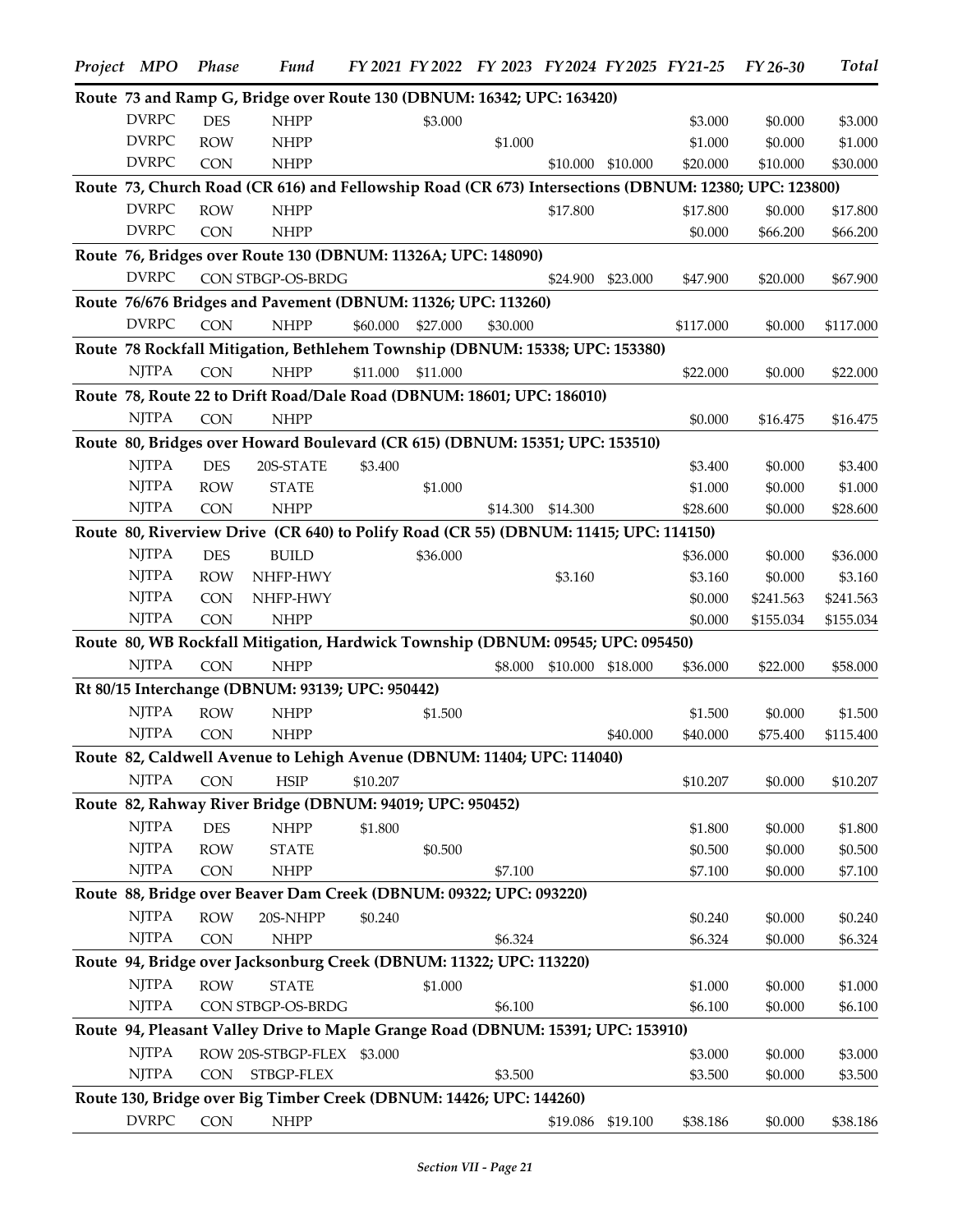| Project MPO  | Phase      | <b>Fund</b>                                                                                           |          |          |          |          |                   | FY 2021 FY 2022 FY 2023 FY 2024 FY 2025 FY 21-25 | FY 26-30  | Total     |
|--------------|------------|-------------------------------------------------------------------------------------------------------|----------|----------|----------|----------|-------------------|--------------------------------------------------|-----------|-----------|
|              |            | Route 73 and Ramp G, Bridge over Route 130 (DBNUM: 16342; UPC: 163420)                                |          |          |          |          |                   |                                                  |           |           |
| <b>DVRPC</b> | <b>DES</b> | <b>NHPP</b>                                                                                           |          | \$3.000  |          |          |                   | \$3.000                                          | \$0.000   | \$3.000   |
| <b>DVRPC</b> | <b>ROW</b> | <b>NHPP</b>                                                                                           |          |          | \$1.000  |          |                   | \$1.000                                          | \$0.000   | \$1.000   |
| <b>DVRPC</b> | <b>CON</b> | <b>NHPP</b>                                                                                           |          |          |          | \$10.000 | \$10.000          | \$20.000                                         | \$10.000  | \$30.000  |
|              |            | Route 73, Church Road (CR 616) and Fellowship Road (CR 673) Intersections (DBNUM: 12380; UPC: 123800) |          |          |          |          |                   |                                                  |           |           |
| <b>DVRPC</b> | <b>ROW</b> | <b>NHPP</b>                                                                                           |          |          |          | \$17.800 |                   | \$17.800                                         | \$0.000   | \$17.800  |
| <b>DVRPC</b> | <b>CON</b> | <b>NHPP</b>                                                                                           |          |          |          |          |                   | \$0.000                                          | \$66.200  | \$66.200  |
|              |            | Route 76, Bridges over Route 130 (DBNUM: 11326A; UPC: 148090)                                         |          |          |          |          |                   |                                                  |           |           |
| <b>DVRPC</b> |            | CON STBGP-OS-BRDG                                                                                     |          |          |          | \$24.900 | \$23.000          | \$47.900                                         | \$20.000  | \$67.900  |
|              |            | Route 76/676 Bridges and Pavement (DBNUM: 11326; UPC: 113260)                                         |          |          |          |          |                   |                                                  |           |           |
| <b>DVRPC</b> | <b>CON</b> | <b>NHPP</b>                                                                                           | \$60.000 | \$27.000 | \$30.000 |          |                   | \$117.000                                        | \$0.000   | \$117.000 |
|              |            | Route 78 Rockfall Mitigation, Bethlehem Township (DBNUM: 15338; UPC: 153380)                          |          |          |          |          |                   |                                                  |           |           |
| <b>NJTPA</b> | <b>CON</b> | <b>NHPP</b>                                                                                           | \$11.000 | \$11.000 |          |          |                   | \$22.000                                         | \$0.000   | \$22.000  |
|              |            | Route 78, Route 22 to Drift Road/Dale Road (DBNUM: 18601; UPC: 186010)                                |          |          |          |          |                   |                                                  |           |           |
| <b>NJTPA</b> | <b>CON</b> | <b>NHPP</b>                                                                                           |          |          |          |          |                   | \$0.000                                          | \$16.475  | \$16.475  |
|              |            | Route 80, Bridges over Howard Boulevard (CR 615) (DBNUM: 15351; UPC: 153510)                          |          |          |          |          |                   |                                                  |           |           |
| <b>NJTPA</b> | <b>DES</b> | 20S-STATE                                                                                             | \$3.400  |          |          |          |                   | \$3.400                                          | \$0.000   | \$3.400   |
| <b>NJTPA</b> | <b>ROW</b> | <b>STATE</b>                                                                                          |          | \$1.000  |          |          |                   | \$1.000                                          | \$0.000   | \$1.000   |
| <b>NJTPA</b> | <b>CON</b> | <b>NHPP</b>                                                                                           |          |          | \$14.300 | \$14.300 |                   | \$28.600                                         | \$0.000   | \$28.600  |
|              |            | Route 80, Riverview Drive (CR 640) to Polify Road (CR 55) (DBNUM: 11415; UPC: 114150)                 |          |          |          |          |                   |                                                  |           |           |
| <b>NJTPA</b> | <b>DES</b> | <b>BUILD</b>                                                                                          |          | \$36.000 |          |          |                   | \$36.000                                         | \$0.000   | \$36.000  |
| <b>NJTPA</b> | <b>ROW</b> | NHFP-HWY                                                                                              |          |          |          | \$3.160  |                   | \$3.160                                          | \$0.000   | \$3.160   |
| <b>NJTPA</b> | <b>CON</b> | NHFP-HWY                                                                                              |          |          |          |          |                   | \$0.000                                          | \$241.563 | \$241.563 |
| <b>NJTPA</b> | <b>CON</b> | <b>NHPP</b>                                                                                           |          |          |          |          |                   | \$0.000                                          | \$155.034 | \$155.034 |
|              |            | Route 80, WB Rockfall Mitigation, Hardwick Township (DBNUM: 09545; UPC: 095450)                       |          |          |          |          |                   |                                                  |           |           |
| <b>NJTPA</b> | <b>CON</b> | <b>NHPP</b>                                                                                           |          |          | \$8.000  |          | \$10.000 \$18.000 | \$36.000                                         | \$22.000  | \$58.000  |
|              |            | Rt 80/15 Interchange (DBNUM: 93139; UPC: 950442)                                                      |          |          |          |          |                   |                                                  |           |           |
| <b>NJTPA</b> | <b>ROW</b> | <b>NHPP</b>                                                                                           |          | \$1.500  |          |          |                   | \$1.500                                          | \$0.000   | \$1.500   |
| <b>NJTPA</b> | <b>CON</b> | <b>NHPP</b>                                                                                           |          |          |          |          | \$40.000          | \$40.000                                         | \$75.400  | \$115.400 |
|              |            | Route 82, Caldwell Avenue to Lehigh Avenue (DBNUM: 11404; UPC: 114040)                                |          |          |          |          |                   |                                                  |           |           |
| <b>NJTPA</b> | <b>CON</b> | <b>HSIP</b>                                                                                           | \$10.207 |          |          |          |                   | \$10.207                                         | \$0.000   | \$10.207  |
|              |            | Route 82, Rahway River Bridge (DBNUM: 94019; UPC: 950452)                                             |          |          |          |          |                   |                                                  |           |           |
| <b>NJTPA</b> | <b>DES</b> | <b>NHPP</b>                                                                                           | \$1.800  |          |          |          |                   | \$1.800                                          | \$0.000   | \$1.800   |
| <b>NJTPA</b> | <b>ROW</b> | <b>STATE</b>                                                                                          |          | \$0.500  |          |          |                   | \$0.500                                          | \$0.000   | \$0.500   |
| <b>NJTPA</b> | <b>CON</b> | <b>NHPP</b>                                                                                           |          |          | \$7.100  |          |                   | \$7.100                                          | \$0.000   | \$7.100   |
|              |            | Route 88, Bridge over Beaver Dam Creek (DBNUM: 09322; UPC: 093220)                                    |          |          |          |          |                   |                                                  |           |           |
| <b>NJTPA</b> | <b>ROW</b> | 20S-NHPP                                                                                              | \$0.240  |          |          |          |                   | \$0.240                                          | \$0.000   | \$0.240   |
| <b>NJTPA</b> | <b>CON</b> | <b>NHPP</b>                                                                                           |          |          | \$6.324  |          |                   | \$6.324                                          | \$0.000   | \$6.324   |
|              |            | Route 94, Bridge over Jacksonburg Creek (DBNUM: 11322; UPC: 113220)                                   |          |          |          |          |                   |                                                  |           |           |
| <b>NJTPA</b> | <b>ROW</b> | <b>STATE</b>                                                                                          |          | \$1.000  |          |          |                   | \$1.000                                          | \$0.000   | \$1.000   |
| <b>NJTPA</b> |            | CON STBGP-OS-BRDG                                                                                     |          |          | \$6.100  |          |                   | \$6.100                                          | \$0.000   | \$6.100   |
|              |            | Route 94, Pleasant Valley Drive to Maple Grange Road (DBNUM: 15391; UPC: 153910)                      |          |          |          |          |                   |                                                  |           |           |
| <b>NJTPA</b> |            | ROW 20S-STBGP-FLEX \$3.000                                                                            |          |          |          |          |                   | \$3.000                                          | \$0.000   | \$3.000   |
| <b>NJTPA</b> | <b>CON</b> | STBGP-FLEX                                                                                            |          |          | \$3.500  |          |                   | \$3.500                                          | \$0.000   | \$3.500   |
|              |            | Route 130, Bridge over Big Timber Creek (DBNUM: 14426; UPC: 144260)                                   |          |          |          |          |                   |                                                  |           |           |
| <b>DVRPC</b> | <b>CON</b> | <b>NHPP</b>                                                                                           |          |          |          | \$19.086 | \$19.100          | \$38.186                                         | \$0.000   | \$38.186  |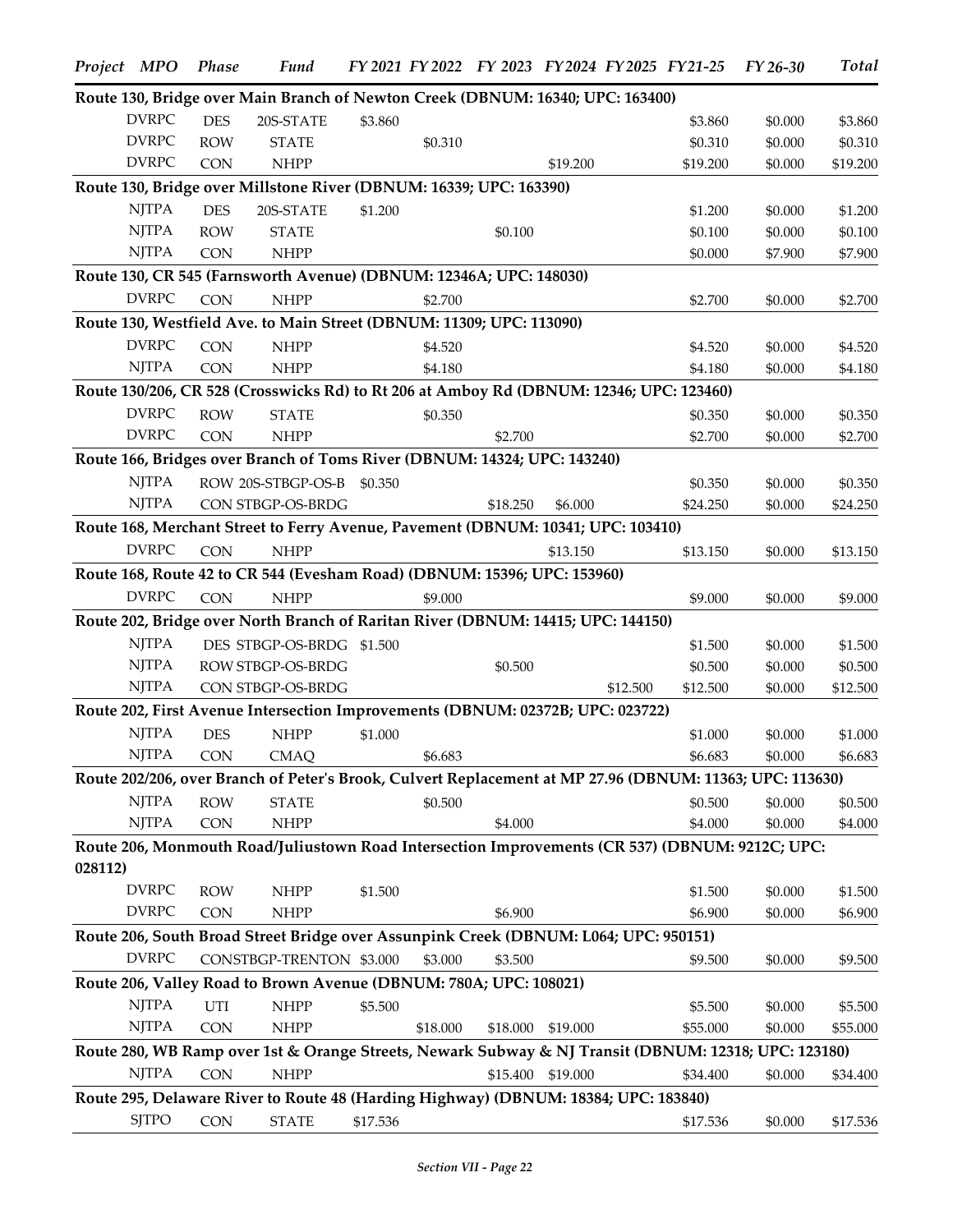|         | Project MPO                                                           | <b>Phase</b> | <b>Fund</b>                                                                                              |          |          |          |                   |          | FY 2021 FY 2022 FY 2023 FY 2024 FY 2025 FY 21-25 | FY 26-30 | <b>Total</b> |
|---------|-----------------------------------------------------------------------|--------------|----------------------------------------------------------------------------------------------------------|----------|----------|----------|-------------------|----------|--------------------------------------------------|----------|--------------|
|         |                                                                       |              | Route 130, Bridge over Main Branch of Newton Creek (DBNUM: 16340; UPC: 163400)                           |          |          |          |                   |          |                                                  |          |              |
|         | <b>DVRPC</b>                                                          | <b>DES</b>   | 20S-STATE                                                                                                | \$3.860  |          |          |                   |          | \$3.860                                          | \$0.000  | \$3.860      |
|         | <b>DVRPC</b>                                                          | <b>ROW</b>   | <b>STATE</b>                                                                                             |          | \$0.310  |          |                   |          | \$0.310                                          | \$0.000  | \$0.310      |
|         | <b>DVRPC</b>                                                          | <b>CON</b>   | <b>NHPP</b>                                                                                              |          |          |          | \$19.200          |          | \$19.200                                         | \$0.000  | \$19.200     |
|         |                                                                       |              | Route 130, Bridge over Millstone River (DBNUM: 16339; UPC: 163390)                                       |          |          |          |                   |          |                                                  |          |              |
|         | <b>NJTPA</b>                                                          | <b>DES</b>   | 20S-STATE                                                                                                | \$1.200  |          |          |                   |          | \$1.200                                          | \$0.000  | \$1.200      |
|         | $\ensuremath{\mathrm{N} \mathrm{J} \mathrm{T} \mathrm{P} \mathrm{A}}$ | <b>ROW</b>   | <b>STATE</b>                                                                                             |          |          | \$0.100  |                   |          | \$0.100                                          | \$0.000  | \$0.100      |
|         | <b>NJTPA</b>                                                          | <b>CON</b>   | <b>NHPP</b>                                                                                              |          |          |          |                   |          | \$0.000                                          | \$7.900  | \$7.900      |
|         |                                                                       |              | Route 130, CR 545 (Farnsworth Avenue) (DBNUM: 12346A; UPC: 148030)                                       |          |          |          |                   |          |                                                  |          |              |
|         | <b>DVRPC</b>                                                          | <b>CON</b>   | <b>NHPP</b>                                                                                              |          | \$2.700  |          |                   |          | \$2.700                                          | \$0.000  | \$2.700      |
|         |                                                                       |              | Route 130, Westfield Ave. to Main Street (DBNUM: 11309; UPC: 113090)                                     |          |          |          |                   |          |                                                  |          |              |
|         | <b>DVRPC</b>                                                          | <b>CON</b>   | <b>NHPP</b>                                                                                              |          | \$4.520  |          |                   |          | \$4.520                                          | \$0.000  | \$4.520      |
|         | <b>NJTPA</b>                                                          | <b>CON</b>   | <b>NHPP</b>                                                                                              |          | \$4.180  |          |                   |          | \$4.180                                          | \$0.000  | \$4.180      |
|         |                                                                       |              | Route 130/206, CR 528 (Crosswicks Rd) to Rt 206 at Amboy Rd (DBNUM: 12346; UPC: 123460)                  |          |          |          |                   |          |                                                  |          |              |
|         | <b>DVRPC</b>                                                          | <b>ROW</b>   | <b>STATE</b>                                                                                             |          | \$0.350  |          |                   |          | \$0.350                                          | \$0.000  | \$0.350      |
|         | <b>DVRPC</b>                                                          | <b>CON</b>   | <b>NHPP</b>                                                                                              |          |          | \$2.700  |                   |          | \$2.700                                          | \$0.000  | \$2.700      |
|         |                                                                       |              | Route 166, Bridges over Branch of Toms River (DBNUM: 14324; UPC: 143240)                                 |          |          |          |                   |          |                                                  |          |              |
|         | <b>NJTPA</b>                                                          |              | ROW 20S-STBGP-OS-B                                                                                       | \$0.350  |          |          |                   |          | \$0.350                                          | \$0.000  | \$0.350      |
|         | <b>NJTPA</b>                                                          |              | CON STBGP-OS-BRDG                                                                                        |          |          | \$18.250 | \$6.000           |          | \$24.250                                         | \$0.000  | \$24.250     |
|         |                                                                       |              | Route 168, Merchant Street to Ferry Avenue, Pavement (DBNUM: 10341; UPC: 103410)                         |          |          |          |                   |          |                                                  |          |              |
|         | <b>DVRPC</b>                                                          | <b>CON</b>   | <b>NHPP</b>                                                                                              |          |          |          | \$13.150          |          | \$13.150                                         | \$0.000  | \$13.150     |
|         |                                                                       |              | Route 168, Route 42 to CR 544 (Evesham Road) (DBNUM: 15396; UPC: 153960)                                 |          |          |          |                   |          |                                                  |          |              |
|         | <b>DVRPC</b>                                                          | CON          | <b>NHPP</b>                                                                                              |          | \$9.000  |          |                   |          | \$9.000                                          | \$0.000  | \$9.000      |
|         |                                                                       |              | Route 202, Bridge over North Branch of Raritan River (DBNUM: 14415; UPC: 144150)                         |          |          |          |                   |          |                                                  |          |              |
|         | <b>NJTPA</b>                                                          |              | DES STBGP-OS-BRDG \$1.500                                                                                |          |          |          |                   |          | \$1.500                                          | \$0.000  | \$1.500      |
|         | <b>NJTPA</b>                                                          |              | ROW STBGP-OS-BRDG                                                                                        |          |          | \$0.500  |                   |          | \$0.500                                          | \$0.000  | \$0.500      |
|         | <b>NJTPA</b>                                                          |              | CON STBGP-OS-BRDG                                                                                        |          |          |          |                   | \$12.500 | \$12.500                                         | \$0.000  | \$12.500     |
|         |                                                                       |              | Route 202, First Avenue Intersection Improvements (DBNUM: 02372B; UPC: 023722)                           |          |          |          |                   |          |                                                  |          |              |
|         | <b>NJTPA</b>                                                          | <b>DES</b>   | <b>NHPP</b>                                                                                              | \$1.000  |          |          |                   |          | \$1.000                                          | \$0.000  | \$1.000      |
|         | NITPA                                                                 | CON          | <b>CMAQ</b>                                                                                              |          | \$6.683  |          |                   |          | \$6.683                                          | \$0.000  | \$6.683      |
|         |                                                                       |              | Route 202/206, over Branch of Peter's Brook, Culvert Replacement at MP 27.96 (DBNUM: 11363; UPC: 113630) |          |          |          |                   |          |                                                  |          |              |
|         | <b>NJTPA</b>                                                          | <b>ROW</b>   | <b>STATE</b>                                                                                             |          | \$0.500  |          |                   |          | \$0.500                                          | \$0.000  | \$0.500      |
|         | <b>NJTPA</b>                                                          | CON          | <b>NHPP</b>                                                                                              |          |          | \$4.000  |                   |          | \$4.000                                          | \$0.000  | \$4.000      |
|         |                                                                       |              | Route 206, Monmouth Road/Juliustown Road Intersection Improvements (CR 537) (DBNUM: 9212C; UPC:          |          |          |          |                   |          |                                                  |          |              |
| 028112) |                                                                       |              |                                                                                                          |          |          |          |                   |          |                                                  |          |              |
|         | <b>DVRPC</b>                                                          | <b>ROW</b>   | <b>NHPP</b>                                                                                              | \$1.500  |          |          |                   |          | \$1.500                                          | \$0.000  | \$1.500      |
|         | <b>DVRPC</b>                                                          | <b>CON</b>   | <b>NHPP</b>                                                                                              |          |          | \$6.900  |                   |          | \$6.900                                          | \$0.000  | \$6.900      |
|         |                                                                       |              | Route 206, South Broad Street Bridge over Assunpink Creek (DBNUM: L064; UPC: 950151)                     |          |          |          |                   |          |                                                  |          |              |
|         | <b>DVRPC</b>                                                          |              | CONSTBGP-TRENTON \$3.000                                                                                 |          | \$3.000  | \$3.500  |                   |          | \$9.500                                          | \$0.000  | \$9.500      |
|         |                                                                       |              | Route 206, Valley Road to Brown Avenue (DBNUM: 780A; UPC: 108021)                                        |          |          |          |                   |          |                                                  |          |              |
|         | <b>NJTPA</b>                                                          | UTI          | <b>NHPP</b>                                                                                              | \$5.500  |          |          |                   |          | \$5.500                                          | \$0.000  | \$5.500      |
|         | <b>NJTPA</b>                                                          | <b>CON</b>   | <b>NHPP</b>                                                                                              |          | \$18.000 |          | \$18.000 \$19.000 |          | \$55.000                                         | \$0.000  | \$55.000     |
|         |                                                                       |              | Route 280, WB Ramp over 1st & Orange Streets, Newark Subway & NJ Transit (DBNUM: 12318; UPC: 123180)     |          |          |          |                   |          |                                                  |          |              |
|         | <b>NJTPA</b>                                                          | CON          | <b>NHPP</b>                                                                                              |          |          |          | \$15.400 \$19.000 |          | \$34.400                                         | \$0.000  | \$34.400     |
|         |                                                                       |              | Route 295, Delaware River to Route 48 (Harding Highway) (DBNUM: 18384; UPC: 183840)                      |          |          |          |                   |          |                                                  |          |              |
|         | <b>SJTPO</b>                                                          | CON          | <b>STATE</b>                                                                                             | \$17.536 |          |          |                   |          | \$17.536                                         | \$0.000  | \$17.536     |